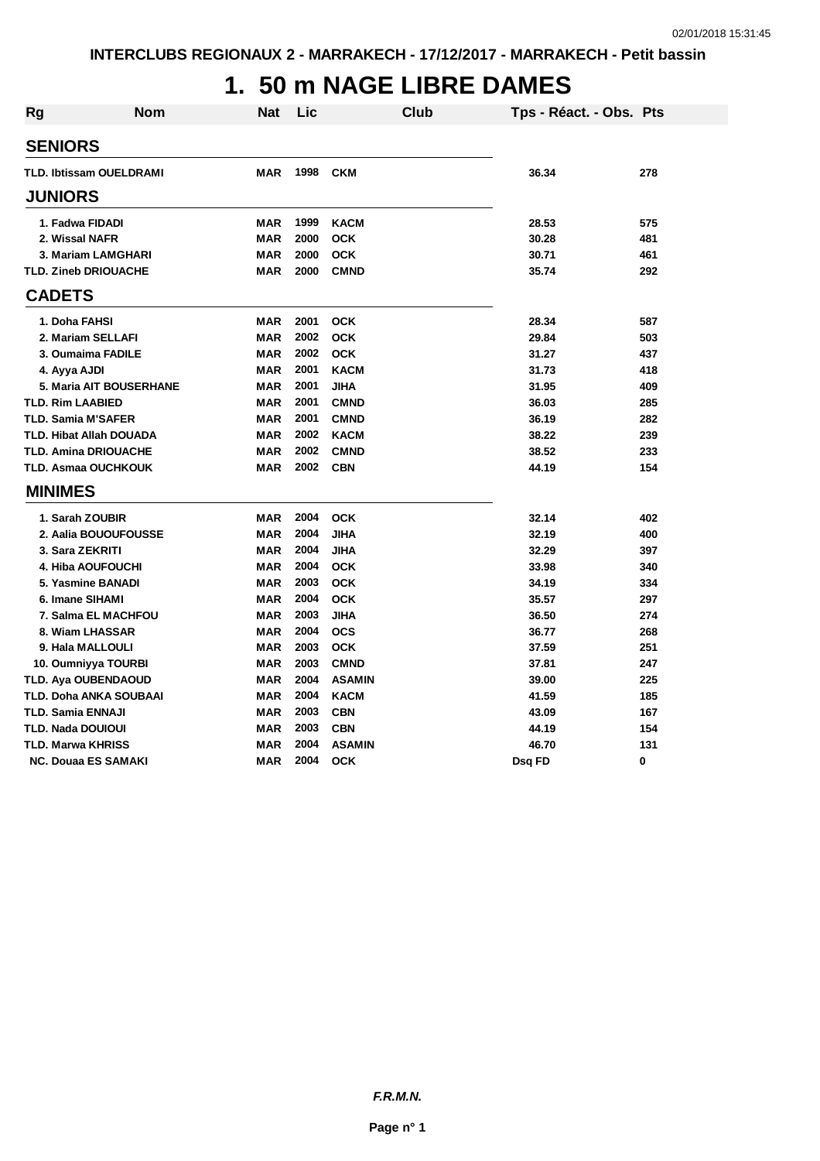# **1. 50 m NAGE LIBRE DAMES**

| <b>Rg</b> | Nom                            | Nat        | Lic  | <b>Club</b>   | Tps - Réact. - Obs. Pts |     |
|-----------|--------------------------------|------------|------|---------------|-------------------------|-----|
|           | <b>SENIORS</b>                 |            |      |               |                         |     |
|           | <b>TLD. Ibtissam OUELDRAMI</b> | <b>MAR</b> | 1998 | <b>CKM</b>    | 36.34                   | 278 |
|           | <b>JUNIORS</b>                 |            |      |               |                         |     |
|           | 1. Fadwa FIDADI                | <b>MAR</b> | 1999 | <b>KACM</b>   | 28.53                   | 575 |
|           | 2. Wissal NAFR                 | <b>MAR</b> | 2000 | <b>OCK</b>    | 30.28                   | 481 |
|           | 3. Mariam LAMGHARI             | <b>MAR</b> | 2000 | <b>OCK</b>    | 30.71                   | 461 |
|           | <b>TLD. Zineb DRIOUACHE</b>    | <b>MAR</b> | 2000 | <b>CMND</b>   | 35.74                   | 292 |
|           | <b>CADETS</b>                  |            |      |               |                         |     |
|           | 1. Doha FAHSI                  | <b>MAR</b> | 2001 | <b>OCK</b>    | 28.34                   | 587 |
|           | 2. Mariam SELLAFI              | <b>MAR</b> | 2002 | <b>OCK</b>    | 29.84                   | 503 |
|           | 3. Oumaima FADILE              | <b>MAR</b> | 2002 | <b>OCK</b>    | 31.27                   | 437 |
|           | 4. Ayya AJDI                   | <b>MAR</b> | 2001 | <b>KACM</b>   | 31.73                   | 418 |
|           | 5. Maria AIT BOUSERHANE        | <b>MAR</b> | 2001 | <b>JIHA</b>   | 31.95                   | 409 |
|           | <b>TLD. Rim LAABIED</b>        | <b>MAR</b> | 2001 | <b>CMND</b>   | 36.03                   | 285 |
|           | <b>TLD. Samia M'SAFER</b>      | <b>MAR</b> | 2001 | <b>CMND</b>   | 36.19                   | 282 |
|           | <b>TLD. Hibat Allah DOUADA</b> | <b>MAR</b> | 2002 | <b>KACM</b>   | 38.22                   | 239 |
|           | <b>TLD. Amina DRIOUACHE</b>    | <b>MAR</b> | 2002 | <b>CMND</b>   | 38.52                   | 233 |
|           | TLD. Asmaa OUCHKOUK            | <b>MAR</b> | 2002 | <b>CBN</b>    | 44.19                   | 154 |
|           | <b>MINIMES</b>                 |            |      |               |                         |     |
|           | 1. Sarah ZOUBIR                | <b>MAR</b> | 2004 | <b>OCK</b>    | 32.14                   | 402 |
|           | 2. Aalia BOUOUFOUSSE           | <b>MAR</b> | 2004 | <b>JIHA</b>   | 32.19                   | 400 |
|           | 3. Sara ZEKRITI                | <b>MAR</b> | 2004 | <b>JIHA</b>   | 32.29                   | 397 |
|           | 4. Hiba AOUFOUCHI              | <b>MAR</b> | 2004 | <b>OCK</b>    | 33.98                   | 340 |
|           | 5. Yasmine BANADI              | <b>MAR</b> | 2003 | <b>OCK</b>    | 34.19                   | 334 |
|           | 6. Imane SIHAMI                | <b>MAR</b> | 2004 | <b>OCK</b>    | 35.57                   | 297 |
|           | 7. Salma EL MACHFOU            | <b>MAR</b> | 2003 | <b>JIHA</b>   | 36.50                   | 274 |
|           | 8. Wiam LHASSAR                | <b>MAR</b> | 2004 | <b>OCS</b>    | 36.77                   | 268 |
|           | 9. Hala MALLOULI               | <b>MAR</b> | 2003 | <b>OCK</b>    | 37.59                   | 251 |
|           | 10. Oumniyya TOURBI            | <b>MAR</b> | 2003 | <b>CMND</b>   | 37.81                   | 247 |
|           | <b>TLD. Aya OUBENDAOUD</b>     | <b>MAR</b> | 2004 | <b>ASAMIN</b> | 39.00                   | 225 |
|           | TLD. Doha ANKA SOUBAAI         | <b>MAR</b> | 2004 | <b>KACM</b>   | 41.59                   | 185 |
|           | TLD. Samia ENNAJI              | <b>MAR</b> | 2003 | <b>CBN</b>    | 43.09                   | 167 |
|           | <b>TLD. Nada DOUIOUI</b>       | <b>MAR</b> | 2003 | <b>CBN</b>    | 44.19                   | 154 |
|           | <b>TLD. Marwa KHRISS</b>       | <b>MAR</b> | 2004 | <b>ASAMIN</b> | 46.70                   | 131 |
|           | <b>NC. Douaa ES SAMAKI</b>     | <b>MAR</b> | 2004 | <b>OCK</b>    | Dsq FD                  | 0   |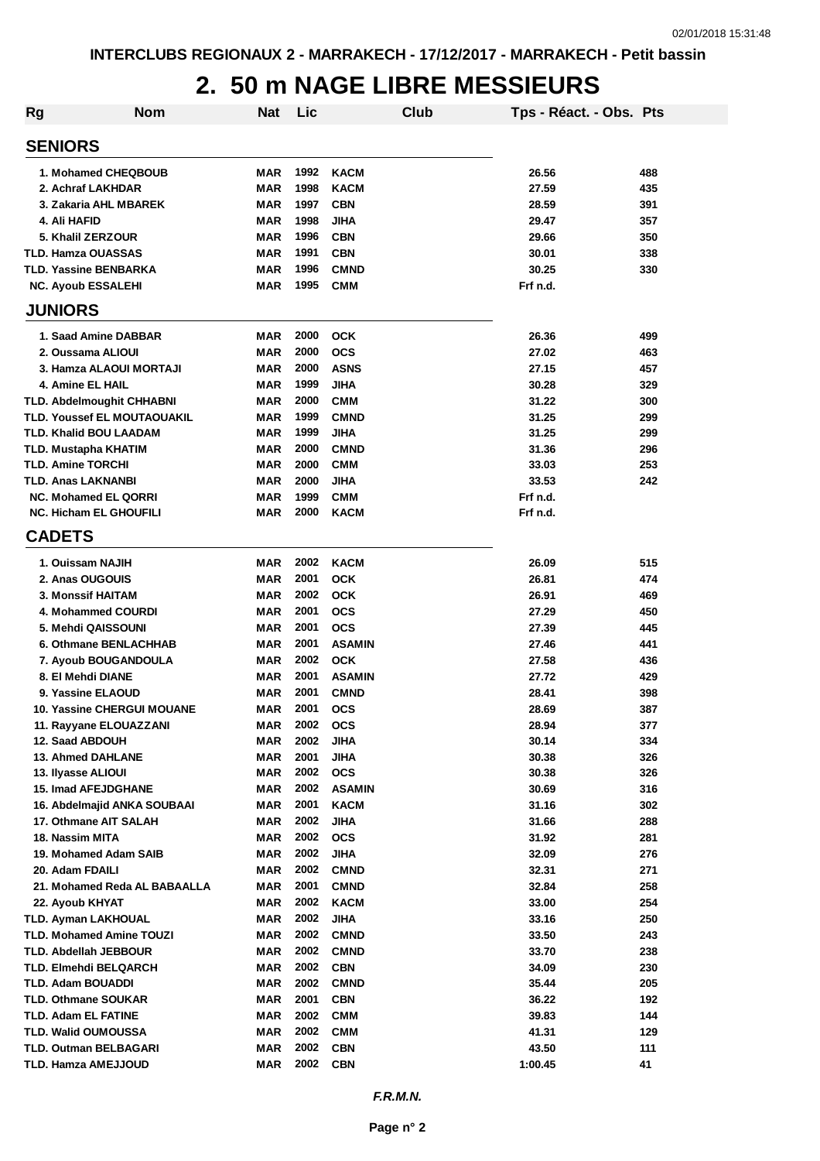### **2. 50 m NAGE LIBRE MESSIEURS**

| <b>Rg</b> | <b>Nom</b>                         | <b>Nat</b> | Lic          |               | Club | Tps - Réact. - Obs. Pts |     |
|-----------|------------------------------------|------------|--------------|---------------|------|-------------------------|-----|
|           | <b>SENIORS</b>                     |            |              |               |      |                         |     |
|           | 1. Mohamed CHEQBOUB                | <b>MAR</b> | 1992         | <b>KACM</b>   |      | 26.56                   | 488 |
|           | 2. Achraf LAKHDAR                  | <b>MAR</b> | 1998         | <b>KACM</b>   |      | 27.59                   | 435 |
|           | 3. Zakaria AHL MBAREK              | <b>MAR</b> | 1997         | <b>CBN</b>    |      | 28.59                   | 391 |
|           | 4. Ali HAFID                       | <b>MAR</b> | 1998         | <b>JIHA</b>   |      | 29.47                   | 357 |
|           | 5. Khalil ZERZOUR                  | <b>MAR</b> | 1996         | <b>CBN</b>    |      | 29.66                   | 350 |
|           | <b>TLD. Hamza OUASSAS</b>          | <b>MAR</b> | 1991         | <b>CBN</b>    |      | 30.01                   | 338 |
|           | <b>TLD. Yassine BENBARKA</b>       | <b>MAR</b> | 1996         | <b>CMND</b>   |      | 30.25                   | 330 |
|           | <b>NC. Ayoub ESSALEHI</b>          | <b>MAR</b> | 1995         | <b>CMM</b>    |      | Frf n.d.                |     |
|           | <b>JUNIORS</b>                     |            |              |               |      |                         |     |
|           | 1. Saad Amine DABBAR               | <b>MAR</b> | 2000         | <b>OCK</b>    |      | 26.36                   | 499 |
|           | 2. Oussama ALIOUI                  | <b>MAR</b> | 2000         | ocs           |      | 27.02                   | 463 |
|           | 3. Hamza ALAOUI MORTAJI            | <b>MAR</b> | 2000         | <b>ASNS</b>   |      | 27.15                   | 457 |
|           | 4. Amine EL HAIL                   | <b>MAR</b> | 1999         | <b>JIHA</b>   |      | 30.28                   | 329 |
|           | <b>TLD. Abdelmoughit CHHABNI</b>   | <b>MAR</b> | 2000         | <b>CMM</b>    |      | 31.22                   | 300 |
|           | <b>TLD. Youssef EL MOUTAOUAKIL</b> | <b>MAR</b> | 1999         | <b>CMND</b>   |      | 31.25                   | 299 |
|           | <b>TLD. Khalid BOU LAADAM</b>      | <b>MAR</b> | 1999         | <b>JIHA</b>   |      | 31.25                   | 299 |
|           | <b>TLD. Mustapha KHATIM</b>        | MAR        | 2000         | <b>CMND</b>   |      | 31.36                   | 296 |
|           | <b>TLD. Amine TORCHI</b>           | <b>MAR</b> | 2000         | <b>CMM</b>    |      | 33.03                   | 253 |
|           | <b>TLD. Anas LAKNANBI</b>          | <b>MAR</b> | 2000         | <b>JIHA</b>   |      | 33.53                   | 242 |
|           | <b>NC. Mohamed EL QORRI</b>        | <b>MAR</b> | 1999         | <b>CMM</b>    |      | Frf n.d.                |     |
|           | <b>NC. Hicham EL GHOUFILI</b>      | MAR        | 2000         | <b>KACM</b>   |      | Frf n.d.                |     |
|           | <b>CADETS</b>                      |            |              |               |      |                         |     |
|           | 1. Ouissam NAJIH                   | MAR        | 2002         | <b>KACM</b>   |      | 26.09                   | 515 |
|           | 2. Anas OUGOUIS                    | MAR        | 2001         | <b>OCK</b>    |      | 26.81                   | 474 |
|           | <b>3. Monssif HAITAM</b>           | <b>MAR</b> | 2002         | <b>OCK</b>    |      | 26.91                   | 469 |
|           | 4. Mohammed COURDI                 | <b>MAR</b> | 2001         | <b>OCS</b>    |      | 27.29                   | 450 |
|           | 5. Mehdi QAISSOUNI                 | <b>MAR</b> | 2001         | <b>OCS</b>    |      | 27.39                   | 445 |
|           | 6. Othmane BENLACHHAB              | <b>MAR</b> | 2001         | <b>ASAMIN</b> |      | 27.46                   | 441 |
|           | 7. Ayoub BOUGANDOULA               | <b>MAR</b> | 2002         | <b>OCK</b>    |      | 27.58                   | 436 |
|           | 8. El Mehdi DIANE                  | <b>MAR</b> | 2001         | <b>ASAMIN</b> |      | 27.72                   | 429 |
|           | 9. Yassine ELAOUD                  | <b>MAR</b> | 2001         | <b>CMND</b>   |      | 28.41                   | 398 |
|           | <b>10. Yassine CHERGUI MOUANE</b>  | <b>MAR</b> | 2001         | <b>OCS</b>    |      | 28.69                   | 387 |
|           | 11. Rayyane ELOUAZZANI             | <b>MAR</b> | 2002         | <b>OCS</b>    |      | 28.94                   | 377 |
|           | 12. Saad ABDOUH                    | <b>MAR</b> | 2002         | <b>JIHA</b>   |      | 30.14                   | 334 |
|           | <b>13. Ahmed DAHLANE</b>           | <b>MAR</b> | 2001         | <b>JIHA</b>   |      | 30.38                   | 326 |
|           | 13. Ilyasse ALIOUI                 | <b>MAR</b> | 2002         | <b>OCS</b>    |      | 30.38                   | 326 |
|           | <b>15. Imad AFEJDGHANE</b>         | <b>MAR</b> | 2002         | <b>ASAMIN</b> |      | 30.69                   | 316 |
|           | 16. Abdelmajid ANKA SOUBAAI        | <b>MAR</b> | 2001         | <b>KACM</b>   |      | 31.16                   | 302 |
|           | 17. Othmane AIT SALAH              | <b>MAR</b> | 2002         | <b>JIHA</b>   |      | 31.66                   | 288 |
|           | 18. Nassim MITA                    | <b>MAR</b> | 2002         | <b>OCS</b>    |      | 31.92                   | 281 |
|           | 19. Mohamed Adam SAIB              | <b>MAR</b> | 2002         | <b>JIHA</b>   |      | 32.09                   | 276 |
|           | 20. Adam FDAILI                    | <b>MAR</b> | 2002         | <b>CMND</b>   |      | 32.31                   | 271 |
|           | 21. Mohamed Reda AL BABAALLA       | <b>MAR</b> | 2001         | <b>CMND</b>   |      | 32.84                   | 258 |
|           | 22. Ayoub KHYAT                    | <b>MAR</b> | 2002         | <b>KACM</b>   |      | 33.00                   | 254 |
|           | <b>TLD. Ayman LAKHOUAL</b>         | MAR        | 2002         | <b>JIHA</b>   |      | 33.16                   | 250 |
|           | <b>TLD. Mohamed Amine TOUZI</b>    | MAR        | 2002         | <b>CMND</b>   |      | 33.50                   | 243 |
|           | <b>TLD. Abdellah JEBBOUR</b>       | MAR        | 2002<br>2002 | <b>CMND</b>   |      | 33.70                   | 238 |
|           | TLD. Elmehdi BELQARCH              | <b>MAR</b> |              | <b>CBN</b>    |      | 34.09                   | 230 |
|           | <b>TLD. Adam BOUADDI</b>           | <b>MAR</b> | 2002         | <b>CMND</b>   |      | 35.44                   | 205 |
|           | <b>TLD. Othmane SOUKAR</b>         | <b>MAR</b> | 2001         | <b>CBN</b>    |      | 36.22                   | 192 |
|           | <b>TLD. Adam EL FATINE</b>         | <b>MAR</b> | 2002         | <b>CMM</b>    |      | 39.83                   | 144 |
|           | <b>TLD. Walid OUMOUSSA</b>         | <b>MAR</b> | 2002         | <b>CMM</b>    |      | 41.31                   | 129 |
|           | <b>TLD. Outman BELBAGARI</b>       | <b>MAR</b> | 2002         | <b>CBN</b>    |      | 43.50                   | 111 |
|           | TLD. Hamza AMEJJOUD                | <b>MAR</b> | 2002         | <b>CBN</b>    |      | 1:00.45                 | 41  |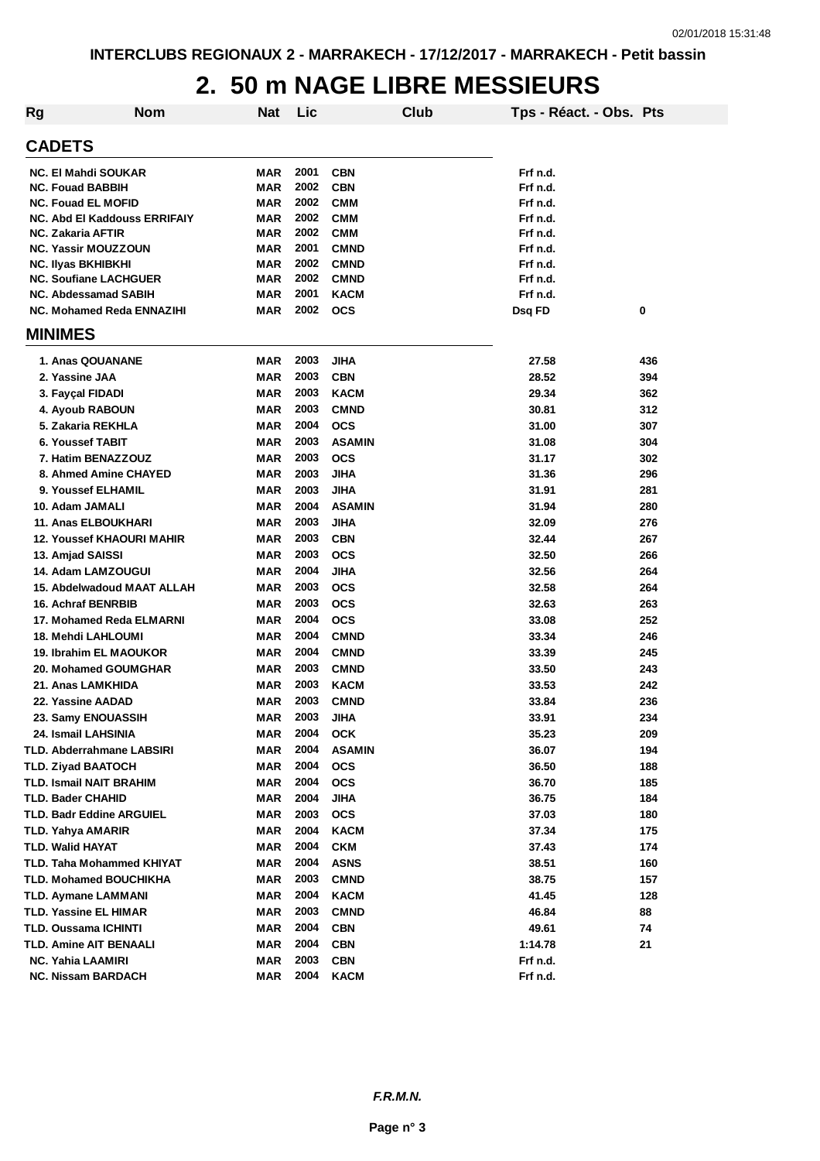### **2. 50 m NAGE LIBRE MESSIEURS**

| <b>Rg</b>     | <b>Nom</b>                       | <b>Nat</b> | Lic  |                           | <b>Club</b> | Tps - Réact. - Obs. Pts |            |
|---------------|----------------------------------|------------|------|---------------------------|-------------|-------------------------|------------|
| <b>CADETS</b> |                                  |            |      |                           |             |                         |            |
|               | NC. El Mahdi SOUKAR              | <b>MAR</b> | 2001 | <b>CBN</b>                |             | Frf n.d.                |            |
|               | <b>NC. Fouad BABBIH</b>          | <b>MAR</b> | 2002 | <b>CBN</b>                |             | Frf n.d.                |            |
|               | <b>NC. Fouad EL MOFID</b>        | MAR        | 2002 | <b>CMM</b>                |             | Frf n.d.                |            |
|               | NC. Abd El Kaddouss ERRIFAIY     | <b>MAR</b> | 2002 | <b>CMM</b>                |             | Frf n.d.                |            |
|               | NC. Zakaria AFTIR                | MAR        | 2002 | <b>CMM</b>                |             | Frf n.d.                |            |
|               | <b>NC. Yassir MOUZZOUN</b>       | MAR        | 2001 | <b>CMND</b>               |             | Frf n.d.                |            |
|               | <b>NC. Ilyas BKHIBKHI</b>        | <b>MAR</b> | 2002 | <b>CMND</b>               |             | Frf n.d.                |            |
|               | <b>NC. Soufiane LACHGUER</b>     | MAR        | 2002 | <b>CMND</b>               |             | Frf n.d.                |            |
|               | <b>NC. Abdessamad SABIH</b>      | MAR        | 2001 | <b>KACM</b>               |             | Frf n.d.                |            |
|               | NC. Mohamed Reda ENNAZIHI        | MAR        | 2002 | <b>OCS</b>                |             | Dsq FD                  | 0          |
|               | <b>MINIMES</b>                   |            |      |                           |             |                         |            |
|               | 1. Anas QOUANANE                 | <b>MAR</b> | 2003 | <b>JIHA</b>               |             | 27.58                   | 436        |
|               | 2. Yassine JAA                   | <b>MAR</b> | 2003 | <b>CBN</b>                |             | 28.52                   | 394        |
|               | 3. Fayçal FIDADI                 | MAR        | 2003 | <b>KACM</b>               |             | 29.34                   | 362        |
|               | 4. Ayoub RABOUN                  | <b>MAR</b> | 2003 | <b>CMND</b>               |             | 30.81                   | 312        |
|               | 5. Zakaria REKHLA                | <b>MAR</b> | 2004 | <b>OCS</b>                |             | 31.00                   | 307        |
|               | 6. Youssef TABIT                 | <b>MAR</b> | 2003 | <b>ASAMIN</b>             |             | 31.08                   | 304        |
|               | 7. Hatim BENAZZOUZ               | <b>MAR</b> | 2003 | <b>OCS</b>                |             | 31.17                   | 302        |
|               | 8. Ahmed Amine CHAYED            | <b>MAR</b> | 2003 | <b>JIHA</b>               |             | 31.36                   | 296        |
|               | 9. Youssef ELHAMIL               | <b>MAR</b> | 2003 | <b>JIHA</b>               |             | 31.91                   | 281        |
|               | 10. Adam JAMALI                  | <b>MAR</b> | 2004 | <b>ASAMIN</b>             |             | 31.94                   | 280        |
|               | 11. Anas ELBOUKHARI              | <b>MAR</b> | 2003 | <b>JIHA</b>               |             | 32.09                   | 276        |
|               | <b>12. Youssef KHAOURI MAHIR</b> | <b>MAR</b> | 2003 | <b>CBN</b>                |             | 32.44                   | 267        |
|               | 13. Amjad SAISSI                 | <b>MAR</b> | 2003 | <b>OCS</b>                |             | 32.50                   | 266        |
|               | 14. Adam LAMZOUGUI               | <b>MAR</b> | 2004 | <b>JIHA</b>               |             | 32.56                   | 264        |
|               | 15. Abdelwadoud MAAT ALLAH       | <b>MAR</b> | 2003 | <b>OCS</b>                |             | 32.58                   | 264        |
|               | <b>16. Achraf BENRBIB</b>        | MAR        | 2003 | <b>OCS</b>                |             | 32.63                   | 263        |
|               | 17. Mohamed Reda ELMARNI         | <b>MAR</b> | 2004 | <b>OCS</b>                |             | 33.08                   | 252        |
|               | 18. Mehdi LAHLOUMI               | <b>MAR</b> | 2004 | <b>CMND</b>               |             | 33.34                   | 246        |
|               | 19. Ibrahim EL MAOUKOR           | <b>MAR</b> | 2004 | <b>CMND</b>               |             | 33.39                   | 245        |
|               | 20. Mohamed GOUMGHAR             | <b>MAR</b> | 2003 | <b>CMND</b>               |             | 33.50                   | 243        |
|               | 21. Anas LAMKHIDA                | <b>MAR</b> | 2003 | <b>KACM</b>               |             | 33.53                   | 242        |
|               | 22. Yassine AADAD                | <b>MAR</b> | 2003 | <b>CMND</b>               |             | 33.84                   | 236        |
|               | 23. Samy ENOUASSIH               | <b>MAR</b> | 2003 | JIHA                      |             | 33.91                   | 234        |
|               | 24. Ismail LAHSINIA              | MAR        | 2004 | <b>OCK</b>                |             | 35.23                   | 209        |
|               | TLD. Abderrahmane LABSIRI        | MAR        | 2004 | <b>ASAMIN</b>             |             | 36.07                   | 194        |
|               | TLD. Ziyad BAATOCH               | MAR        | 2004 | <b>OCS</b>                |             | 36.50                   | 188        |
|               | TLD. Ismail NAIT BRAHIM          | MAR        | 2004 | <b>OCS</b>                |             | 36.70                   | 185        |
|               | TLD. Bader CHAHID                | MAR        | 2004 | <b>JIHA</b>               |             | 36.75                   | 184        |
|               | TLD. Badr Eddine ARGUIEL         | MAR        | 2003 | <b>OCS</b>                |             | 37.03                   | 180        |
|               | TLD. Yahya AMARIR                | MAR        | 2004 | <b>KACM</b>               |             | 37.34                   | 175        |
|               | TLD. Walid HAYAT                 | MAR        | 2004 | <b>CKM</b>                |             | 37.43                   | 174        |
|               | TLD. Taha Mohammed KHIYAT        | MAR        | 2004 | <b>ASNS</b>               |             | 38.51                   | 160        |
|               | TLD. Mohamed BOUCHIKHA           |            | 2003 |                           |             |                         |            |
|               |                                  | MAR        | 2004 | <b>CMND</b>               |             | 38.75<br>41.45          | 157<br>128 |
|               | TLD. Aymane LAMMANI              | MAR        | 2003 | <b>KACM</b>               |             |                         |            |
|               | TLD. Yassine EL HIMAR            | MAR        | 2004 | <b>CMND</b>               |             | 46.84                   | 88         |
|               | TLD. Oussama ICHINTI             | MAR        | 2004 | <b>CBN</b>                |             | 49.61                   | 74         |
|               | TLD. Amine AIT BENAALI           | MAR        | 2003 | <b>CBN</b>                |             | 1:14.78                 | 21         |
|               | <b>NC. Yahia LAAMIRI</b>         | MAR        | 2004 | <b>CBN</b><br><b>KACM</b> |             | Frf n.d.                |            |
|               | <b>NC. Nissam BARDACH</b>        | MAR        |      |                           |             | Frf n.d.                |            |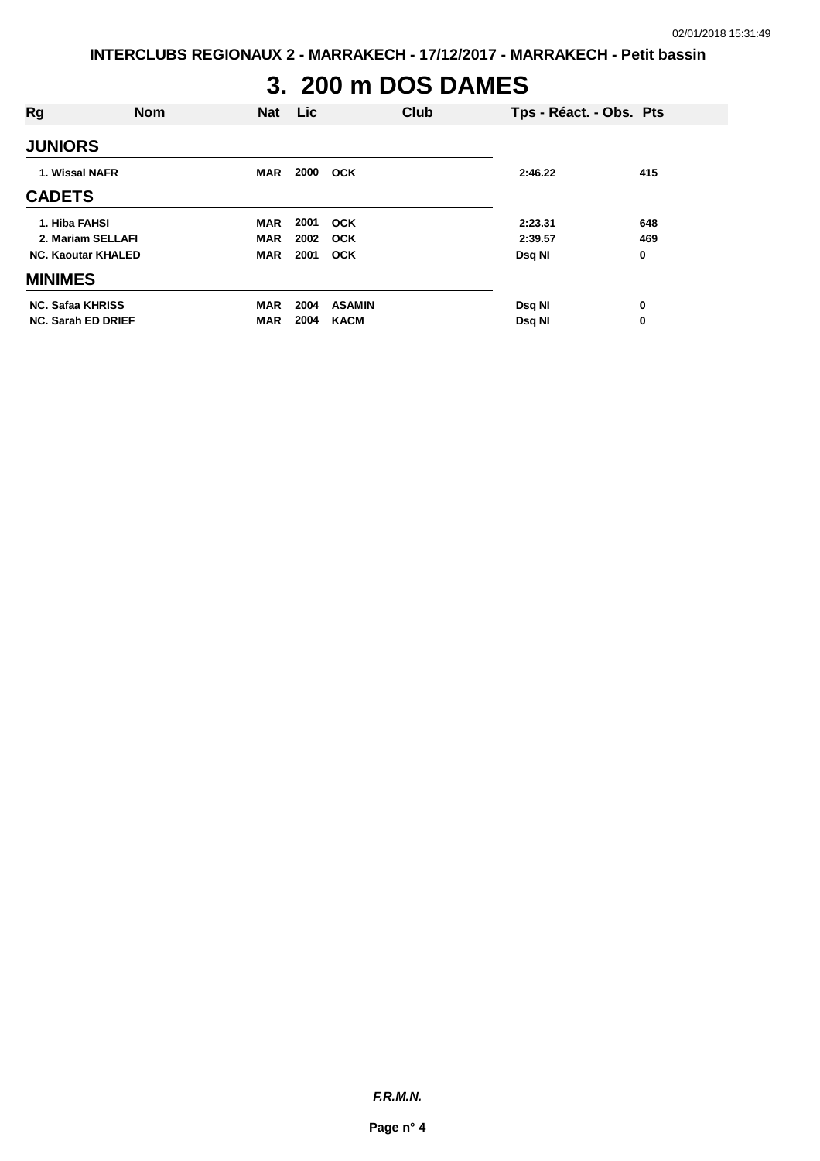### **3. 200 m DOS DAMES**

| Rg                        | <b>Nom</b> | <b>Nat</b> | Lic  |               | Club | Tps - Réact. - Obs. Pts |     |
|---------------------------|------------|------------|------|---------------|------|-------------------------|-----|
| <b>JUNIORS</b>            |            |            |      |               |      |                         |     |
| 1. Wissal NAFR            |            | <b>MAR</b> | 2000 | <b>OCK</b>    |      | 2:46.22                 | 415 |
| <b>CADETS</b>             |            |            |      |               |      |                         |     |
| 1. Hiba FAHSI             |            | <b>MAR</b> | 2001 | <b>OCK</b>    |      | 2:23.31                 | 648 |
| 2. Mariam SELLAFI         |            | <b>MAR</b> | 2002 | <b>OCK</b>    |      | 2:39.57                 | 469 |
| <b>NC. Kaoutar KHALED</b> |            | <b>MAR</b> | 2001 | <b>OCK</b>    |      | Dsq NI                  | 0   |
| <b>MINIMES</b>            |            |            |      |               |      |                         |     |
| <b>NC. Safaa KHRISS</b>   |            | <b>MAR</b> | 2004 | <b>ASAMIN</b> |      | Dsq NI                  | 0   |
| <b>NC. Sarah ED DRIEF</b> |            | <b>MAR</b> | 2004 | <b>KACM</b>   |      | Dsq NI                  | 0   |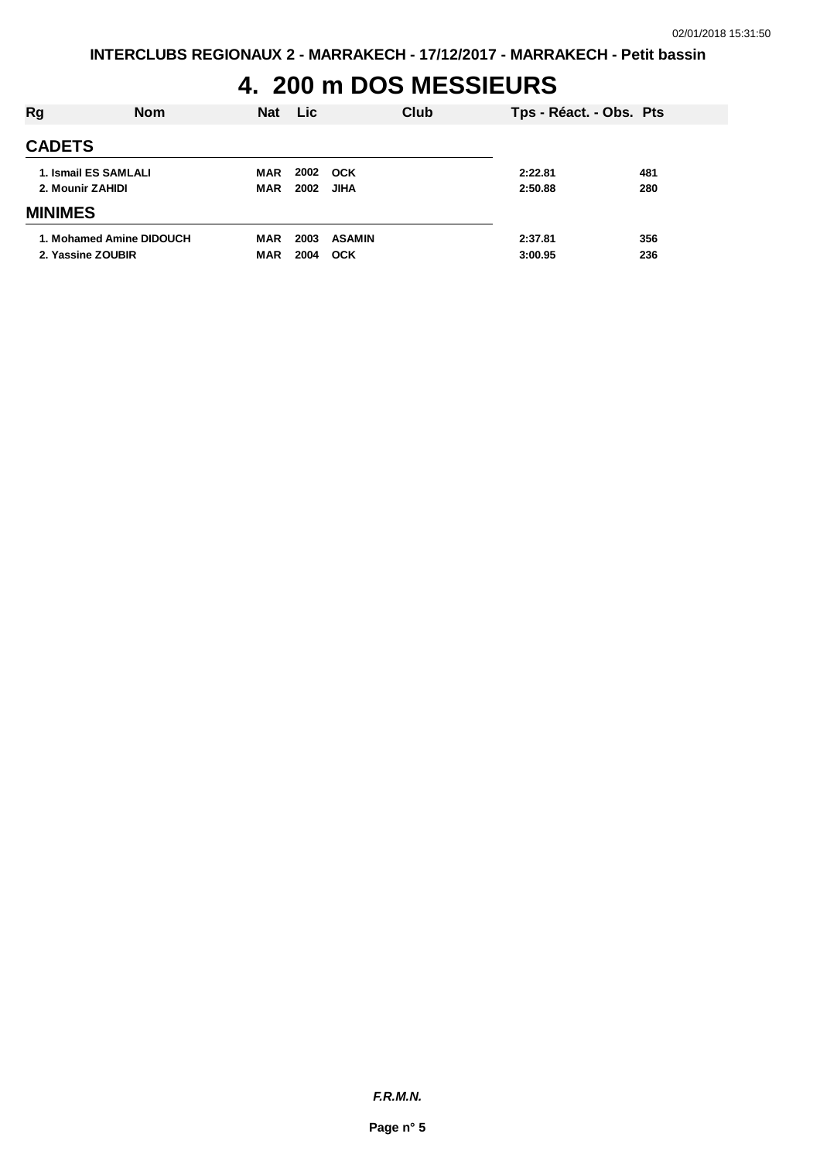# **4. 200 m DOS MESSIEURS**

| Rg                                            | <b>Nom</b> | <b>Nat</b>        | Lic.         |                             | Club | Tps - Réact. - Obs. Pts |            |
|-----------------------------------------------|------------|-------------------|--------------|-----------------------------|------|-------------------------|------------|
| <b>CADETS</b>                                 |            |                   |              |                             |      |                         |            |
| 1. Ismail ES SAMLALI<br>2. Mounir ZAHIDI      |            | MAR<br>MAR        | 2002<br>2002 | <b>OCK</b><br><b>JIHA</b>   |      | 2:22.81<br>2:50.88      | 481<br>280 |
| <b>MINIMES</b>                                |            |                   |              |                             |      |                         |            |
| 1. Mohamed Amine DIDOUCH<br>2. Yassine ZOUBIR |            | MAR<br><b>MAR</b> | 2003<br>2004 | <b>ASAMIN</b><br><b>OCK</b> |      | 2:37.81<br>3:00.95      | 356<br>236 |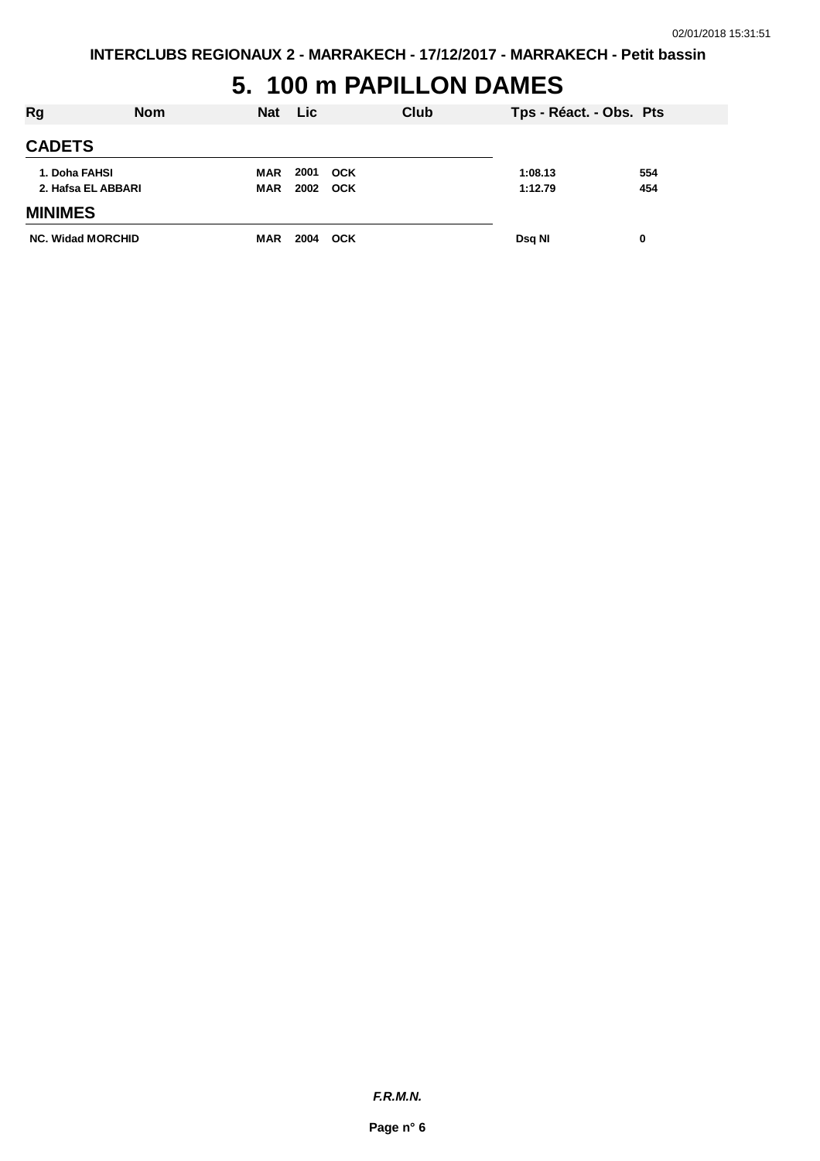## **5. 100 m PAPILLON DAMES**

| Rg                                  | <b>Nom</b> | <b>Nat</b>        | <b>Lic</b>   |                          | Club | Tps - Réact. - Obs. Pts |            |
|-------------------------------------|------------|-------------------|--------------|--------------------------|------|-------------------------|------------|
| <b>CADETS</b>                       |            |                   |              |                          |      |                         |            |
| 1. Doha FAHSI<br>2. Hafsa EL ABBARI |            | MAR<br><b>MAR</b> | 2001<br>2002 | <b>OCK</b><br><b>OCK</b> |      | 1:08.13<br>1:12.79      | 554<br>454 |
| <b>MINIMES</b>                      |            |                   |              |                          |      |                         |            |
| <b>NC. Widad MORCHID</b>            |            | <b>MAR</b>        | 2004         | <b>OCK</b>               |      | Dsq NI                  | 0          |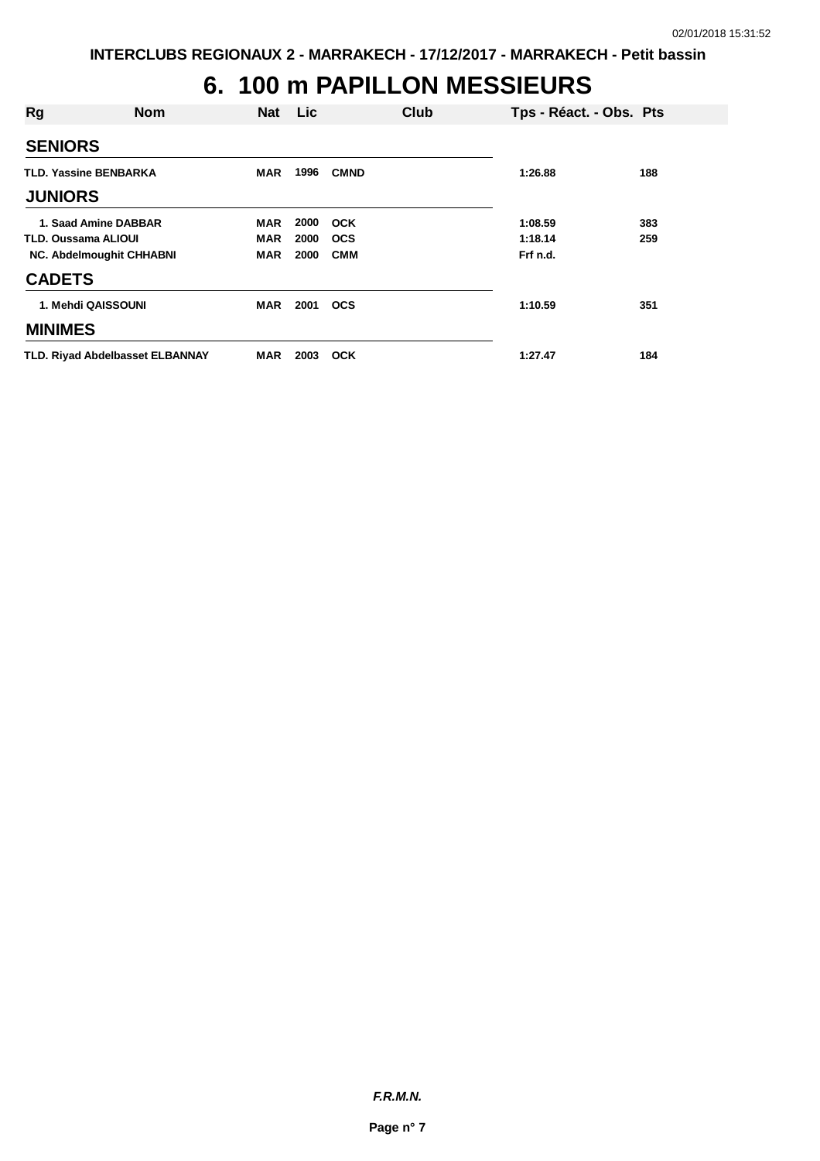# **6. 100 m PAPILLON MESSIEURS**

| Rg             | <b>Nom</b>                             |            | Nat Lic | Club        | Tps - Réact. - Obs. Pts |     |
|----------------|----------------------------------------|------------|---------|-------------|-------------------------|-----|
| <b>SENIORS</b> |                                        |            |         |             |                         |     |
|                | <b>TLD. Yassine BENBARKA</b>           | <b>MAR</b> | 1996    | <b>CMND</b> | 1:26.88                 | 188 |
| <b>JUNIORS</b> |                                        |            |         |             |                         |     |
|                | 1. Saad Amine DABBAR                   | <b>MAR</b> | 2000    | <b>OCK</b>  | 1:08.59                 | 383 |
|                | <b>TLD. Oussama ALIOUI</b>             | MAR        | 2000    | <b>OCS</b>  | 1:18.14                 | 259 |
|                | <b>NC. Abdelmoughit CHHABNI</b>        | <b>MAR</b> | 2000    | <b>CMM</b>  | Frf n.d.                |     |
| <b>CADETS</b>  |                                        |            |         |             |                         |     |
|                | 1. Mehdi QAISSOUNI                     | <b>MAR</b> | 2001    | <b>OCS</b>  | 1:10.59                 | 351 |
| <b>MINIMES</b> |                                        |            |         |             |                         |     |
|                | <b>TLD. Rivad Abdelbasset ELBANNAY</b> | MAR        | 2003    | <b>OCK</b>  | 1:27.47                 | 184 |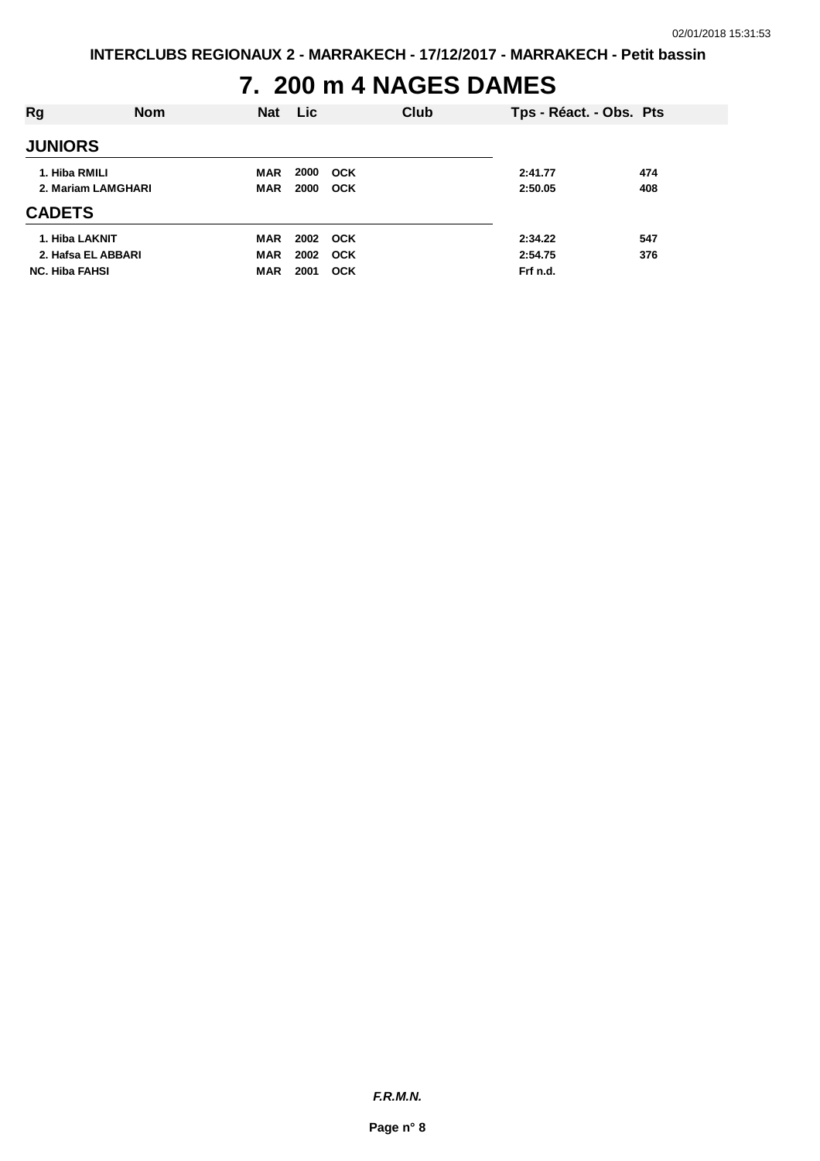## **7. 200 m 4 NAGES DAMES**

| Rg                                   | <b>Nom</b> | Nat                      | Lic          |                          | Club | Tps - Réact. - Obs. Pts |            |
|--------------------------------------|------------|--------------------------|--------------|--------------------------|------|-------------------------|------------|
| <b>JUNIORS</b>                       |            |                          |              |                          |      |                         |            |
| 1. Hiba RMILI<br>2. Mariam LAMGHARI  |            | <b>MAR</b><br><b>MAR</b> | 2000<br>2000 | <b>OCK</b><br><b>OCK</b> |      | 2:41.77<br>2:50.05      | 474<br>408 |
| <b>CADETS</b>                        |            |                          |              |                          |      |                         |            |
| 1. Hiba LAKNIT<br>2. Hafsa EL ABBARI |            | MAR<br><b>MAR</b>        | 2002         | 2002 OCK<br><b>OCK</b>   |      | 2:34.22<br>2:54.75      | 547<br>376 |
| <b>NC. Hiba FAHSI</b>                |            | <b>MAR</b>               | 2001         | <b>OCK</b>               |      | Frf n.d.                |            |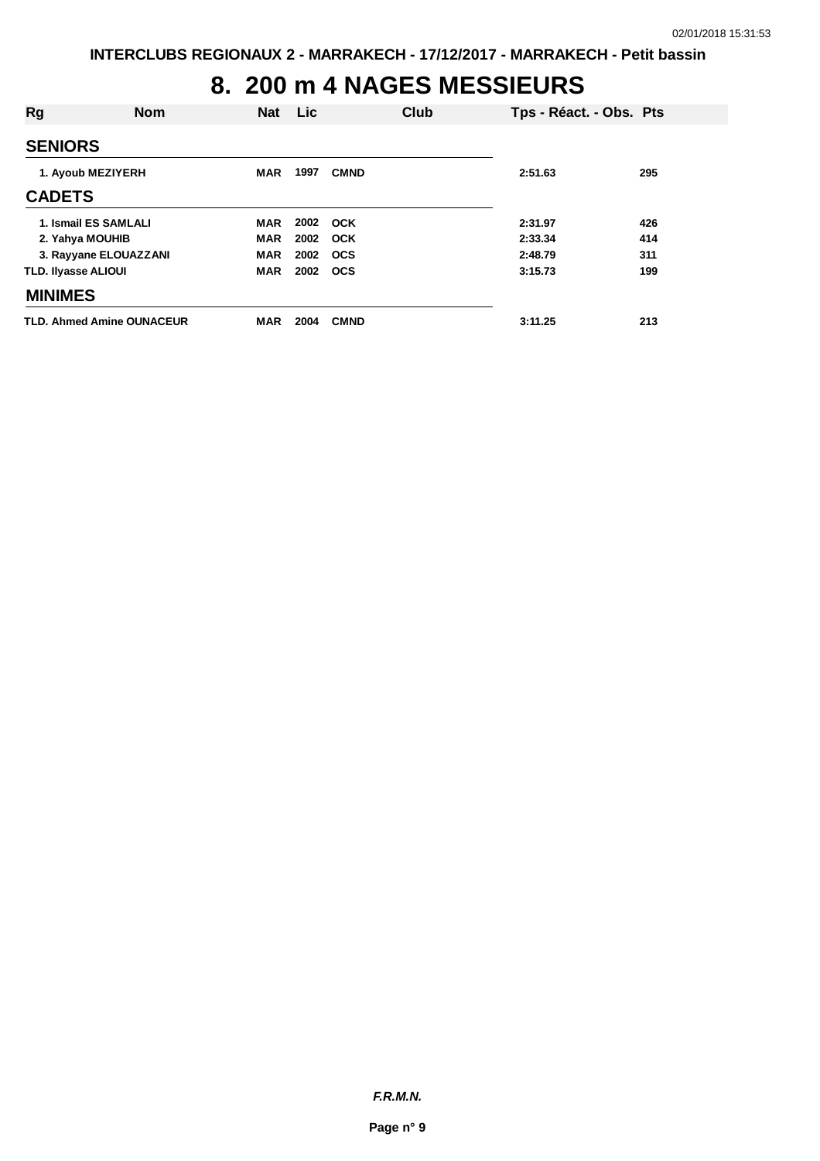## **8. 200 m 4 NAGES MESSIEURS**

| Rg                               | <b>Nom</b> | Nat        | <b>Lic</b> |             | Club | Tps - Réact. - Obs. Pts |     |
|----------------------------------|------------|------------|------------|-------------|------|-------------------------|-----|
| <b>SENIORS</b>                   |            |            |            |             |      |                         |     |
| 1. Ayoub MEZIYERH                |            | <b>MAR</b> | 1997       | <b>CMND</b> |      | 2:51.63                 | 295 |
| <b>CADETS</b>                    |            |            |            |             |      |                         |     |
| 1. Ismail ES SAMLALI             |            | <b>MAR</b> |            | 2002 OCK    |      | 2:31.97                 | 426 |
| 2. Yahya MOUHIB                  |            | <b>MAR</b> | 2002       | <b>OCK</b>  |      | 2:33.34                 | 414 |
| 3. Rayyane ELOUAZZANI            |            | <b>MAR</b> | 2002 OCS   |             |      | 2:48.79                 | 311 |
| <b>TLD. Ilyasse ALIOUI</b>       |            | <b>MAR</b> | 2002 OCS   |             |      | 3:15.73                 | 199 |
| <b>MINIMES</b>                   |            |            |            |             |      |                         |     |
| <b>TLD. Ahmed Amine OUNACEUR</b> |            | <b>MAR</b> | 2004       | <b>CMND</b> |      | 3:11.25                 | 213 |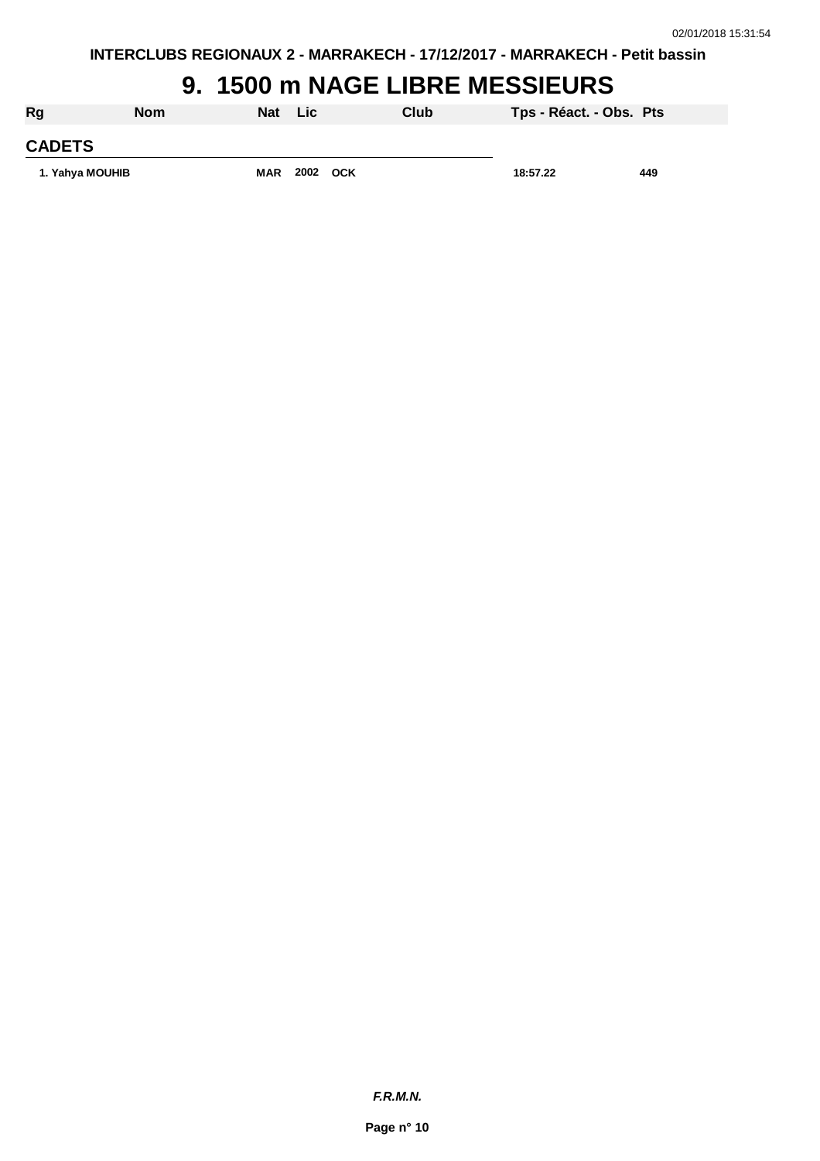**INTERCLUBS REGIONAUX 2 - MARRAKECH - 17/12/2017 - MARRAKECH - Petit bassin**

### **9. 1500 m NAGE LIBRE MESSIEURS**

| Rg              | <b>Nom</b> | Nat        | <b>Lic</b> | Club | Tps - Réact. - Obs. Pts |     |
|-----------------|------------|------------|------------|------|-------------------------|-----|
| <b>CADETS</b>   |            |            |            |      |                         |     |
| 1. Yahya MOUHIB |            | <b>MAR</b> | 2002 OCK   |      | 18:57.22                | 449 |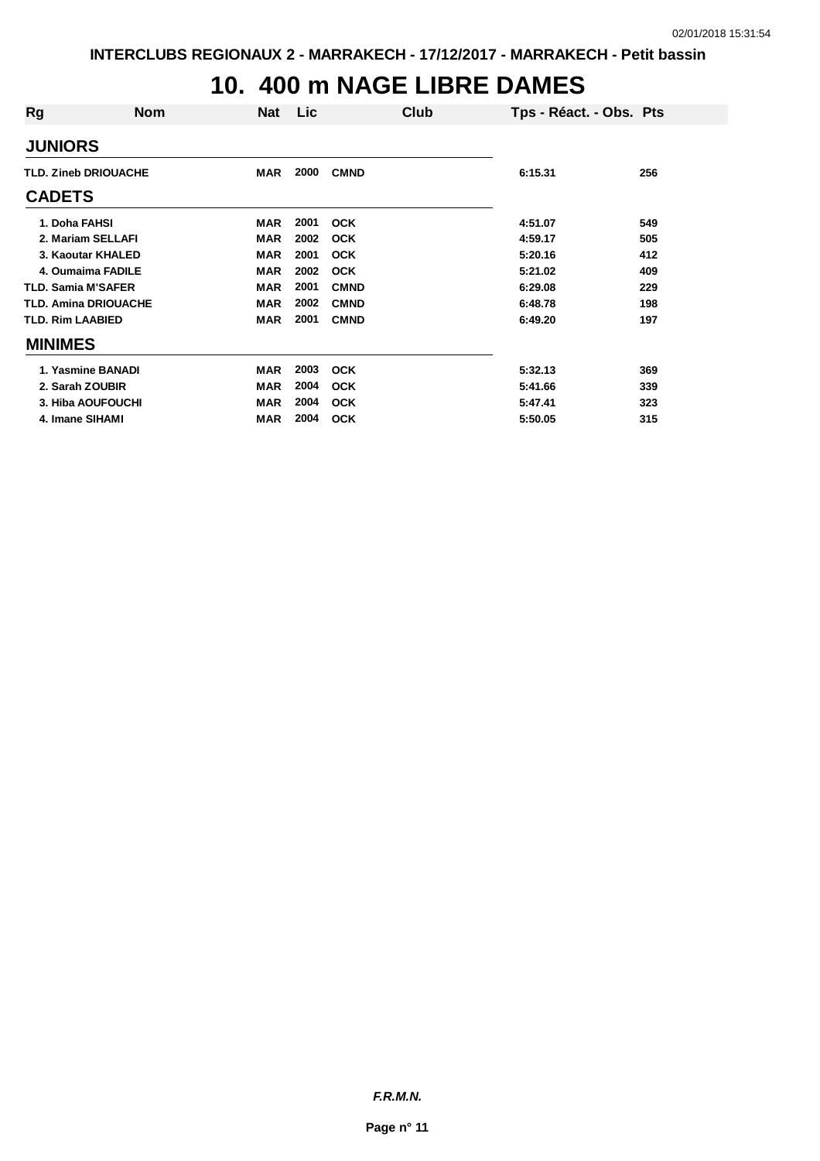# **10. 400 m NAGE LIBRE DAMES**

| Rg                          | <b>Nom</b>                  | <b>Nat</b> | Lic  | Club        | Tps - Réact. - Obs. Pts |     |
|-----------------------------|-----------------------------|------------|------|-------------|-------------------------|-----|
| <b>JUNIORS</b>              |                             |            |      |             |                         |     |
| <b>TLD. Zineb DRIOUACHE</b> |                             | <b>MAR</b> | 2000 | <b>CMND</b> | 6:15.31                 | 256 |
| <b>CADETS</b>               |                             |            |      |             |                         |     |
| 1. Doha FAHSI               |                             | <b>MAR</b> | 2001 | <b>OCK</b>  | 4:51.07                 | 549 |
|                             | 2. Mariam SELLAFI           | <b>MAR</b> | 2002 | <b>OCK</b>  | 4:59.17                 | 505 |
|                             | 3. Kaoutar KHALED           | <b>MAR</b> | 2001 | <b>OCK</b>  | 5:20.16                 | 412 |
|                             | 4. Oumaima FADILE           | <b>MAR</b> | 2002 | <b>OCK</b>  | 5:21.02                 | 409 |
| <b>TLD. Samia M'SAFER</b>   |                             | <b>MAR</b> | 2001 | <b>CMND</b> | 6:29.08                 | 229 |
|                             | <b>TLD. Amina DRIOUACHE</b> | <b>MAR</b> | 2002 | <b>CMND</b> | 6:48.78                 | 198 |
| <b>TLD. Rim LAABIED</b>     |                             | <b>MAR</b> | 2001 | <b>CMND</b> | 6:49.20                 | 197 |
| <b>MINIMES</b>              |                             |            |      |             |                         |     |
|                             | 1. Yasmine BANADI           | <b>MAR</b> | 2003 | <b>OCK</b>  | 5:32.13                 | 369 |
|                             | 2. Sarah ZOUBIR             | <b>MAR</b> | 2004 | <b>OCK</b>  | 5:41.66                 | 339 |
|                             | 3. Hiba AOUFOUCHI           | <b>MAR</b> | 2004 | <b>OCK</b>  | 5:47.41                 | 323 |
|                             | 4. Imane SIHAMI             | <b>MAR</b> | 2004 | <b>OCK</b>  | 5:50.05                 | 315 |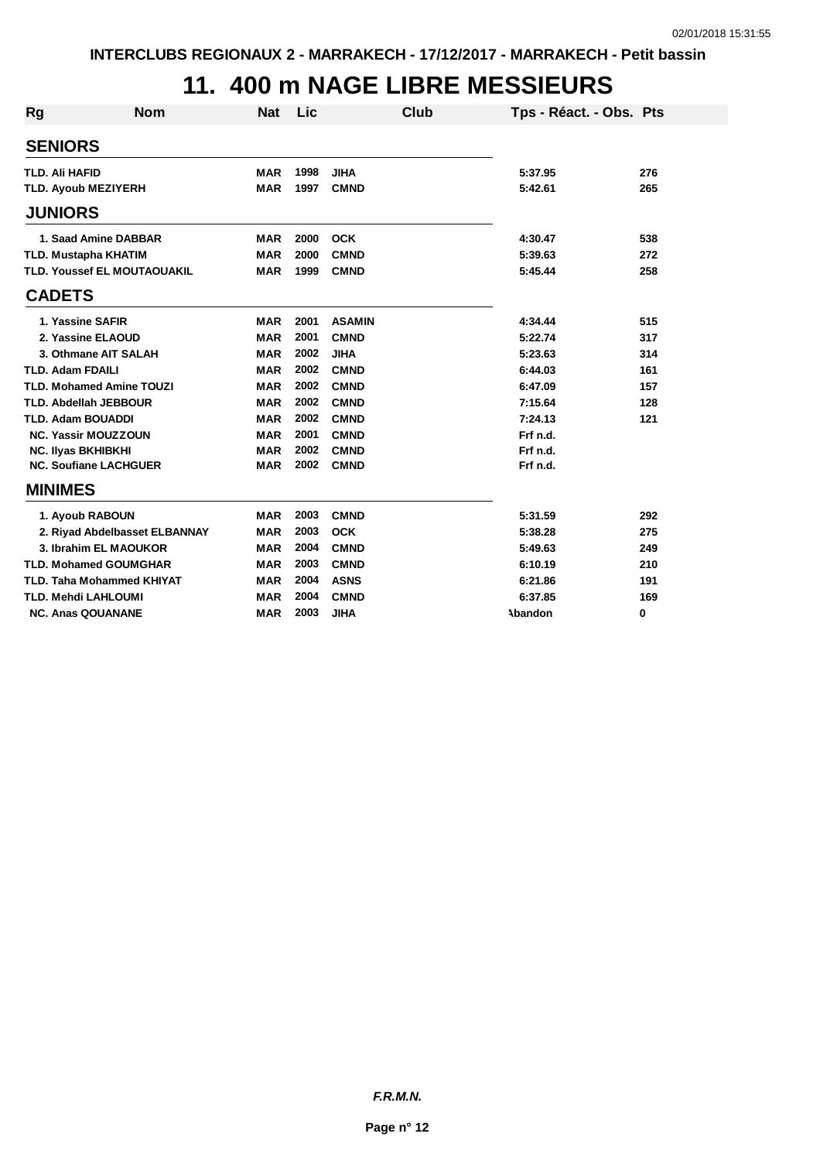## **11. 400 m NAGE LIBRE MESSIEURS**

| Rg | <b>Nom</b>                         | <b>Nat</b> | Lic  |               | <b>Club</b> | Tps - Réact. - Obs. Pts |     |
|----|------------------------------------|------------|------|---------------|-------------|-------------------------|-----|
|    | <b>SENIORS</b>                     |            |      |               |             |                         |     |
|    | <b>TLD. Ali HAFID</b>              | <b>MAR</b> | 1998 | <b>JIHA</b>   |             | 5:37.95                 | 276 |
|    | <b>TLD. Ayoub MEZIYERH</b>         | <b>MAR</b> | 1997 | <b>CMND</b>   |             | 5:42.61                 | 265 |
|    |                                    |            |      |               |             |                         |     |
|    | <b>JUNIORS</b>                     |            |      |               |             |                         |     |
|    | 1. Saad Amine DABBAR               | <b>MAR</b> | 2000 | <b>OCK</b>    |             | 4:30.47                 | 538 |
|    | <b>TLD. Mustapha KHATIM</b>        | <b>MAR</b> | 2000 | <b>CMND</b>   |             | 5:39.63                 | 272 |
|    | <b>TLD. Youssef EL MOUTAOUAKIL</b> | <b>MAR</b> | 1999 | <b>CMND</b>   |             | 5:45.44                 | 258 |
|    | <b>CADETS</b>                      |            |      |               |             |                         |     |
|    | 1. Yassine SAFIR                   | MAR        | 2001 | <b>ASAMIN</b> |             | 4:34.44                 | 515 |
|    | 2. Yassine ELAOUD                  | <b>MAR</b> | 2001 | <b>CMND</b>   |             | 5:22.74                 | 317 |
|    | 3. Othmane AIT SALAH               | <b>MAR</b> | 2002 | <b>JIHA</b>   |             | 5:23.63                 | 314 |
|    | <b>TLD. Adam FDAILI</b>            | <b>MAR</b> | 2002 | <b>CMND</b>   |             | 6:44.03                 | 161 |
|    | <b>TLD. Mohamed Amine TOUZI</b>    | <b>MAR</b> | 2002 | <b>CMND</b>   |             | 6:47.09                 | 157 |
|    | <b>TLD. Abdellah JEBBOUR</b>       | <b>MAR</b> | 2002 | <b>CMND</b>   |             | 7:15.64                 | 128 |
|    | <b>TLD. Adam BOUADDI</b>           | <b>MAR</b> | 2002 | <b>CMND</b>   |             | 7:24.13                 | 121 |
|    | <b>NC. Yassir MOUZZOUN</b>         | <b>MAR</b> | 2001 | <b>CMND</b>   |             | Frf n.d.                |     |
|    | <b>NC. Ilyas BKHIBKHI</b>          | <b>MAR</b> | 2002 | <b>CMND</b>   |             | Frf n.d.                |     |
|    | <b>NC. Soufiane LACHGUER</b>       | <b>MAR</b> | 2002 | <b>CMND</b>   |             | Frf n.d.                |     |
|    | <b>MINIMES</b>                     |            |      |               |             |                         |     |
|    | 1. Ayoub RABOUN                    | <b>MAR</b> | 2003 | <b>CMND</b>   |             | 5:31.59                 | 292 |
|    | 2. Riyad Abdelbasset ELBANNAY      | <b>MAR</b> | 2003 | <b>OCK</b>    |             | 5:38.28                 | 275 |
|    | 3. Ibrahim EL MAOUKOR              | <b>MAR</b> | 2004 | <b>CMND</b>   |             | 5:49.63                 | 249 |
|    | <b>TLD. Mohamed GOUMGHAR</b>       | <b>MAR</b> | 2003 | <b>CMND</b>   |             | 6:10.19                 | 210 |
|    | <b>TLD. Taha Mohammed KHIYAT</b>   | <b>MAR</b> | 2004 | <b>ASNS</b>   |             | 6:21.86                 | 191 |
|    | <b>TLD. Mehdi LAHLOUMI</b>         | <b>MAR</b> | 2004 | <b>CMND</b>   |             | 6:37.85                 | 169 |
|    | <b>NC. Anas QOUANANE</b>           | <b>MAR</b> | 2003 | <b>JIHA</b>   |             | Abandon                 | 0   |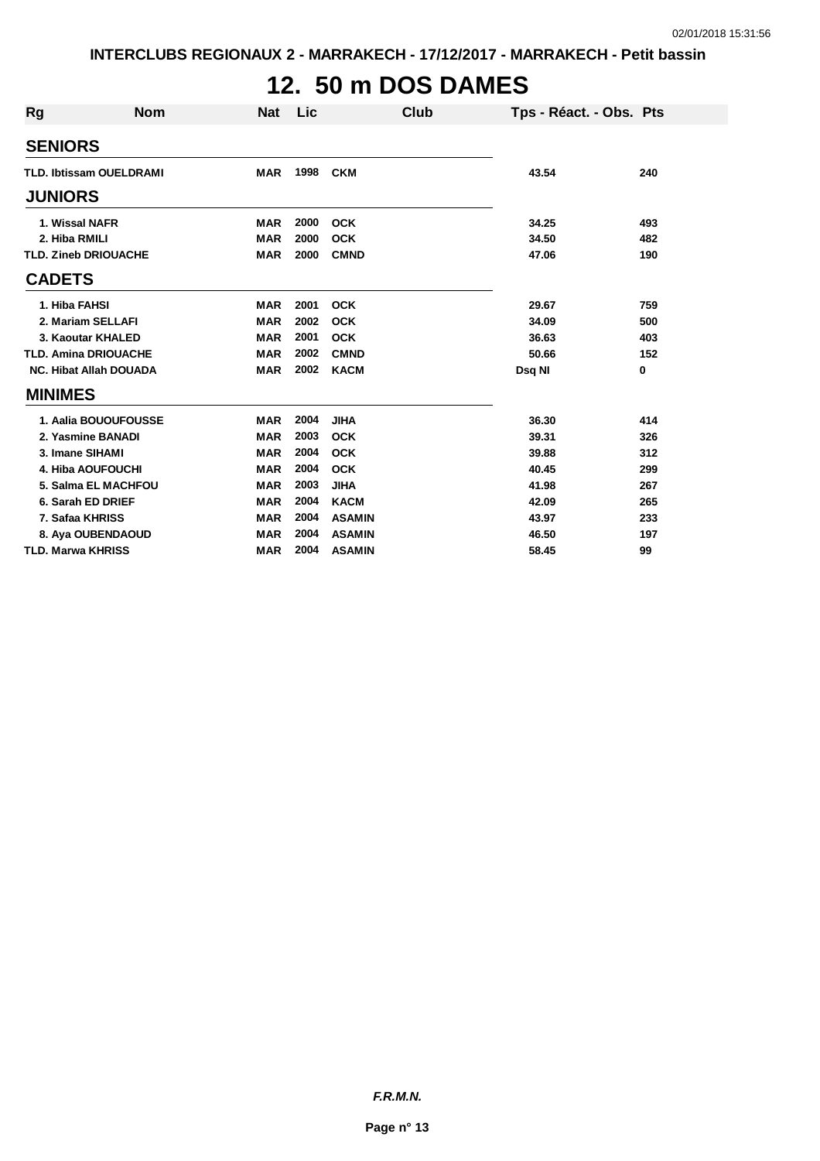## **12. 50 m DOS DAMES**

| <b>Rg</b>                      | <b>Nom</b>           | <b>Nat</b> | Lic  | Club          | Tps - Réact. - Obs. Pts |     |
|--------------------------------|----------------------|------------|------|---------------|-------------------------|-----|
| <b>SENIORS</b>                 |                      |            |      |               |                         |     |
| <b>TLD. Ibtissam OUELDRAMI</b> |                      | <b>MAR</b> | 1998 | <b>CKM</b>    | 43.54                   | 240 |
| <b>JUNIORS</b>                 |                      |            |      |               |                         |     |
| 1. Wissal NAFR                 |                      | <b>MAR</b> | 2000 | <b>OCK</b>    | 34.25                   | 493 |
| 2. Hiba RMILI                  |                      | <b>MAR</b> | 2000 | <b>OCK</b>    | 34.50                   | 482 |
| <b>TLD. Zineb DRIOUACHE</b>    |                      | <b>MAR</b> | 2000 | <b>CMND</b>   | 47.06                   | 190 |
| <b>CADETS</b>                  |                      |            |      |               |                         |     |
| 1. Hiba FAHSI                  |                      | <b>MAR</b> | 2001 | <b>OCK</b>    | 29.67                   | 759 |
| 2. Mariam SELLAFI              |                      | <b>MAR</b> | 2002 | <b>OCK</b>    | 34.09                   | 500 |
| 3. Kaoutar KHALED              |                      | <b>MAR</b> | 2001 | <b>OCK</b>    | 36.63                   | 403 |
| <b>TLD. Amina DRIOUACHE</b>    |                      | <b>MAR</b> | 2002 | <b>CMND</b>   | 50.66                   | 152 |
| <b>NC. Hibat Allah DOUADA</b>  |                      | <b>MAR</b> | 2002 | <b>KACM</b>   | Dsq NI                  | 0   |
| <b>MINIMES</b>                 |                      |            |      |               |                         |     |
|                                | 1. Aalia BOUOUFOUSSE | <b>MAR</b> | 2004 | <b>JIHA</b>   | 36.30                   | 414 |
| 2. Yasmine BANADI              |                      | <b>MAR</b> | 2003 | <b>OCK</b>    | 39.31                   | 326 |
| 3. Imane SIHAMI                |                      | <b>MAR</b> | 2004 | <b>OCK</b>    | 39.88                   | 312 |
| <b>4. Hiba AOUFOUCHI</b>       |                      | <b>MAR</b> | 2004 | <b>OCK</b>    | 40.45                   | 299 |
|                                | 5. Salma EL MACHFOU  | <b>MAR</b> | 2003 | <b>JIHA</b>   | 41.98                   | 267 |
| 6. Sarah ED DRIEF              |                      | <b>MAR</b> | 2004 | <b>KACM</b>   | 42.09                   | 265 |
| 7. Safaa KHRISS                |                      | <b>MAR</b> | 2004 | <b>ASAMIN</b> | 43.97                   | 233 |
| 8. Aya OUBENDAOUD              |                      | <b>MAR</b> | 2004 | <b>ASAMIN</b> | 46.50                   | 197 |
| <b>TLD. Marwa KHRISS</b>       |                      | <b>MAR</b> | 2004 | <b>ASAMIN</b> | 58.45                   | 99  |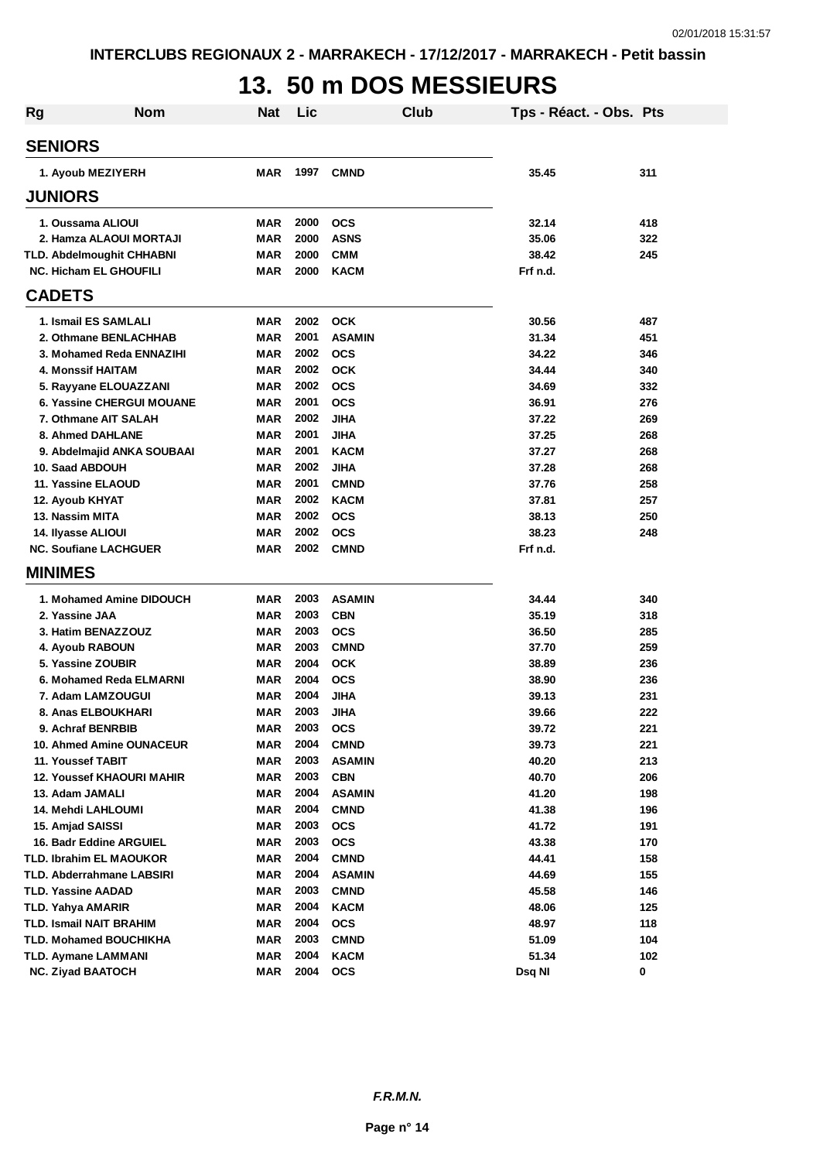# **13. 50 m DOS MESSIEURS**

| <b>Rg</b> | Nom                                                      | <b>Nat</b>        | Lic          | Club                      | Tps - Réact. - Obs. Pts |            |
|-----------|----------------------------------------------------------|-------------------|--------------|---------------------------|-------------------------|------------|
|           | <b>SENIORS</b>                                           |                   |              |                           |                         |            |
|           | 1. Ayoub MEZIYERH                                        | MAR               | 1997         | <b>CMND</b>               | 35.45                   | 311        |
|           | <b>JUNIORS</b>                                           |                   |              |                           |                         |            |
|           | 1. Oussama ALIOUI                                        | <b>MAR</b>        | 2000         | <b>OCS</b>                | 32.14                   | 418        |
|           | 2. Hamza ALAOUI MORTAJI                                  | <b>MAR</b>        | 2000         | <b>ASNS</b>               | 35.06                   | 322        |
|           | <b>TLD. Abdelmoughit CHHABNI</b>                         | <b>MAR</b>        | 2000         | <b>CMM</b>                | 38.42                   | 245        |
|           | <b>NC. Hicham EL GHOUFILI</b>                            | <b>MAR</b>        | 2000         | <b>KACM</b>               | Frf n.d.                |            |
|           | <b>CADETS</b>                                            |                   |              |                           |                         |            |
|           | 1. Ismail ES SAMLALI                                     | <b>MAR</b>        | 2002         | <b>OCK</b>                | 30.56                   | 487        |
|           | 2. Othmane BENLACHHAB                                    | <b>MAR</b>        | 2001         | <b>ASAMIN</b>             | 31.34                   | 451        |
|           | 3. Mohamed Reda ENNAZIHI                                 | <b>MAR</b>        | 2002         | <b>OCS</b>                | 34.22                   | 346        |
|           | 4. Monssif HAITAM                                        | <b>MAR</b>        | 2002         | <b>OCK</b>                | 34.44                   | 340        |
|           | 5. Rayyane ELOUAZZANI                                    | <b>MAR</b>        | 2002         | <b>OCS</b>                | 34.69                   | 332        |
|           | <b>6. Yassine CHERGUI MOUANE</b>                         | <b>MAR</b>        | 2001         | <b>OCS</b>                | 36.91                   | 276        |
|           | 7. Othmane AIT SALAH                                     | <b>MAR</b>        | 2002         | <b>JIHA</b>               | 37.22                   | 269        |
|           | 8. Ahmed DAHLANE                                         | <b>MAR</b>        | 2001         | <b>JIHA</b>               | 37.25                   | 268        |
|           | 9. Abdelmajid ANKA SOUBAAI                               | <b>MAR</b>        | 2001         | <b>KACM</b>               | 37.27                   | 268        |
|           | 10. Saad ABDOUH                                          | <b>MAR</b>        | 2002         | JIHA                      | 37.28                   | 268        |
|           | 11. Yassine ELAOUD                                       | <b>MAR</b>        | 2001         | <b>CMND</b>               | 37.76                   | 258        |
|           | 12. Ayoub KHYAT                                          | <b>MAR</b>        | 2002         | <b>KACM</b>               | 37.81                   | 257        |
|           | 13. Nassim MITA                                          | <b>MAR</b>        | 2002         | <b>OCS</b>                | 38.13                   | 250        |
|           | 14. Ilyasse ALIOUI                                       | <b>MAR</b>        | 2002         | <b>OCS</b>                | 38.23                   | 248        |
|           | <b>NC. Soufiane LACHGUER</b>                             | <b>MAR</b>        | 2002         | <b>CMND</b>               | Frf n.d.                |            |
|           | <b>MINIMES</b>                                           |                   |              |                           |                         |            |
|           | 1. Mohamed Amine DIDOUCH                                 | MAR               | 2003         | <b>ASAMIN</b>             | 34.44                   | 340        |
|           | 2. Yassine JAA                                           | <b>MAR</b>        | 2003         | <b>CBN</b>                | 35.19                   | 318        |
|           | 3. Hatim BENAZZOUZ                                       | <b>MAR</b>        | 2003         | <b>OCS</b>                | 36.50                   | 285        |
|           | 4. Ayoub RABOUN                                          | <b>MAR</b>        | 2003         | <b>CMND</b>               | 37.70                   | 259        |
|           | 5. Yassine ZOUBIR                                        | MAR               | 2004         | <b>OCK</b>                | 38.89                   | 236        |
|           | 6. Mohamed Reda ELMARNI                                  | MAR               | 2004         | <b>OCS</b>                | 38.90                   | 236        |
|           | 7. Adam LAMZOUGUI                                        | MAR               | 2004         | <b>JIHA</b>               | 39.13                   | 231        |
|           | 8. Anas ELBOUKHARI                                       | <b>MAR</b>        | 2003         | <b>JIHA</b>               | 39.66                   | 222        |
|           | 9. Achraf BENRBIB                                        | MAR               | 2003         | <b>OCS</b>                | 39.72                   | 221        |
|           | 10. Ahmed Amine OUNACEUR                                 | <b>MAR</b>        | 2004         | <b>CMND</b>               | 39.73                   | 221        |
|           | 11. Youssef TABIT                                        | MAR               | 2003         | <b>ASAMIN</b>             | 40.20                   | 213        |
|           | <b>12. Youssef KHAOURI MAHIR</b>                         | <b>MAR</b>        | 2003         | <b>CBN</b>                | 40.70                   | 206        |
|           | 13. Adam JAMALI                                          | <b>MAR</b>        | 2004         | <b>ASAMIN</b>             | 41.20                   | 198        |
|           | 14. Mehdi LAHLOUMI                                       | <b>MAR</b>        | 2004         | <b>CMND</b>               | 41.38                   | 196        |
|           | 15. Amjad SAISSI                                         | <b>MAR</b>        | 2003         | <b>OCS</b>                | 41.72                   | 191        |
|           | 16. Badr Eddine ARGUIEL                                  | <b>MAR</b>        | 2003         | <b>OCS</b>                | 43.38                   | 170        |
|           | <b>TLD. Ibrahim EL MAOUKOR</b>                           | <b>MAR</b>        | 2004         | <b>CMND</b>               | 44.41                   | 158        |
|           | TLD. Abderrahmane LABSIRI                                | <b>MAR</b>        | 2004         | <b>ASAMIN</b>             | 44.69                   | 155        |
|           | TLD. Yassine AADAD                                       | MAR               | 2003<br>2004 | <b>CMND</b>               | 45.58                   | 146        |
|           | TLD. Yahya AMARIR                                        | <b>MAR</b>        | 2004         | <b>KACM</b>               | 48.06                   | 125        |
|           | <b>TLD. Ismail NAIT BRAHIM</b><br>TLD. Mohamed BOUCHIKHA | <b>MAR</b><br>MAR | 2003         | <b>OCS</b><br><b>CMND</b> | 48.97<br>51.09          | 118<br>104 |
|           | <b>TLD. Aymane LAMMANI</b>                               | <b>MAR</b>        | 2004         | <b>KACM</b>               | 51.34                   | 102        |
|           | <b>NC. Ziyad BAATOCH</b>                                 | MAR               | 2004         | <b>OCS</b>                | Dsq NI                  | 0          |
|           |                                                          |                   |              |                           |                         |            |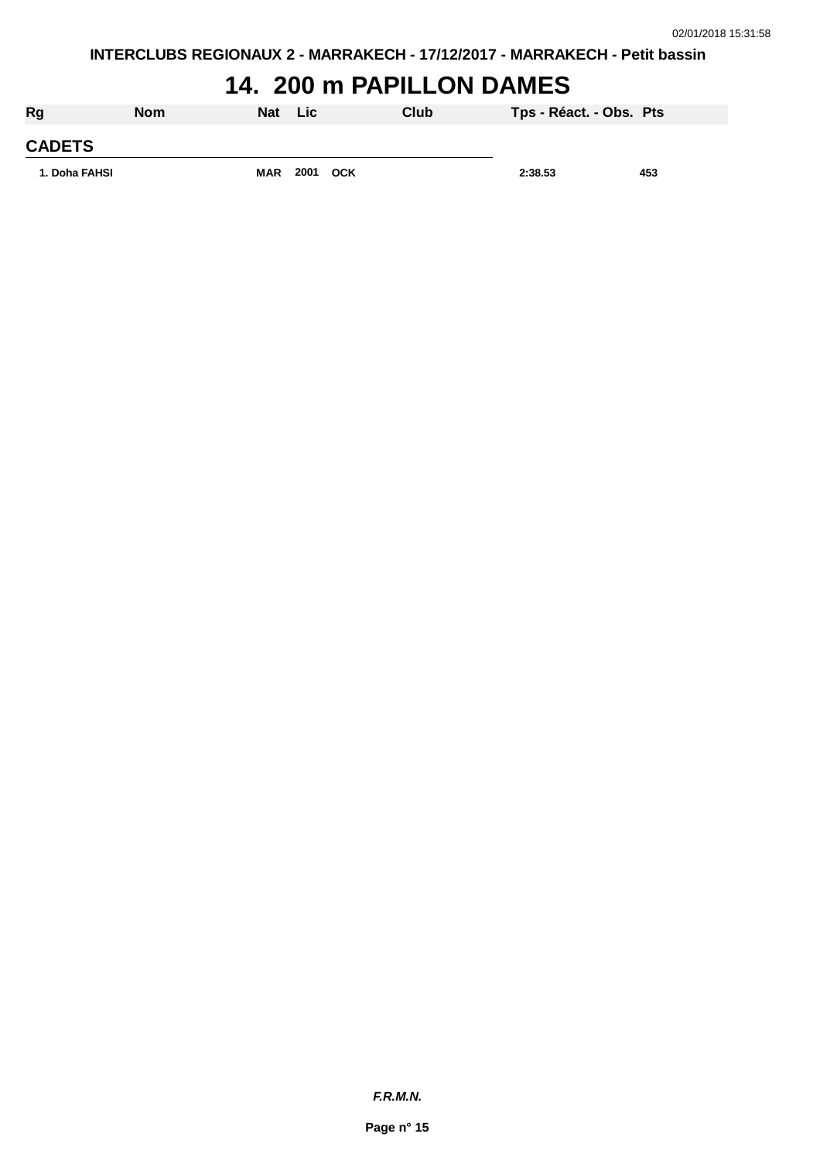### **14. 200 m PAPILLON DAMES**

| Rg            | <b>Nom</b> | <b>Nat</b> | Lic  |            | Club | Tps - Réact. - Obs. Pts |     |
|---------------|------------|------------|------|------------|------|-------------------------|-----|
| <b>CADETS</b> |            |            |      |            |      |                         |     |
| 1. Doha FAHSI |            | <b>MAR</b> | 2001 | <b>OCK</b> |      | 2:38.53                 | 453 |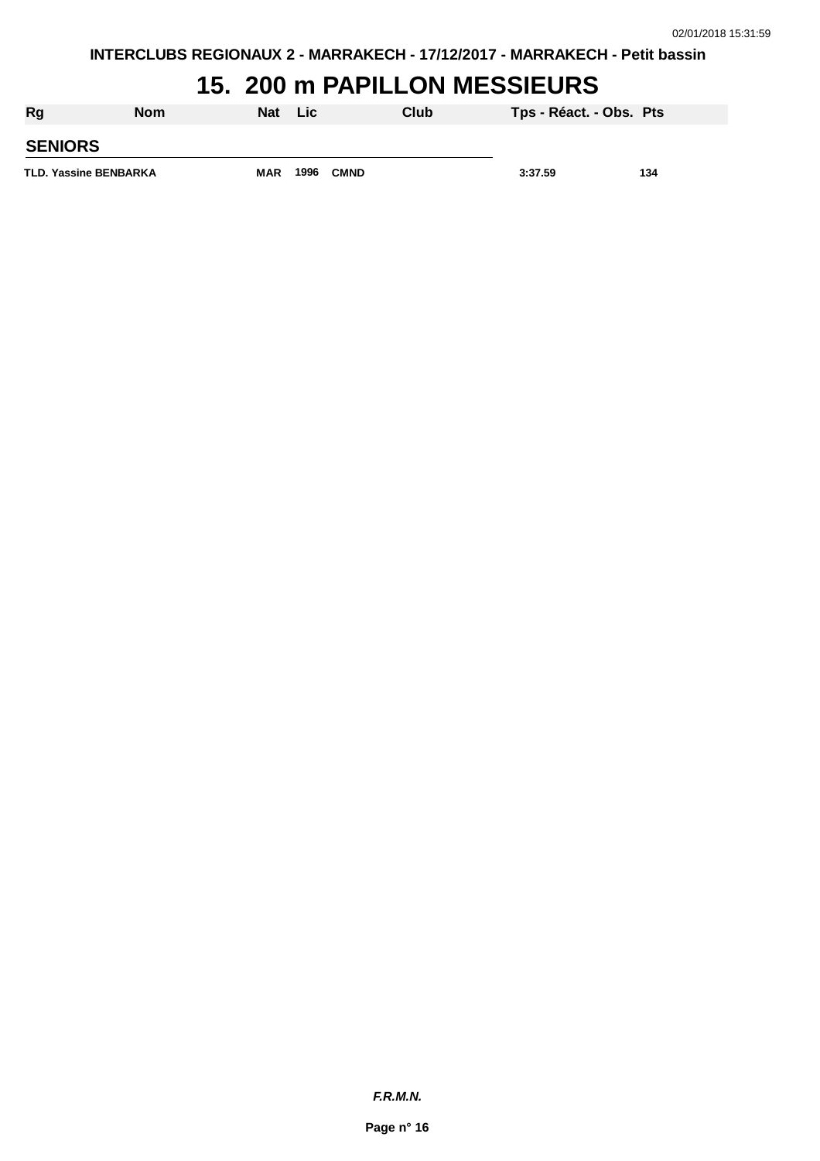#### **15. 200 m PAPILLON MESSIEURS**

| Rg                           | <b>Nom</b> | Nat | <b>Lic</b> |             | Club | Tps - Réact. - Obs. Pts |     |
|------------------------------|------------|-----|------------|-------------|------|-------------------------|-----|
| <b>SENIORS</b>               |            |     |            |             |      |                         |     |
| <b>TLD. Yassine BENBARKA</b> |            | MAR | 1996       | <b>CMND</b> |      | 3:37.59                 | 134 |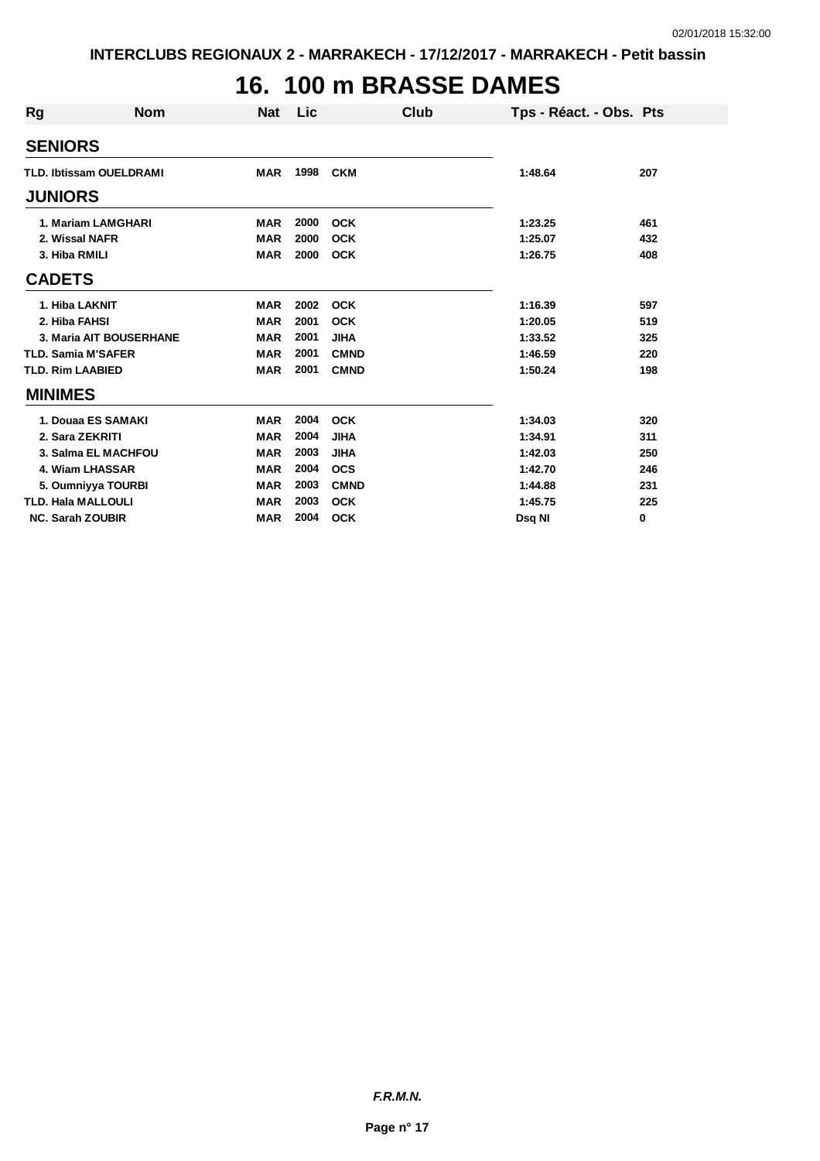# **16. 100 m BRASSE DAMES**

| <b>Rg</b> | <b>Nom</b>                     | <b>Nat</b> | Lic  | Club        | Tps - Réact. - Obs. Pts |     |
|-----------|--------------------------------|------------|------|-------------|-------------------------|-----|
|           | <b>SENIORS</b>                 |            |      |             |                         |     |
|           | <b>TLD. Ibtissam OUELDRAMI</b> | <b>MAR</b> | 1998 | <b>CKM</b>  | 1:48.64                 | 207 |
|           | <b>JUNIORS</b>                 |            |      |             |                         |     |
|           | 1. Mariam LAMGHARI             | <b>MAR</b> | 2000 | <b>OCK</b>  | 1:23.25                 | 461 |
|           | 2. Wissal NAFR                 | <b>MAR</b> | 2000 | <b>OCK</b>  | 1:25.07                 | 432 |
|           | 3. Hiba RMILI                  | <b>MAR</b> | 2000 | <b>OCK</b>  | 1:26.75                 | 408 |
|           | <b>CADETS</b>                  |            |      |             |                         |     |
|           | 1. Hiba LAKNIT                 | <b>MAR</b> | 2002 | <b>OCK</b>  | 1:16.39                 | 597 |
|           | 2. Hiba FAHSI                  | <b>MAR</b> | 2001 | <b>OCK</b>  | 1:20.05                 | 519 |
|           | 3. Maria AIT BOUSERHANE        | <b>MAR</b> | 2001 | <b>JIHA</b> | 1:33.52                 | 325 |
|           | <b>TLD. Samia M'SAFER</b>      | <b>MAR</b> | 2001 | <b>CMND</b> | 1:46.59                 | 220 |
|           | <b>TLD. Rim LAABIED</b>        | <b>MAR</b> | 2001 | <b>CMND</b> | 1:50.24                 | 198 |
|           | <b>MINIMES</b>                 |            |      |             |                         |     |
|           | 1. Douaa ES SAMAKI             | <b>MAR</b> | 2004 | <b>OCK</b>  | 1:34.03                 | 320 |
|           | 2. Sara ZEKRITI                | <b>MAR</b> | 2004 | <b>JIHA</b> | 1:34.91                 | 311 |
|           | 3. Salma EL MACHFOU            | <b>MAR</b> | 2003 | <b>JIHA</b> | 1:42.03                 | 250 |
|           | 4. Wiam LHASSAR                | <b>MAR</b> | 2004 | <b>OCS</b>  | 1:42.70                 | 246 |
|           | 5. Oumniyya TOURBI             | <b>MAR</b> | 2003 | <b>CMND</b> | 1:44.88                 | 231 |
|           | <b>TLD. Hala MALLOULI</b>      | <b>MAR</b> | 2003 | <b>OCK</b>  | 1:45.75                 | 225 |
|           | <b>NC. Sarah ZOUBIR</b>        | <b>MAR</b> | 2004 | <b>OCK</b>  | Dsq NI                  | 0   |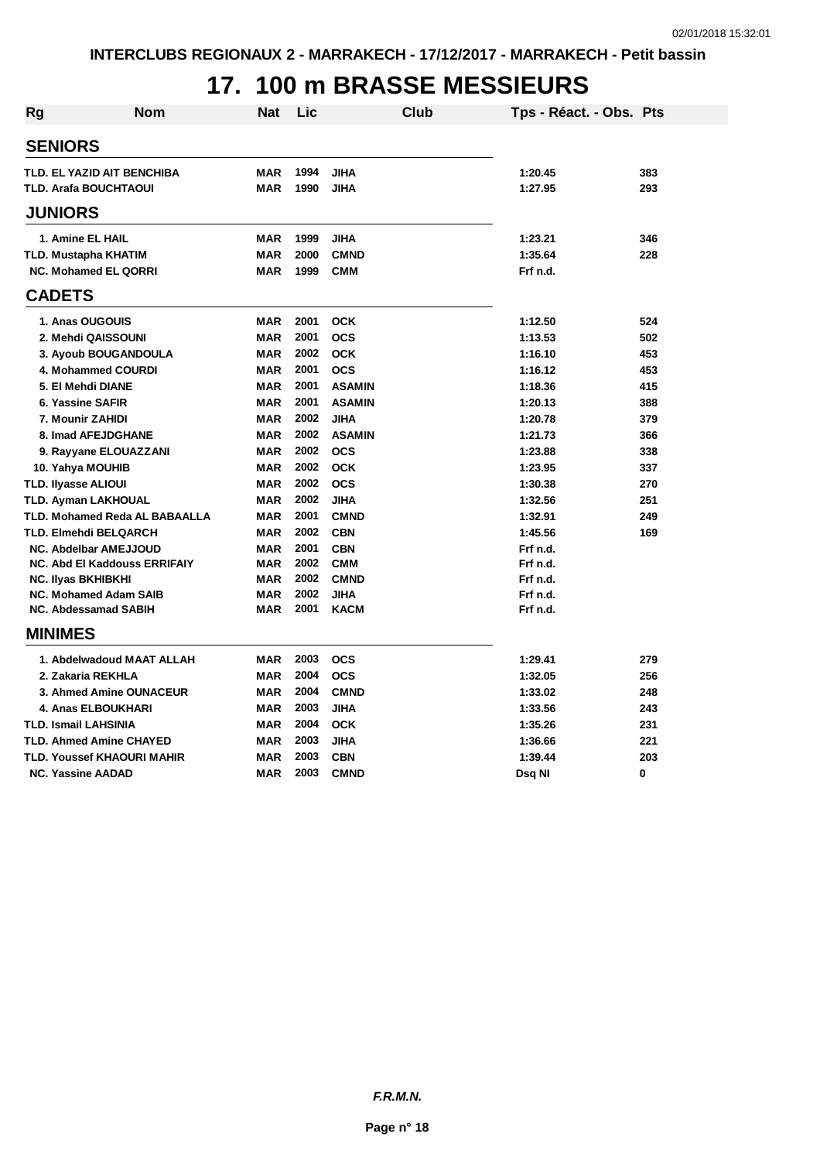# **17. 100 m BRASSE MESSIEURS**

| <b>Rg</b> | Nom                                  | Nat        | Lic  | Club          | Tps - Réact. - Obs. Pts |     |
|-----------|--------------------------------------|------------|------|---------------|-------------------------|-----|
|           | <b>SENIORS</b>                       |            |      |               |                         |     |
|           | TLD. EL YAZID AIT BENCHIBA           | <b>MAR</b> | 1994 | <b>JIHA</b>   | 1:20.45                 | 383 |
|           | <b>TLD. Arafa BOUCHTAOUI</b>         | <b>MAR</b> | 1990 | <b>JIHA</b>   | 1:27.95                 | 293 |
|           | <b>JUNIORS</b>                       |            |      |               |                         |     |
|           | 1. Amine EL HAIL                     | <b>MAR</b> | 1999 | <b>JIHA</b>   | 1:23.21                 | 346 |
|           | <b>TLD. Mustapha KHATIM</b>          | <b>MAR</b> | 2000 | <b>CMND</b>   | 1:35.64                 | 228 |
|           | <b>NC. Mohamed EL QORRI</b>          | <b>MAR</b> | 1999 | <b>CMM</b>    | Frf n.d.                |     |
|           | <b>CADETS</b>                        |            |      |               |                         |     |
|           | 1. Anas OUGOUIS                      | <b>MAR</b> | 2001 | <b>OCK</b>    | 1:12.50                 | 524 |
|           | 2. Mehdi QAISSOUNI                   | <b>MAR</b> | 2001 | <b>OCS</b>    | 1:13.53                 | 502 |
|           | 3. Ayoub BOUGANDOULA                 | <b>MAR</b> | 2002 | <b>OCK</b>    | 1:16.10                 | 453 |
|           | 4. Mohammed COURDI                   | <b>MAR</b> | 2001 | <b>OCS</b>    | 1:16.12                 | 453 |
|           | 5. El Mehdi DIANE                    | <b>MAR</b> | 2001 | <b>ASAMIN</b> | 1:18.36                 | 415 |
|           | 6. Yassine SAFIR                     | <b>MAR</b> | 2001 | <b>ASAMIN</b> | 1:20.13                 | 388 |
|           | 7. Mounir ZAHIDI                     | <b>MAR</b> | 2002 | <b>JIHA</b>   | 1:20.78                 | 379 |
|           | 8. Imad AFEJDGHANE                   | <b>MAR</b> | 2002 | <b>ASAMIN</b> | 1:21.73                 | 366 |
|           | 9. Rayyane ELOUAZZANI                | <b>MAR</b> | 2002 | <b>OCS</b>    | 1:23.88                 | 338 |
|           | 10. Yahya MOUHIB                     | <b>MAR</b> | 2002 | <b>OCK</b>    | 1:23.95                 | 337 |
|           | <b>TLD. Ilyasse ALIOUI</b>           | <b>MAR</b> | 2002 | <b>OCS</b>    | 1:30.38                 | 270 |
|           | <b>TLD. Ayman LAKHOUAL</b>           | <b>MAR</b> | 2002 | <b>JIHA</b>   | 1:32.56                 | 251 |
|           | <b>TLD. Mohamed Reda AL BABAALLA</b> | <b>MAR</b> | 2001 | <b>CMND</b>   | 1:32.91                 | 249 |
|           | TLD. Elmehdi BELQARCH                | <b>MAR</b> | 2002 | <b>CBN</b>    | 1:45.56                 | 169 |
|           | NC. Abdelbar AMEJJOUD                | <b>MAR</b> | 2001 | <b>CBN</b>    | Frf n.d.                |     |
|           | <b>NC. Abd El Kaddouss ERRIFAIY</b>  | <b>MAR</b> | 2002 | <b>CMM</b>    | Frf n.d.                |     |
|           | <b>NC. Ilyas BKHIBKHI</b>            | <b>MAR</b> | 2002 | <b>CMND</b>   | Frf n.d.                |     |
|           | <b>NC. Mohamed Adam SAIB</b>         | <b>MAR</b> | 2002 | <b>JIHA</b>   | Frf n.d.                |     |
|           | NC. Abdessamad SABIH                 | <b>MAR</b> | 2001 | <b>KACM</b>   | Frf n.d.                |     |
|           | <b>MINIMES</b>                       |            |      |               |                         |     |
|           | 1. Abdelwadoud MAAT ALLAH            | <b>MAR</b> | 2003 | <b>OCS</b>    | 1:29.41                 | 279 |
|           | 2. Zakaria REKHLA                    | <b>MAR</b> | 2004 | <b>OCS</b>    | 1:32.05                 | 256 |
|           | 3. Ahmed Amine OUNACEUR              | <b>MAR</b> | 2004 | <b>CMND</b>   | 1:33.02                 | 248 |
|           | <b>4. Anas ELBOUKHARI</b>            | <b>MAR</b> | 2003 | <b>JIHA</b>   | 1:33.56                 | 243 |
|           | <b>TLD. Ismail LAHSINIA</b>          | <b>MAR</b> | 2004 | <b>OCK</b>    | 1:35.26                 | 231 |
|           | <b>TLD. Ahmed Amine CHAYED</b>       | <b>MAR</b> | 2003 | <b>JIHA</b>   | 1:36.66                 | 221 |
|           | TLD. Youssef KHAOURI MAHIR           | <b>MAR</b> | 2003 | <b>CBN</b>    | 1:39.44                 | 203 |
|           | <b>NC. Yassine AADAD</b>             | <b>MAR</b> | 2003 | <b>CMND</b>   | Dsq NI                  | 0   |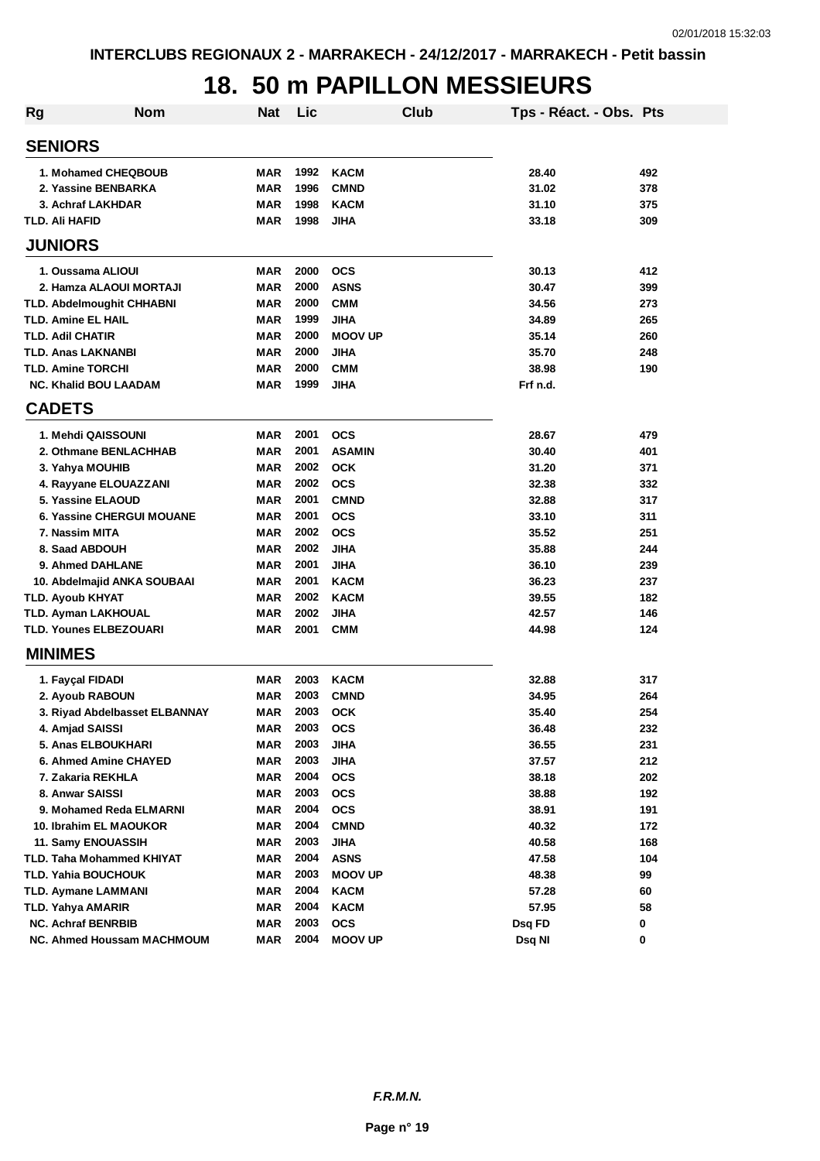# **18. 50 m PAPILLON MESSIEURS**

| <b>Rg</b> | <b>Nom</b>                       | <b>Nat</b> | Lic  | <b>Club</b>    | Tps - Réact. - Obs. Pts |     |
|-----------|----------------------------------|------------|------|----------------|-------------------------|-----|
|           | <b>SENIORS</b>                   |            |      |                |                         |     |
|           | 1. Mohamed CHEQBOUB              | MAR        | 1992 | <b>KACM</b>    | 28.40                   | 492 |
|           | 2. Yassine BENBARKA              | MAR        | 1996 | <b>CMND</b>    | 31.02                   | 378 |
|           | 3. Achraf LAKHDAR                | <b>MAR</b> | 1998 | <b>KACM</b>    | 31.10                   | 375 |
|           | TLD. Ali HAFID                   | <b>MAR</b> | 1998 | <b>JIHA</b>    | 33.18                   | 309 |
|           | <b>JUNIORS</b>                   |            |      |                |                         |     |
|           | 1. Oussama ALIOUI                | <b>MAR</b> | 2000 | <b>OCS</b>     | 30.13                   | 412 |
|           | 2. Hamza ALAOUI MORTAJI          | <b>MAR</b> | 2000 | <b>ASNS</b>    | 30.47                   | 399 |
|           | <b>TLD. Abdelmoughit CHHABNI</b> | <b>MAR</b> | 2000 | <b>CMM</b>     | 34.56                   | 273 |
|           | TLD. Amine EL HAIL               | <b>MAR</b> | 1999 | <b>JIHA</b>    | 34.89                   | 265 |
|           | <b>TLD. Adil CHATIR</b>          | MAR        | 2000 | <b>MOOV UP</b> | 35.14                   | 260 |
|           | <b>TLD. Anas LAKNANBI</b>        | <b>MAR</b> | 2000 | <b>JIHA</b>    | 35.70                   | 248 |
|           | TLD. Amine TORCHI                | MAR        | 2000 | <b>CMM</b>     | 38.98                   | 190 |
|           | <b>NC. Khalid BOU LAADAM</b>     | <b>MAR</b> | 1999 | <b>JIHA</b>    | Frf n.d.                |     |
|           | <b>CADETS</b>                    |            |      |                |                         |     |
|           | 1. Mehdi QAISSOUNI               | MAR        | 2001 | <b>OCS</b>     | 28.67                   | 479 |
|           | 2. Othmane BENLACHHAB            | MAR        | 2001 | <b>ASAMIN</b>  | 30.40                   | 401 |
|           | 3. Yahya MOUHIB                  | MAR        | 2002 | <b>OCK</b>     | 31.20                   | 371 |
|           | 4. Rayyane ELOUAZZANI            | <b>MAR</b> | 2002 | <b>OCS</b>     | 32.38                   | 332 |
|           | 5. Yassine ELAOUD                | <b>MAR</b> | 2001 | <b>CMND</b>    | 32.88                   | 317 |
|           | <b>6. Yassine CHERGUI MOUANE</b> | <b>MAR</b> | 2001 | <b>OCS</b>     | 33.10                   | 311 |
|           | 7. Nassim MITA                   | <b>MAR</b> | 2002 | <b>OCS</b>     | 35.52                   | 251 |
|           | 8. Saad ABDOUH                   | MAR        | 2002 | <b>JIHA</b>    | 35.88                   | 244 |
|           | 9. Ahmed DAHLANE                 | <b>MAR</b> | 2001 | <b>JIHA</b>    | 36.10                   | 239 |
|           | 10. Abdelmajid ANKA SOUBAAI      | <b>MAR</b> | 2001 | <b>KACM</b>    | 36.23                   | 237 |
|           | <b>TLD. Ayoub KHYAT</b>          | <b>MAR</b> | 2002 | <b>KACM</b>    | 39.55                   | 182 |
|           | <b>TLD. Ayman LAKHOUAL</b>       | <b>MAR</b> | 2002 | <b>JIHA</b>    | 42.57                   | 146 |
|           | TLD. Younes ELBEZOUARI           | <b>MAR</b> | 2001 | <b>CMM</b>     | 44.98                   | 124 |
|           | <b>MINIMES</b>                   |            |      |                |                         |     |
|           | 1. Fayçal FIDADI                 | <b>MAR</b> | 2003 | <b>KACM</b>    | 32.88                   | 317 |
|           | 2. Ayoub RABOUN                  | <b>MAR</b> | 2003 | <b>CMND</b>    | 34.95                   | 264 |
|           | 3. Riyad Abdelbasset ELBANNAY    | <b>MAR</b> | 2003 | <b>OCK</b>     | 35.40                   | 254 |
|           | 4. Amjad SAISSI                  | <b>MAR</b> | 2003 | <b>OCS</b>     | 36.48                   | 232 |
|           | 5. Anas ELBOUKHARI               | MAR        | 2003 | JIHA           | 36.55                   | 231 |
|           | 6. Ahmed Amine CHAYED            | <b>MAR</b> | 2003 | <b>JIHA</b>    | 37.57                   | 212 |
|           | 7. Zakaria REKHLA                | MAR        | 2004 | <b>OCS</b>     | 38.18                   | 202 |
|           | 8. Anwar SAISSI                  | MAR        | 2003 | <b>OCS</b>     | 38.88                   | 192 |
|           | 9. Mohamed Reda ELMARNI          | MAR        | 2004 | <b>OCS</b>     | 38.91                   | 191 |
|           | 10. Ibrahim EL MAOUKOR           | MAR        | 2004 | <b>CMND</b>    | 40.32                   | 172 |
|           | 11. Samy ENOUASSIH               | MAR        | 2003 | <b>JIHA</b>    | 40.58                   | 168 |
|           | TLD. Taha Mohammed KHIYAT        | MAR        | 2004 | <b>ASNS</b>    | 47.58                   | 104 |
|           | TLD. Yahia BOUCHOUK              | MAR        | 2003 | <b>MOOV UP</b> | 48.38                   | 99  |
|           | TLD. Aymane LAMMANI              | MAR        | 2004 | <b>KACM</b>    | 57.28                   | 60  |
|           | <b>TLD. Yahya AMARIR</b>         | MAR        | 2004 | <b>KACM</b>    | 57.95                   | 58  |
|           | <b>NC. Achraf BENRBIB</b>        | MAR        | 2003 | <b>OCS</b>     | Dsq FD                  | 0   |
|           | NC. Ahmed Houssam MACHMOUM       | MAR        | 2004 | <b>MOOV UP</b> | Dsq NI                  | 0   |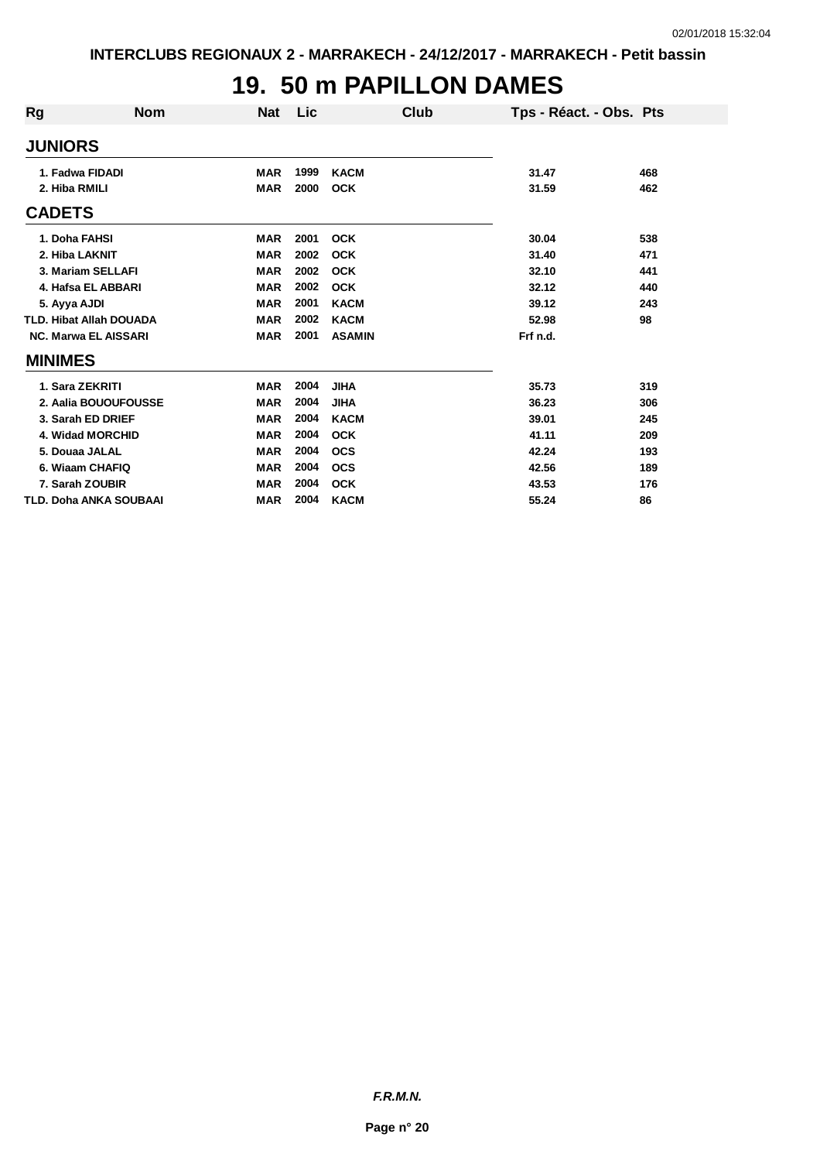#### **19. 50 m PAPILLON DAMES**

| Rg                          | <b>Nom</b>                     | <b>Nat</b> | Lic  | Club          | Tps - Réact. - Obs. Pts |     |
|-----------------------------|--------------------------------|------------|------|---------------|-------------------------|-----|
| <b>JUNIORS</b>              |                                |            |      |               |                         |     |
| 1. Fadwa FIDADI             |                                | <b>MAR</b> | 1999 | <b>KACM</b>   | 31.47                   | 468 |
| 2. Hiba RMILI               |                                | <b>MAR</b> | 2000 | <b>OCK</b>    | 31.59                   | 462 |
| <b>CADETS</b>               |                                |            |      |               |                         |     |
| 1. Doha FAHSI               |                                | <b>MAR</b> | 2001 | <b>OCK</b>    | 30.04                   | 538 |
| 2. Hiba LAKNIT              |                                | <b>MAR</b> | 2002 | <b>OCK</b>    | 31.40                   | 471 |
| 3. Mariam SELLAFI           |                                | <b>MAR</b> | 2002 | <b>OCK</b>    | 32.10                   | 441 |
|                             | 4. Hafsa EL ABBARI             | <b>MAR</b> | 2002 | <b>OCK</b>    | 32.12                   | 440 |
| 5. Ayya AJDI                |                                | <b>MAR</b> | 2001 | <b>KACM</b>   | 39.12                   | 243 |
|                             | <b>TLD. Hibat Allah DOUADA</b> | <b>MAR</b> | 2002 | <b>KACM</b>   | 52.98                   | 98  |
| <b>NC. Marwa EL AISSARI</b> |                                | <b>MAR</b> | 2001 | <b>ASAMIN</b> | Frf n.d.                |     |
| <b>MINIMES</b>              |                                |            |      |               |                         |     |
| 1. Sara ZEKRITI             |                                | <b>MAR</b> | 2004 | <b>JIHA</b>   | 35.73                   | 319 |
|                             | 2. Aalia BOUOUFOUSSE           | <b>MAR</b> | 2004 | <b>JIHA</b>   | 36.23                   | 306 |
| 3. Sarah ED DRIEF           |                                | <b>MAR</b> | 2004 | <b>KACM</b>   | 39.01                   | 245 |
| 4. Widad MORCHID            |                                | <b>MAR</b> | 2004 | <b>OCK</b>    | 41.11                   | 209 |
| 5. Douaa JALAL              |                                | <b>MAR</b> | 2004 | <b>OCS</b>    | 42.24                   | 193 |
| 6. Wiaam CHAFIQ             |                                | <b>MAR</b> | 2004 | <b>OCS</b>    | 42.56                   | 189 |
| 7. Sarah ZOUBIR             |                                | <b>MAR</b> | 2004 | <b>OCK</b>    | 43.53                   | 176 |
|                             | <b>TLD. Doha ANKA SOUBAAI</b>  | <b>MAR</b> | 2004 | <b>KACM</b>   | 55.24                   | 86  |

*F.R.M.N.*

**Page n° 20**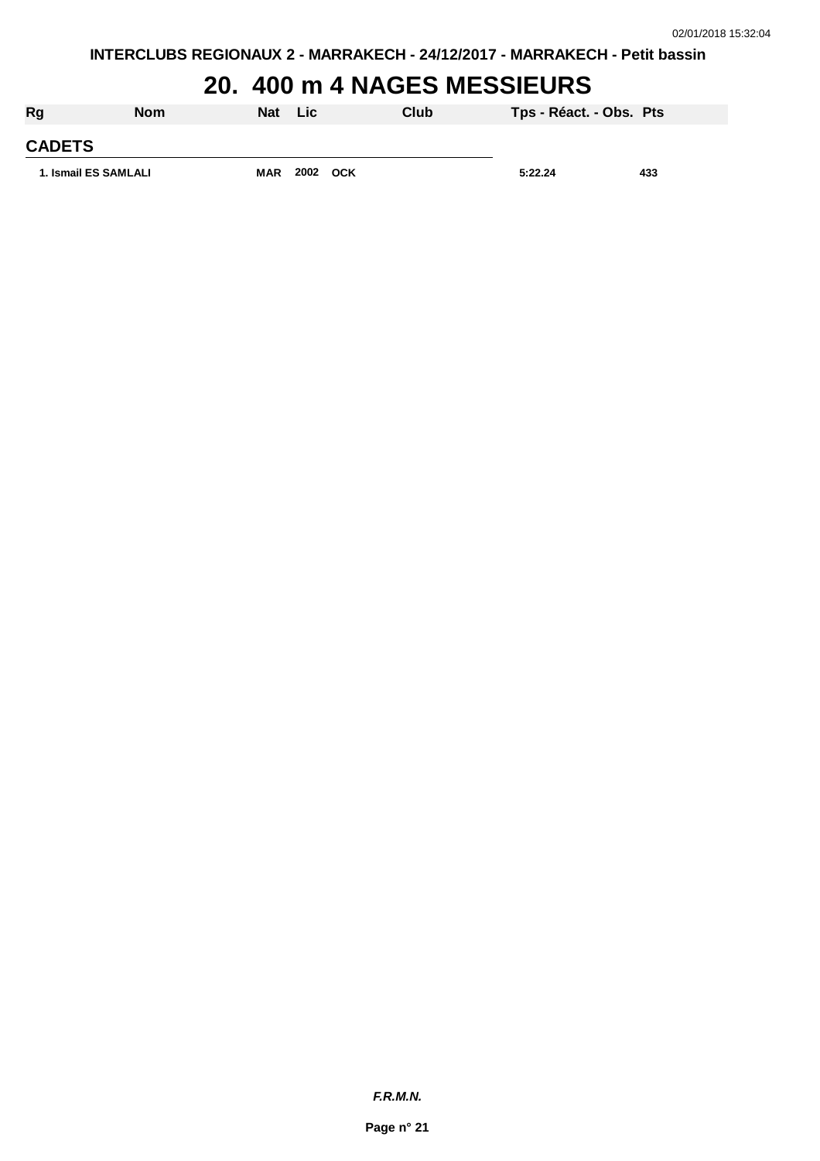# **20. 400 m 4 NAGES MESSIEURS**

| Rg                   | <b>Nom</b> | Nat Lic    |          | Club | Tps - Réact. - Obs. Pts |     |
|----------------------|------------|------------|----------|------|-------------------------|-----|
| <b>CADETS</b>        |            |            |          |      |                         |     |
| 1. Ismail ES SAMLALI |            | <b>MAR</b> | 2002 OCK |      | 5:22.24                 | 433 |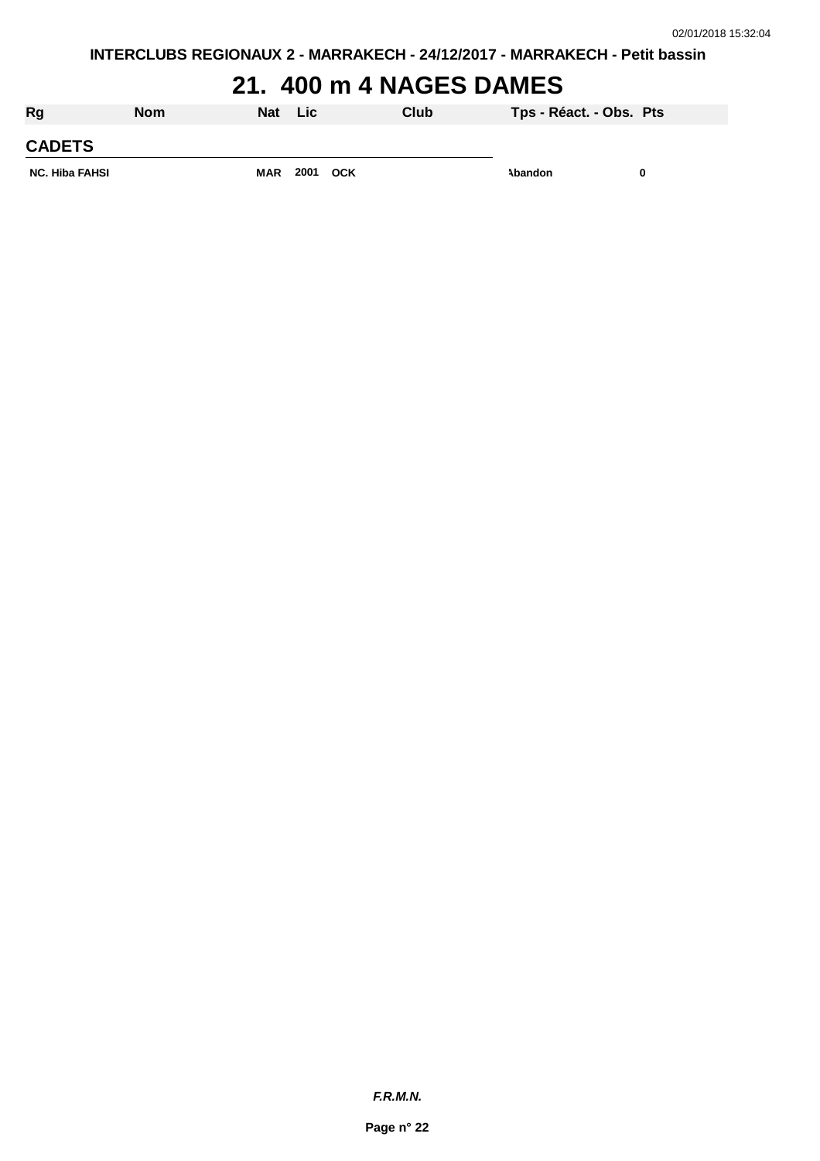## **21. 400 m 4 NAGES DAMES**

| Rg                    | <b>Nom</b> | <b>Nat</b> | <b>Lic</b> |            | Club | Tps - Réact. - Obs. Pts |  |
|-----------------------|------------|------------|------------|------------|------|-------------------------|--|
| <b>CADETS</b>         |            |            |            |            |      |                         |  |
| <b>NC. Hiba FAHSI</b> |            | <b>MAR</b> | 2001       | <b>OCK</b> |      | Abandon                 |  |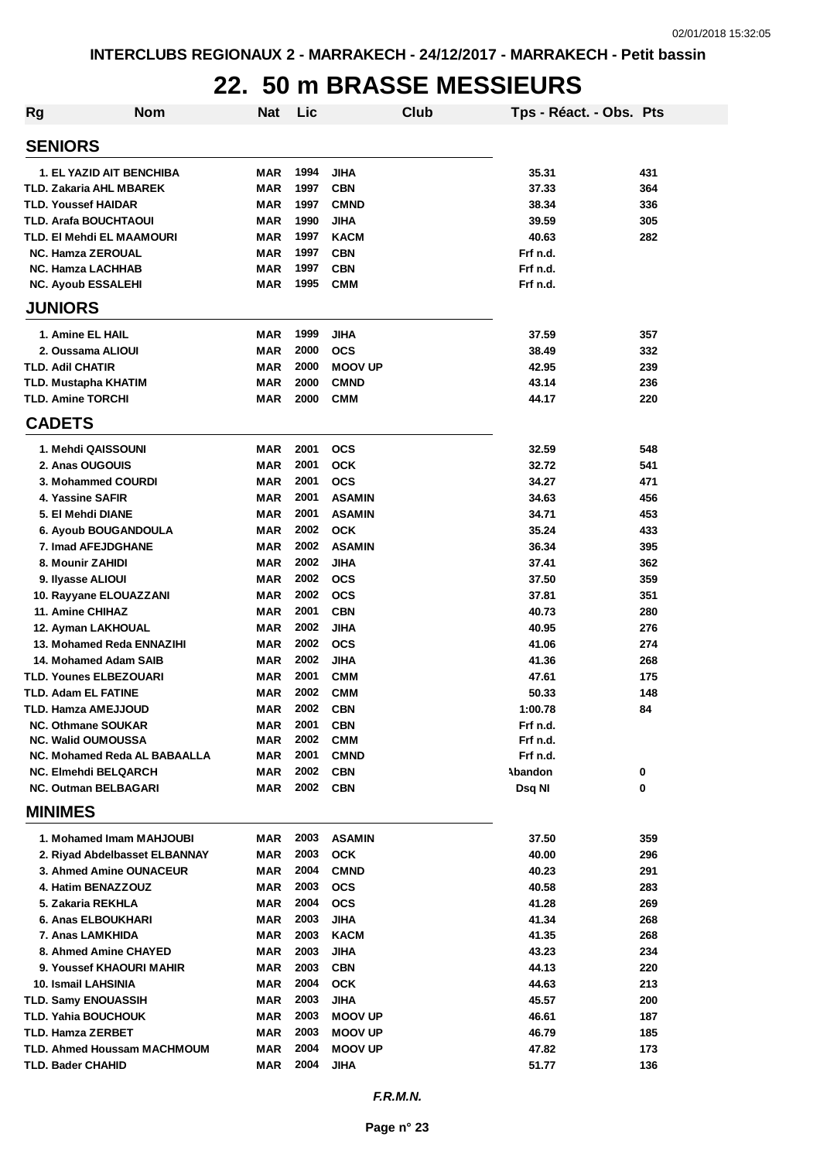### **22. 50 m BRASSE MESSIEURS**

| <b>Rg</b> | <b>Nom</b>                                             | <b>Nat</b>               | Lic          |                           | Club | Tps - Réact. - Obs. Pts |            |
|-----------|--------------------------------------------------------|--------------------------|--------------|---------------------------|------|-------------------------|------------|
|           | <b>SENIORS</b>                                         |                          |              |                           |      |                         |            |
|           | 1. EL YAZID AIT BENCHIBA                               | MAR                      | 1994         | <b>JIHA</b>               |      | 35.31                   | 431        |
|           | <b>TLD. Zakaria AHL MBAREK</b>                         | <b>MAR</b>               | 1997         | <b>CBN</b>                |      | 37.33                   | 364        |
|           | <b>TLD. Youssef HAIDAR</b>                             | <b>MAR</b>               | 1997         | <b>CMND</b>               |      | 38.34                   | 336        |
|           | <b>TLD. Arafa BOUCHTAOUI</b>                           | <b>MAR</b>               | 1990         | <b>JIHA</b>               |      | 39.59                   | 305        |
|           | TLD. EI Mehdi EL MAAMOURI                              | <b>MAR</b>               | 1997         | <b>KACM</b>               |      | 40.63                   | 282        |
|           | <b>NC. Hamza ZEROUAL</b>                               | <b>MAR</b>               | 1997         | <b>CBN</b>                |      | Frf n.d.                |            |
|           | <b>NC. Hamza LACHHAB</b>                               | <b>MAR</b>               | 1997         | <b>CBN</b>                |      | Frf n.d.                |            |
|           | <b>NC. Ayoub ESSALEHI</b>                              | MAR                      | 1995         | <b>CMM</b>                |      | Frf n.d.                |            |
|           | <b>JUNIORS</b>                                         |                          |              |                           |      |                         |            |
|           | 1. Amine EL HAIL                                       | MAR                      | 1999         | <b>JIHA</b>               |      | 37.59                   | 357        |
|           | 2. Oussama ALIOUI                                      | MAR                      | 2000         | <b>OCS</b>                |      | 38.49                   | 332        |
|           | TLD. Adil CHATIR                                       | MAR                      | 2000         | <b>MOOV UP</b>            |      | 42.95                   | 239        |
|           | <b>TLD. Mustapha KHATIM</b>                            | MAR                      | 2000         | <b>CMND</b>               |      | 43.14                   | 236        |
|           | <b>TLD. Amine TORCHI</b>                               | <b>MAR</b>               | 2000         | <b>CMM</b>                |      | 44.17                   | 220        |
|           | <b>CADETS</b>                                          |                          |              |                           |      |                         |            |
|           | 1. Mehdi QAISSOUNI                                     | MAR                      | 2001         | <b>OCS</b>                |      | 32.59                   | 548        |
|           | 2. Anas OUGOUIS                                        | MAR                      | 2001         | <b>OCK</b>                |      | 32.72                   | 541        |
|           | 3. Mohammed COURDI                                     | <b>MAR</b>               | 2001         | <b>OCS</b>                |      | 34.27                   | 471        |
|           | 4. Yassine SAFIR                                       | MAR                      | 2001         | <b>ASAMIN</b>             |      | 34.63                   | 456        |
|           | 5. El Mehdi DIANE                                      | MAR                      | 2001         | <b>ASAMIN</b>             |      | 34.71                   | 453        |
|           | 6. Ayoub BOUGANDOULA                                   | MAR                      | 2002         | <b>OCK</b>                |      | 35.24                   | 433        |
|           | 7. Imad AFEJDGHANE                                     | <b>MAR</b>               | 2002         | <b>ASAMIN</b>             |      | 36.34                   | 395        |
|           | 8. Mounir ZAHIDI                                       | <b>MAR</b>               | 2002         | <b>JIHA</b>               |      | 37.41                   | 362        |
|           | 9. Ilyasse ALIOUI                                      | <b>MAR</b>               | 2002         | <b>OCS</b>                |      | 37.50                   | 359        |
|           | 10. Rayyane ELOUAZZANI                                 | <b>MAR</b>               | 2002         | <b>OCS</b>                |      | 37.81                   | 351        |
|           | <b>11. Amine CHIHAZ</b>                                | <b>MAR</b>               | 2001         | <b>CBN</b>                |      | 40.73                   | 280        |
|           | 12. Ayman LAKHOUAL                                     | <b>MAR</b>               | 2002         | <b>JIHA</b>               |      | 40.95                   | 276        |
|           | 13. Mohamed Reda ENNAZIHI                              | <b>MAR</b>               | 2002         | <b>OCS</b>                |      | 41.06                   | 274        |
|           | 14. Mohamed Adam SAIB<br><b>TLD. Younes ELBEZOUARI</b> | <b>MAR</b><br><b>MAR</b> | 2002<br>2001 | <b>JIHA</b><br><b>CMM</b> |      | 41.36<br>47.61          | 268<br>175 |
|           | <b>TLD. Adam EL FATINE</b>                             | <b>MAR</b>               | 2002         | <b>CMM</b>                |      | 50.33                   | 148        |
|           | TLD. Hamza AMEJJOUD                                    | <b>MAR</b>               | 2002         | <b>CBN</b>                |      | 1:00.78                 | 84         |
|           | <b>NC. Othmane SOUKAR</b>                              | MAR                      | 2001         | <b>CBN</b>                |      | Frf n.d.                |            |
|           | <b>NC. Walid OUMOUSSA</b>                              | MAR                      | 2002         | <b>CMM</b>                |      | Frf n.d.                |            |
|           | NC. Mohamed Reda AL BABAALLA                           | MAR                      | 2001         | <b>CMND</b>               |      | Frf n.d.                |            |
|           | <b>NC. Elmehdi BELQARCH</b>                            | MAR                      | 2002         | <b>CBN</b>                |      | Abandon                 | 0          |
|           | <b>NC. Outman BELBAGARI</b>                            | MAR                      | 2002         | <b>CBN</b>                |      | Dsq NI                  | 0          |
|           | <b>MINIMES</b>                                         |                          |              |                           |      |                         |            |
|           | 1. Mohamed Imam MAHJOUBI                               | MAR                      | 2003         | <b>ASAMIN</b>             |      | 37.50                   | 359        |
|           | 2. Riyad Abdelbasset ELBANNAY                          | MAR                      | 2003         | <b>OCK</b>                |      | 40.00                   | 296        |
|           | 3. Ahmed Amine OUNACEUR                                | MAR                      | 2004         | <b>CMND</b>               |      | 40.23                   | 291        |
|           | 4. Hatim BENAZZOUZ                                     | MAR                      | 2003         | <b>OCS</b>                |      | 40.58                   | 283        |
|           | 5. Zakaria REKHLA                                      | MAR                      | 2004         | <b>OCS</b>                |      | 41.28                   | 269        |
|           | 6. Anas ELBOUKHARI                                     | MAR                      | 2003         | JIHA                      |      | 41.34                   | 268        |
|           | 7. Anas LAMKHIDA                                       | MAR                      | 2003         | KACM                      |      | 41.35                   | 268        |
|           | 8. Ahmed Amine CHAYED                                  | MAR                      | 2003         | <b>JIHA</b>               |      | 43.23                   | 234        |
|           | 9. Youssef KHAOURI MAHIR                               | MAR                      | 2003         | <b>CBN</b>                |      | 44.13                   | 220        |
|           | 10. Ismail LAHSINIA                                    | MAR                      | 2004         | <b>OCK</b>                |      | 44.63                   | 213        |
|           | <b>TLD. Samy ENOUASSIH</b>                             | MAR                      | 2003         | <b>JIHA</b>               |      | 45.57                   | 200        |
|           | TLD. Yahia BOUCHOUK                                    | MAR                      | 2003         | <b>MOOV UP</b>            |      | 46.61                   | 187        |
|           | TLD. Hamza ZERBET                                      | MAR                      | 2003         | <b>MOOV UP</b>            |      | 46.79                   | 185        |
|           | TLD. Ahmed Houssam MACHMOUM                            | MAR                      | 2004         | <b>MOOV UP</b>            |      | 47.82                   | 173        |
|           | <b>TLD. Bader CHAHID</b>                               | MAR                      | 2004         | JIHA                      |      | 51.77                   | 136        |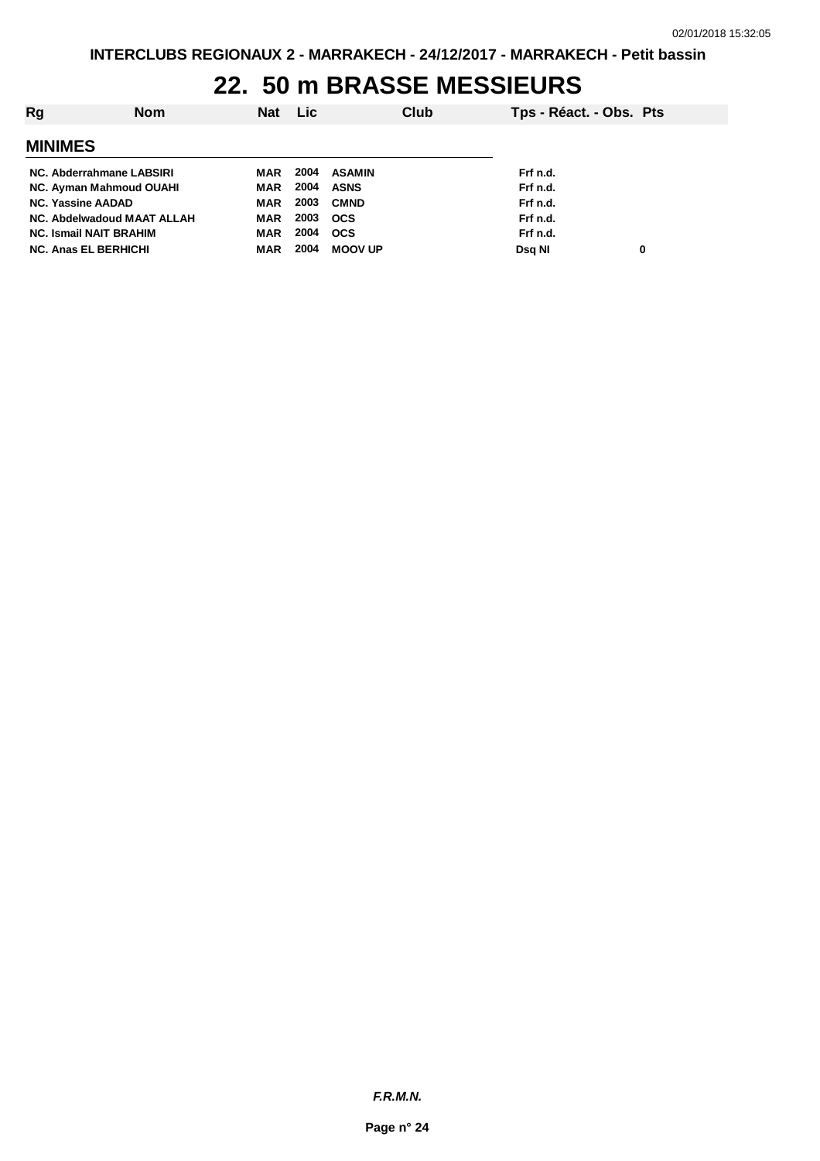### **22. 50 m BRASSE MESSIEURS**

| Rg                            | <b>Nom</b> | Nat Lic    |      |                | Club | Tps - Réact. - Obs. Pts |   |
|-------------------------------|------------|------------|------|----------------|------|-------------------------|---|
| <b>MINIMES</b>                |            |            |      |                |      |                         |   |
| NC. Abderrahmane LABSIRI      |            | MAR        | 2004 | ASAMIN         |      | Frf n.d.                |   |
| NC. Ayman Mahmoud OUAHI       |            | MAR        | 2004 | ASNS           |      | Frf n.d.                |   |
| <b>NC. Yassine AADAD</b>      |            | MAR        | 2003 | <b>CMND</b>    |      | Frf n.d.                |   |
| NC. Abdelwadoud MAAT ALLAH    |            | MAR        | 2003 | <b>OCS</b>     |      | Frf n.d.                |   |
| <b>NC. Ismail NAIT BRAHIM</b> |            | <b>MAR</b> | 2004 | ocs            |      | Frf n.d.                |   |
| <b>NC. Anas EL BERHICHI</b>   |            | MAR        | 2004 | <b>MOOV UP</b> |      | Dsg NI                  | 0 |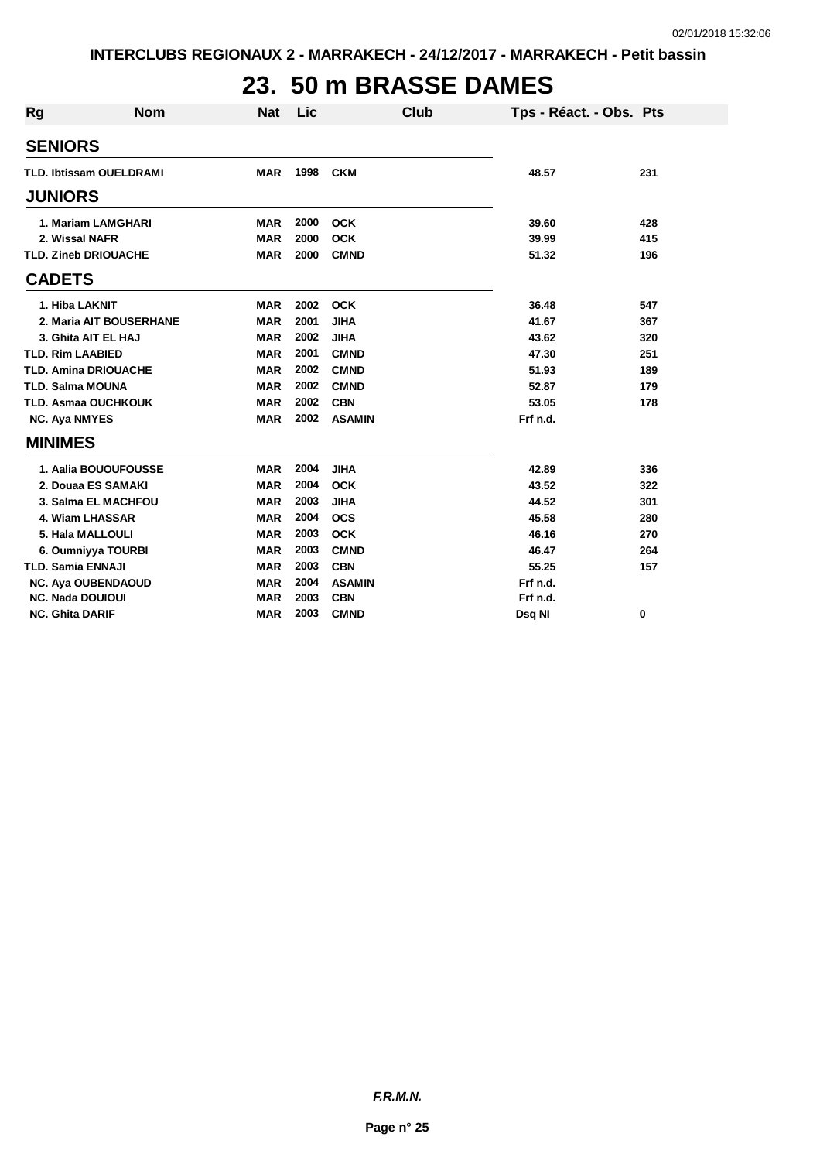# **23. 50 m BRASSE DAMES**

| Rg | <b>Nom</b>                     | <b>Nat</b> | Lic  | <b>Club</b>   | Tps - Réact. - Obs. Pts |     |
|----|--------------------------------|------------|------|---------------|-------------------------|-----|
|    | <b>SENIORS</b>                 |            |      |               |                         |     |
|    | <b>TLD. Ibtissam OUELDRAMI</b> | <b>MAR</b> | 1998 | <b>CKM</b>    | 48.57                   | 231 |
|    | <b>JUNIORS</b>                 |            |      |               |                         |     |
|    | 1. Mariam LAMGHARI             | <b>MAR</b> | 2000 | <b>OCK</b>    | 39.60                   | 428 |
|    | 2. Wissal NAFR                 | <b>MAR</b> | 2000 | <b>OCK</b>    | 39.99                   | 415 |
|    | <b>TLD. Zineb DRIOUACHE</b>    | <b>MAR</b> | 2000 | <b>CMND</b>   | 51.32                   | 196 |
|    | <b>CADETS</b>                  |            |      |               |                         |     |
|    | 1. Hiba LAKNIT                 | <b>MAR</b> | 2002 | <b>OCK</b>    | 36.48                   | 547 |
|    | 2. Maria AIT BOUSERHANE        | <b>MAR</b> | 2001 | <b>JIHA</b>   | 41.67                   | 367 |
|    | 3. Ghita AIT EL HAJ            | <b>MAR</b> | 2002 | <b>JIHA</b>   | 43.62                   | 320 |
|    | <b>TLD. Rim LAABIED</b>        | <b>MAR</b> | 2001 | <b>CMND</b>   | 47.30                   | 251 |
|    | <b>TLD. Amina DRIOUACHE</b>    | <b>MAR</b> | 2002 | <b>CMND</b>   | 51.93                   | 189 |
|    | <b>TLD. Salma MOUNA</b>        | <b>MAR</b> | 2002 | <b>CMND</b>   | 52.87                   | 179 |
|    | <b>TLD. Asmaa OUCHKOUK</b>     | <b>MAR</b> | 2002 | <b>CBN</b>    | 53.05                   | 178 |
|    | <b>NC. Aya NMYES</b>           | <b>MAR</b> | 2002 | <b>ASAMIN</b> | Frf n.d.                |     |
|    | <b>MINIMES</b>                 |            |      |               |                         |     |
|    | 1. Aalia BOUOUFOUSSE           | <b>MAR</b> | 2004 | <b>JIHA</b>   | 42.89                   | 336 |
|    | 2. Douaa ES SAMAKI             | <b>MAR</b> | 2004 | <b>OCK</b>    | 43.52                   | 322 |
|    | 3. Salma EL MACHFOU            | <b>MAR</b> | 2003 | <b>JIHA</b>   | 44.52                   | 301 |
|    | 4. Wiam LHASSAR                | <b>MAR</b> | 2004 | <b>OCS</b>    | 45.58                   | 280 |
|    | 5. Hala MALLOULI               | <b>MAR</b> | 2003 | <b>OCK</b>    | 46.16                   | 270 |
|    | 6. Oumniyya TOURBI             | <b>MAR</b> | 2003 | <b>CMND</b>   | 46.47                   | 264 |
|    | <b>TLD. Samia ENNAJI</b>       | <b>MAR</b> | 2003 | <b>CBN</b>    | 55.25                   | 157 |
|    | <b>NC. Aya OUBENDAOUD</b>      | <b>MAR</b> | 2004 | <b>ASAMIN</b> | Frf n.d.                |     |
|    | <b>NC. Nada DOUIOUI</b>        | <b>MAR</b> | 2003 | <b>CBN</b>    | Frf n.d.                |     |
|    | <b>NC. Ghita DARIF</b>         | <b>MAR</b> | 2003 | <b>CMND</b>   | Dsq NI                  | 0   |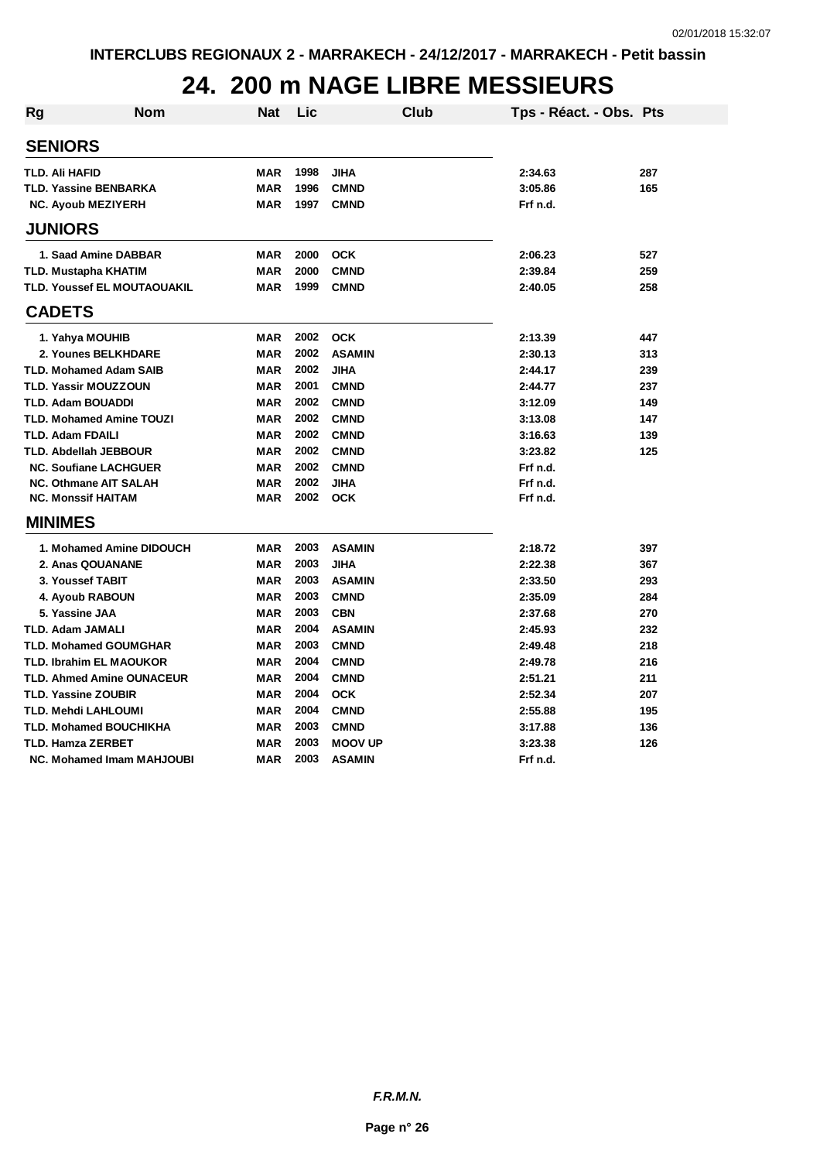#### **24. 200 m NAGE LIBRE MESSIEURS**

| <b>Rg</b> | <b>Nom</b>                       | <b>Nat</b> | Lic  | <b>Club</b>    | Tps - Réact. - Obs. Pts |     |
|-----------|----------------------------------|------------|------|----------------|-------------------------|-----|
|           | <b>SENIORS</b>                   |            |      |                |                         |     |
|           | <b>TLD. Ali HAFID</b>            | <b>MAR</b> | 1998 | <b>JIHA</b>    | 2:34.63                 | 287 |
|           | <b>TLD. Yassine BENBARKA</b>     | <b>MAR</b> | 1996 | <b>CMND</b>    | 3:05.86                 | 165 |
|           | <b>NC. Ayoub MEZIYERH</b>        | <b>MAR</b> | 1997 | <b>CMND</b>    | Frf n.d.                |     |
|           | <b>JUNIORS</b>                   |            |      |                |                         |     |
|           | 1. Saad Amine DABBAR             | <b>MAR</b> | 2000 | <b>OCK</b>     | 2:06.23                 | 527 |
|           | <b>TLD. Mustapha KHATIM</b>      | <b>MAR</b> | 2000 | <b>CMND</b>    | 2:39.84                 | 259 |
|           | TLD. Youssef EL MOUTAOUAKIL      | <b>MAR</b> | 1999 | <b>CMND</b>    | 2:40.05                 | 258 |
|           | <b>CADETS</b>                    |            |      |                |                         |     |
|           | 1. Yahya MOUHIB                  | <b>MAR</b> | 2002 | <b>OCK</b>     | 2:13.39                 | 447 |
|           | 2. Younes BELKHDARE              | <b>MAR</b> | 2002 | <b>ASAMIN</b>  | 2:30.13                 | 313 |
|           | <b>TLD. Mohamed Adam SAIB</b>    | <b>MAR</b> | 2002 | <b>JIHA</b>    | 2:44.17                 | 239 |
|           | <b>TLD. Yassir MOUZZOUN</b>      | <b>MAR</b> | 2001 | <b>CMND</b>    | 2:44.77                 | 237 |
|           | <b>TLD. Adam BOUADDI</b>         | <b>MAR</b> | 2002 | <b>CMND</b>    | 3:12.09                 | 149 |
|           | <b>TLD. Mohamed Amine TOUZI</b>  | <b>MAR</b> | 2002 | <b>CMND</b>    | 3:13.08                 | 147 |
|           | <b>TLD. Adam FDAILI</b>          | <b>MAR</b> | 2002 | <b>CMND</b>    | 3:16.63                 | 139 |
|           | <b>TLD. Abdellah JEBBOUR</b>     | <b>MAR</b> | 2002 | <b>CMND</b>    | 3:23.82                 | 125 |
|           | <b>NC. Soufiane LACHGUER</b>     | <b>MAR</b> | 2002 | <b>CMND</b>    | Frf n.d.                |     |
|           | <b>NC. Othmane AIT SALAH</b>     | <b>MAR</b> | 2002 | <b>JIHA</b>    | Frf n.d.                |     |
|           | <b>NC. Monssif HAITAM</b>        | <b>MAR</b> | 2002 | <b>OCK</b>     | Frf n.d.                |     |
|           | <b>MINIMES</b>                   |            |      |                |                         |     |
|           | 1. Mohamed Amine DIDOUCH         | <b>MAR</b> | 2003 | <b>ASAMIN</b>  | 2:18.72                 | 397 |
|           | 2. Anas QOUANANE                 | <b>MAR</b> | 2003 | <b>JIHA</b>    | 2:22.38                 | 367 |
|           | 3. Youssef TABIT                 | MAR        | 2003 | <b>ASAMIN</b>  | 2:33.50                 | 293 |
|           | 4. Ayoub RABOUN                  | <b>MAR</b> | 2003 | <b>CMND</b>    | 2:35.09                 | 284 |
|           | 5. Yassine JAA                   | <b>MAR</b> | 2003 | <b>CBN</b>     | 2:37.68                 | 270 |
|           | <b>TLD. Adam JAMALI</b>          | <b>MAR</b> | 2004 | <b>ASAMIN</b>  | 2:45.93                 | 232 |
|           | <b>TLD. Mohamed GOUMGHAR</b>     | <b>MAR</b> | 2003 | <b>CMND</b>    | 2:49.48                 | 218 |
|           | <b>TLD. Ibrahim EL MAOUKOR</b>   | <b>MAR</b> | 2004 | <b>CMND</b>    | 2:49.78                 | 216 |
|           | <b>TLD. Ahmed Amine OUNACEUR</b> | <b>MAR</b> | 2004 | <b>CMND</b>    | 2:51.21                 | 211 |
|           | <b>TLD. Yassine ZOUBIR</b>       | <b>MAR</b> | 2004 | <b>OCK</b>     | 2:52.34                 | 207 |
|           | <b>TLD. Mehdi LAHLOUMI</b>       | <b>MAR</b> | 2004 | <b>CMND</b>    | 2:55.88                 | 195 |
|           | <b>TLD. Mohamed BOUCHIKHA</b>    | <b>MAR</b> | 2003 | <b>CMND</b>    | 3:17.88                 | 136 |
|           | <b>TLD. Hamza ZERBET</b>         | <b>MAR</b> | 2003 | <b>MOOV UP</b> | 3:23.38                 | 126 |
|           | NC. Mohamed Imam MAHJOUBI        | <b>MAR</b> | 2003 | <b>ASAMIN</b>  | Frf n.d.                |     |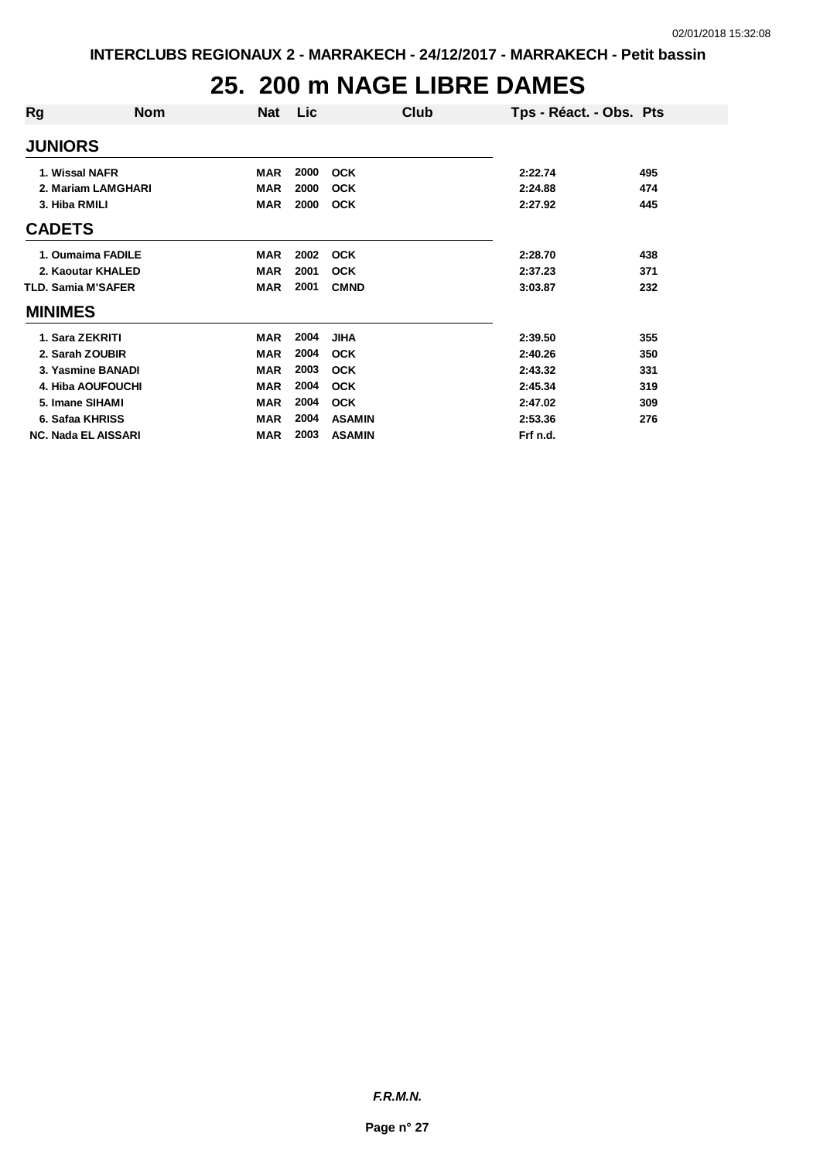# **25. 200 m NAGE LIBRE DAMES**

| Rg                         | <b>Nom</b>         | <b>Nat</b> | Lic  | Club          | Tps - Réact. - Obs. Pts |     |
|----------------------------|--------------------|------------|------|---------------|-------------------------|-----|
| <b>JUNIORS</b>             |                    |            |      |               |                         |     |
| 1. Wissal NAFR             |                    | <b>MAR</b> | 2000 | <b>OCK</b>    | 2:22.74                 | 495 |
|                            | 2. Mariam LAMGHARI | MAR        | 2000 | <b>OCK</b>    | 2:24.88                 | 474 |
| 3. Hiba RMILI              |                    | MAR        | 2000 | <b>OCK</b>    | 2:27.92                 | 445 |
| <b>CADETS</b>              |                    |            |      |               |                         |     |
|                            | 1. Oumaima FADILE  | MAR        | 2002 | <b>OCK</b>    | 2:28.70                 | 438 |
|                            | 2. Kaoutar KHALED  | <b>MAR</b> | 2001 | <b>OCK</b>    | 2:37.23                 | 371 |
| <b>TLD. Samia M'SAFER</b>  |                    | <b>MAR</b> | 2001 | <b>CMND</b>   | 3:03.87                 | 232 |
| <b>MINIMES</b>             |                    |            |      |               |                         |     |
| 1. Sara ZEKRITI            |                    | <b>MAR</b> | 2004 | <b>JIHA</b>   | 2:39.50                 | 355 |
| 2. Sarah ZOUBIR            |                    | <b>MAR</b> | 2004 | <b>OCK</b>    | 2:40.26                 | 350 |
|                            | 3. Yasmine BANADI  | <b>MAR</b> | 2003 | <b>OCK</b>    | 2:43.32                 | 331 |
|                            | 4. Hiba AOUFOUCHI  | <b>MAR</b> | 2004 | <b>OCK</b>    | 2:45.34                 | 319 |
| 5. Imane SIHAMI            |                    | <b>MAR</b> | 2004 | <b>OCK</b>    | 2:47.02                 | 309 |
| 6. Safaa KHRISS            |                    | <b>MAR</b> | 2004 | <b>ASAMIN</b> | 2:53.36                 | 276 |
| <b>NC. Nada EL AISSARI</b> |                    | <b>MAR</b> | 2003 | <b>ASAMIN</b> | Frf n.d.                |     |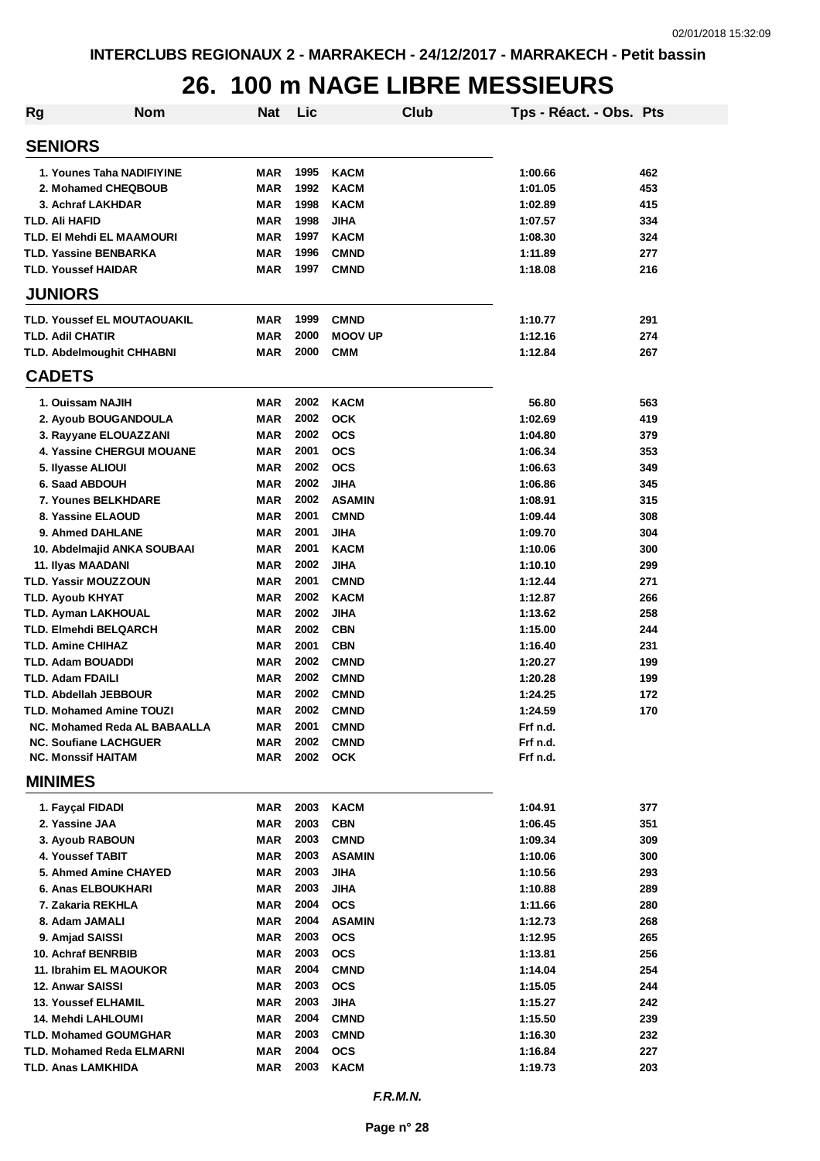#### **26. 100 m NAGE LIBRE MESSIEURS**

| <b>Rg</b>                                                 | <b>Nom</b>                          | Nat                      | Lic          |                            | Club | Tps - Réact. - Obs. Pts |            |
|-----------------------------------------------------------|-------------------------------------|--------------------------|--------------|----------------------------|------|-------------------------|------------|
| <b>SENIORS</b>                                            |                                     |                          |              |                            |      |                         |            |
| 1. Younes Taha NADIFIYINE                                 |                                     | MAR                      | 1995         | <b>KACM</b>                |      | 1:00.66                 | 462        |
| 2. Mohamed CHEQBOUB                                       |                                     | <b>MAR</b>               | 1992         | <b>KACM</b>                |      | 1:01.05                 | 453        |
| 3. Achraf LAKHDAR                                         |                                     | <b>MAR</b>               | 1998         | <b>KACM</b>                |      | 1:02.89                 | 415        |
| <b>TLD. Ali HAFID</b>                                     |                                     | <b>MAR</b>               | 1998         | <b>JIHA</b>                |      | 1:07.57                 | 334        |
| <b>TLD. EI Mehdi EL MAAMOURI</b>                          |                                     | <b>MAR</b>               | 1997         | <b>KACM</b>                |      | 1:08.30                 | 324        |
| <b>TLD. Yassine BENBARKA</b>                              |                                     | <b>MAR</b>               | 1996         | <b>CMND</b>                |      | 1:11.89                 | 277        |
| <b>TLD. Youssef HAIDAR</b>                                |                                     | <b>MAR</b>               | 1997         | <b>CMND</b>                |      | 1:18.08                 | 216        |
| <b>JUNIORS</b>                                            |                                     |                          |              |                            |      |                         |            |
| TLD. Youssef EL MOUTAOUAKIL                               |                                     | <b>MAR</b>               | 1999         | <b>CMND</b>                |      | 1:10.77                 | 291        |
| <b>TLD. Adil CHATIR</b>                                   |                                     | <b>MAR</b>               | 2000         | <b>MOOV UP</b>             |      | 1:12.16                 | 274        |
| <b>TLD. Abdelmoughit CHHABNI</b>                          |                                     | <b>MAR</b>               | 2000         | <b>CMM</b>                 |      | 1:12.84                 | 267        |
| <b>CADETS</b>                                             |                                     |                          |              |                            |      |                         |            |
| 1. Ouissam NAJIH                                          |                                     | <b>MAR</b>               | 2002         | <b>KACM</b>                |      | 56.80                   | 563        |
| 2. Ayoub BOUGANDOULA                                      |                                     | <b>MAR</b>               | 2002         | <b>OCK</b>                 |      | 1:02.69                 | 419        |
| 3. Rayyane ELOUAZZANI                                     |                                     | <b>MAR</b>               | 2002         | <b>OCS</b>                 |      | 1:04.80                 | 379        |
|                                                           | <b>4. Yassine CHERGUI MOUANE</b>    | <b>MAR</b>               | 2001         | <b>OCS</b>                 |      | 1:06.34                 | 353        |
| 5. Ilyasse ALIOUI                                         |                                     | <b>MAR</b>               | 2002         | <b>OCS</b>                 |      | 1:06.63                 | 349        |
| 6. Saad ABDOUH                                            |                                     | <b>MAR</b>               | 2002         | <b>JIHA</b>                |      | 1:06.86                 | 345        |
| <b>7. Younes BELKHDARE</b>                                |                                     | <b>MAR</b>               | 2002         | <b>ASAMIN</b>              |      | 1:08.91                 | 315        |
| 8. Yassine ELAOUD<br>9. Ahmed DAHLANE                     |                                     | <b>MAR</b><br><b>MAR</b> | 2001<br>2001 | <b>CMND</b><br><b>JIHA</b> |      | 1:09.44                 | 308<br>304 |
| 10. Abdelmajid ANKA SOUBAAI                               |                                     | <b>MAR</b>               | 2001         | <b>KACM</b>                |      | 1:09.70<br>1:10.06      | 300        |
| 11. Ilyas MAADANI                                         |                                     | <b>MAR</b>               | 2002         | <b>JIHA</b>                |      | 1:10.10                 | 299        |
| <b>TLD. Yassir MOUZZOUN</b>                               |                                     | <b>MAR</b>               | 2001         | <b>CMND</b>                |      | 1:12.44                 | 271        |
| <b>TLD. Ayoub KHYAT</b>                                   |                                     | <b>MAR</b>               | 2002         | <b>KACM</b>                |      | 1:12.87                 | 266        |
| <b>TLD. Ayman LAKHOUAL</b>                                |                                     | <b>MAR</b>               | 2002         | <b>JIHA</b>                |      | 1:13.62                 | 258        |
| <b>TLD. Elmehdi BELQARCH</b>                              |                                     | <b>MAR</b>               | 2002         | <b>CBN</b>                 |      | 1:15.00                 | 244        |
| <b>TLD. Amine CHIHAZ</b>                                  |                                     | <b>MAR</b>               | 2001         | <b>CBN</b>                 |      | 1:16.40                 | 231        |
| <b>TLD. Adam BOUADDI</b>                                  |                                     | <b>MAR</b>               | 2002         | <b>CMND</b>                |      | 1:20.27                 | 199        |
| <b>TLD. Adam FDAILI</b>                                   |                                     | <b>MAR</b>               | 2002         | <b>CMND</b>                |      | 1:20.28                 | 199        |
| <b>TLD. Abdellah JEBBOUR</b>                              |                                     | <b>MAR</b>               | 2002         | <b>CMND</b>                |      | 1:24.25                 | 172        |
| <b>TLD. Mohamed Amine TOUZI</b>                           |                                     | <b>MAR</b>               | 2002         | <b>CMND</b>                |      | 1:24.59                 | 170        |
|                                                           | <b>NC. Mohamed Reda AL BABAALLA</b> | MAR                      | 2001         | <b>CMND</b>                |      | Frf n.d.                |            |
| <b>NC. Soufiane LACHGUER</b><br><b>NC. Monssif HAITAM</b> |                                     | <b>MAR</b>               | 2002<br>2002 | <b>CMND</b>                |      | Frf n.d.                |            |
| <b>MINIMES</b>                                            |                                     | MAR                      |              | <b>OCK</b>                 |      | Frf n.d.                |            |
| 1. Fayçal FIDADI                                          |                                     | <b>MAR</b>               | 2003         | <b>KACM</b>                |      | 1:04.91                 | 377        |
| 2. Yassine JAA                                            |                                     | <b>MAR</b>               | 2003         | <b>CBN</b>                 |      | 1:06.45                 | 351        |
| 3. Ayoub RABOUN                                           |                                     | <b>MAR</b>               | 2003         | <b>CMND</b>                |      | 1:09.34                 | 309        |
| 4. Youssef TABIT                                          |                                     | <b>MAR</b>               | 2003         | <b>ASAMIN</b>              |      | 1:10.06                 | 300        |
| 5. Ahmed Amine CHAYED                                     |                                     | <b>MAR</b>               | 2003         | <b>JIHA</b>                |      | 1:10.56                 | 293        |
| 6. Anas ELBOUKHARI                                        |                                     | <b>MAR</b>               | 2003         | <b>JIHA</b>                |      | 1:10.88                 | 289        |
| 7. Zakaria REKHLA                                         |                                     | <b>MAR</b>               | 2004         | <b>OCS</b>                 |      | 1:11.66                 | 280        |
| 8. Adam JAMALI                                            |                                     | <b>MAR</b>               | 2004         | <b>ASAMIN</b>              |      | 1:12.73                 | 268        |
| 9. Amjad SAISSI                                           |                                     | <b>MAR</b>               | 2003         | <b>OCS</b>                 |      | 1:12.95                 | 265        |
| 10. Achraf BENRBIB                                        |                                     | <b>MAR</b>               | 2003         | <b>OCS</b>                 |      | 1:13.81                 | 256        |
| 11. Ibrahim EL MAOUKOR                                    |                                     | <b>MAR</b>               | 2004         | <b>CMND</b>                |      | 1:14.04                 | 254        |
| 12. Anwar SAISSI                                          |                                     | <b>MAR</b>               | 2003         | <b>OCS</b>                 |      | 1:15.05                 | 244        |
| <b>13. Youssef ELHAMIL</b>                                |                                     | <b>MAR</b>               | 2003         | <b>JIHA</b>                |      | 1:15.27                 | 242        |
| 14. Mehdi LAHLOUMI                                        |                                     | <b>MAR</b>               | 2004         | <b>CMND</b>                |      | 1:15.50                 | 239        |
| <b>TLD. Mohamed GOUMGHAR</b>                              |                                     | <b>MAR</b>               | 2003         | <b>CMND</b>                |      | 1:16.30                 | 232        |
| <b>TLD. Mohamed Reda ELMARNI</b>                          |                                     | MAR                      | 2004         | <b>OCS</b>                 |      | 1:16.84                 | 227        |
| TLD. Anas LAMKHIDA                                        |                                     | <b>MAR</b>               | 2003         | <b>KACM</b>                |      | 1:19.73                 | 203        |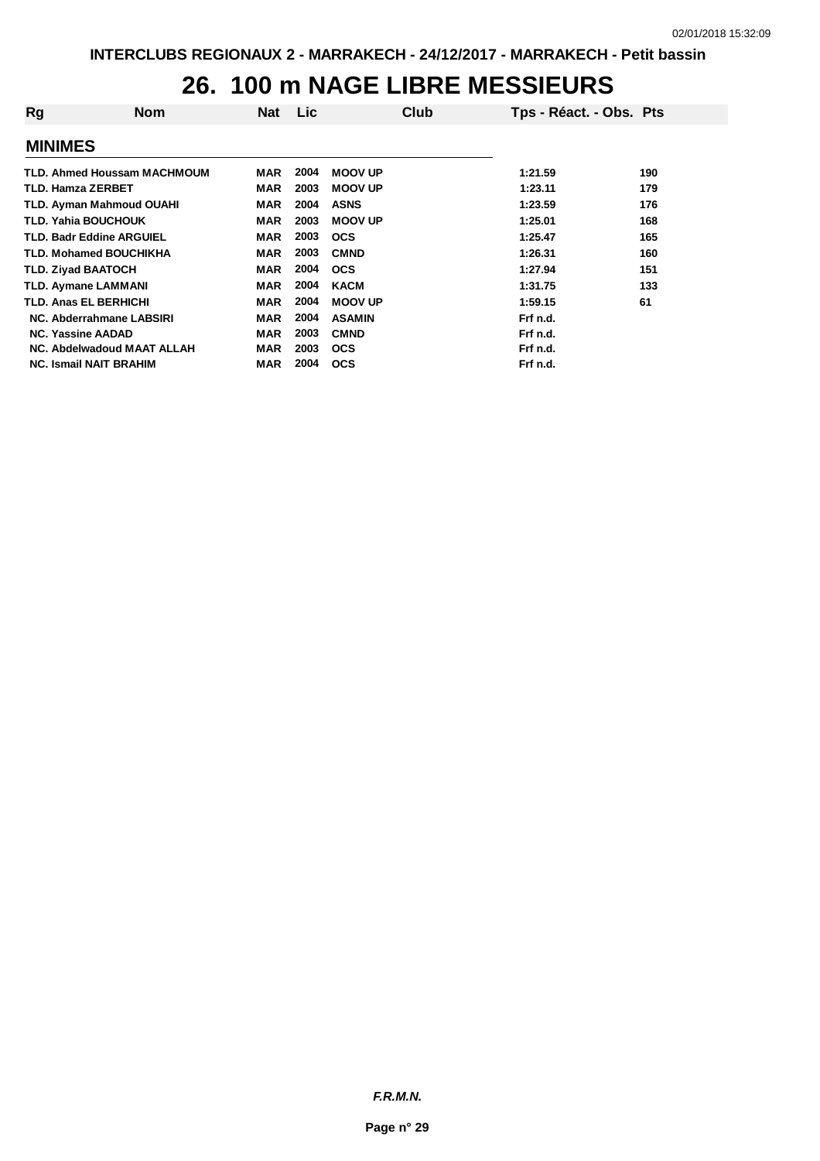#### **26. 100 m NAGE LIBRE MESSIEURS**

| <b>Nom</b>                         | <b>Nat</b> | Lic  | Club           | Tps - Réact. - Obs. Pts |     |
|------------------------------------|------------|------|----------------|-------------------------|-----|
|                                    |            |      |                |                         |     |
| <b>TLD. Ahmed Houssam MACHMOUM</b> | MAR        | 2004 | <b>MOOV UP</b> | 1:21.59                 | 190 |
| <b>TLD. Hamza ZERBET</b>           | MAR        | 2003 | <b>MOOV UP</b> | 1:23.11                 | 179 |
| <b>TLD. Ayman Mahmoud OUAHI</b>    | <b>MAR</b> | 2004 | <b>ASNS</b>    | 1:23.59                 | 176 |
| <b>TLD. Yahia BOUCHOUK</b>         | <b>MAR</b> | 2003 | <b>MOOV UP</b> | 1:25.01                 | 168 |
| <b>TLD. Badr Eddine ARGUIEL</b>    | <b>MAR</b> | 2003 | <b>OCS</b>     | 1:25.47                 | 165 |
| <b>TLD. Mohamed BOUCHIKHA</b>      | MAR        | 2003 | <b>CMND</b>    | 1:26.31                 | 160 |
| <b>TLD. Zivad BAATOCH</b>          | <b>MAR</b> | 2004 | <b>OCS</b>     | 1:27.94                 | 151 |
| <b>TLD. Aymane LAMMANI</b>         | MAR        | 2004 | <b>KACM</b>    | 1:31.75                 | 133 |
| <b>TLD. Anas EL BERHICHI</b>       | <b>MAR</b> | 2004 | <b>MOOV UP</b> | 1:59.15                 | 61  |
| NC. Abderrahmane LABSIRI           | <b>MAR</b> | 2004 | <b>ASAMIN</b>  | Frf n.d.                |     |
| <b>NC. Yassine AADAD</b>           | <b>MAR</b> | 2003 | <b>CMND</b>    | Frf n.d.                |     |
| NC. Abdelwadoud MAAT ALLAH         | MAR        | 2003 | <b>OCS</b>     | Frf n.d.                |     |
| <b>NC. Ismail NAIT BRAHIM</b>      | MAR        | 2004 | <b>OCS</b>     | Frf n.d.                |     |
|                                    |            |      |                |                         |     |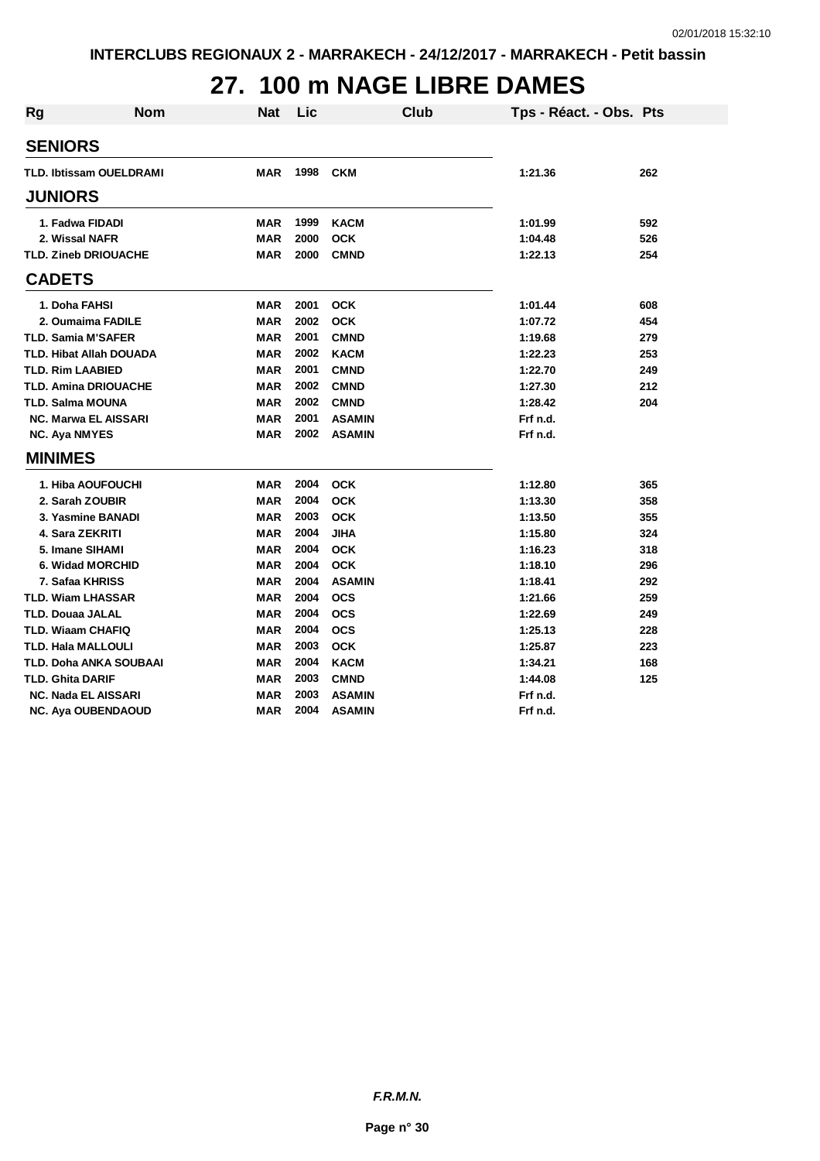# **27. 100 m NAGE LIBRE DAMES**

| <b>Rg</b> | <b>Nom</b>                     | <b>Nat</b> | Lic  | Club          | Tps - Réact. - Obs. Pts |     |
|-----------|--------------------------------|------------|------|---------------|-------------------------|-----|
|           | <b>SENIORS</b>                 |            |      |               |                         |     |
|           | <b>TLD. Ibtissam OUELDRAMI</b> | <b>MAR</b> | 1998 | <b>CKM</b>    | 1:21.36                 | 262 |
|           | <b>JUNIORS</b>                 |            |      |               |                         |     |
|           | 1. Fadwa FIDADI                | MAR        | 1999 | <b>KACM</b>   | 1:01.99                 | 592 |
|           | 2. Wissal NAFR                 | MAR        | 2000 | <b>OCK</b>    | 1:04.48                 | 526 |
|           | <b>TLD. Zineb DRIOUACHE</b>    | <b>MAR</b> | 2000 | <b>CMND</b>   | 1:22.13                 | 254 |
|           | <b>CADETS</b>                  |            |      |               |                         |     |
|           | 1. Doha FAHSI                  | MAR        | 2001 | <b>OCK</b>    | 1:01.44                 | 608 |
|           | 2. Oumaima FADILE              | MAR        | 2002 | <b>OCK</b>    | 1:07.72                 | 454 |
|           | <b>TLD. Samia M'SAFER</b>      | <b>MAR</b> | 2001 | <b>CMND</b>   | 1:19.68                 | 279 |
|           | <b>TLD. Hibat Allah DOUADA</b> | MAR        | 2002 | <b>KACM</b>   | 1:22.23                 | 253 |
|           | <b>TLD. Rim LAABIED</b>        | <b>MAR</b> | 2001 | <b>CMND</b>   | 1:22.70                 | 249 |
|           | <b>TLD. Amina DRIOUACHE</b>    | <b>MAR</b> | 2002 | <b>CMND</b>   | 1:27.30                 | 212 |
|           | <b>TLD. Salma MOUNA</b>        | <b>MAR</b> | 2002 | <b>CMND</b>   | 1:28.42                 | 204 |
|           | <b>NC. Marwa EL AISSARI</b>    | <b>MAR</b> | 2001 | <b>ASAMIN</b> | Frf n.d.                |     |
|           | <b>NC. Aya NMYES</b>           | <b>MAR</b> | 2002 | <b>ASAMIN</b> | Frf n.d.                |     |
|           | <b>MINIMES</b>                 |            |      |               |                         |     |
|           | 1. Hiba AOUFOUCHI              | MAR        | 2004 | <b>OCK</b>    | 1:12.80                 | 365 |
|           | 2. Sarah ZOUBIR                | <b>MAR</b> | 2004 | <b>OCK</b>    | 1:13.30                 | 358 |
|           | 3. Yasmine BANADI              | <b>MAR</b> | 2003 | <b>OCK</b>    | 1:13.50                 | 355 |
|           | 4. Sara ZEKRITI                | <b>MAR</b> | 2004 | <b>JIHA</b>   | 1:15.80                 | 324 |
|           | 5. Imane SIHAMI                | <b>MAR</b> | 2004 | <b>OCK</b>    | 1:16.23                 | 318 |
|           | <b>6. Widad MORCHID</b>        | MAR        | 2004 | <b>OCK</b>    | 1:18.10                 | 296 |
|           | 7. Safaa KHRISS                | <b>MAR</b> | 2004 | <b>ASAMIN</b> | 1:18.41                 | 292 |
|           | <b>TLD. Wiam LHASSAR</b>       | <b>MAR</b> | 2004 | <b>OCS</b>    | 1:21.66                 | 259 |
|           | <b>TLD. Douaa JALAL</b>        | <b>MAR</b> | 2004 | <b>OCS</b>    | 1:22.69                 | 249 |
|           | <b>TLD. Wiaam CHAFIQ</b>       | <b>MAR</b> | 2004 | <b>OCS</b>    | 1:25.13                 | 228 |
|           | <b>TLD. Hala MALLOULI</b>      | <b>MAR</b> | 2003 | <b>OCK</b>    | 1:25.87                 | 223 |
|           | <b>TLD. Doha ANKA SOUBAAI</b>  | <b>MAR</b> | 2004 | <b>KACM</b>   | 1:34.21                 | 168 |
|           | <b>TLD. Ghita DARIF</b>        | MAR        | 2003 | <b>CMND</b>   | 1:44.08                 | 125 |
|           | <b>NC. Nada EL AISSARI</b>     | <b>MAR</b> | 2003 | <b>ASAMIN</b> | Frf n.d.                |     |
|           | <b>NC. Aya OUBENDAOUD</b>      | <b>MAR</b> | 2004 | <b>ASAMIN</b> | Frf n.d.                |     |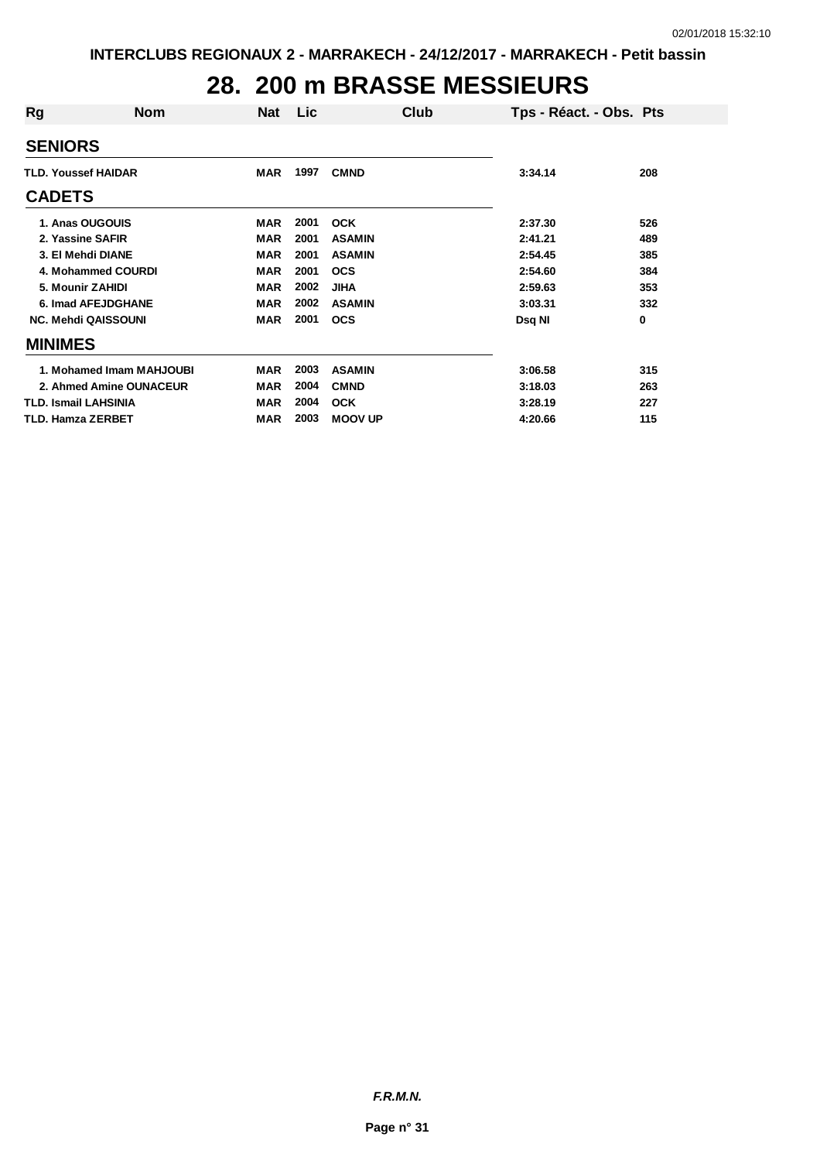# **28. 200 m BRASSE MESSIEURS**

| <b>Rg</b>                | <b>Nom</b>                  | <b>Nat</b> | <b>Lic</b> | Club           | Tps - Réact. - Obs. Pts |     |
|--------------------------|-----------------------------|------------|------------|----------------|-------------------------|-----|
| <b>SENIORS</b>           |                             |            |            |                |                         |     |
|                          | <b>TLD. Youssef HAIDAR</b>  |            | 1997       | <b>CMND</b>    | 3:34.14                 | 208 |
| <b>CADETS</b>            |                             |            |            |                |                         |     |
|                          | 1. Anas OUGOUIS             | <b>MAR</b> | 2001       | <b>OCK</b>     | 2:37.30                 | 526 |
|                          | 2. Yassine SAFIR            | MAR        | 2001       | <b>ASAMIN</b>  | 2:41.21                 | 489 |
|                          | 3. El Mehdi DIANE           | <b>MAR</b> | 2001       | <b>ASAMIN</b>  | 2:54.45                 | 385 |
|                          | 4. Mohammed COURDI          | <b>MAR</b> | 2001       | <b>OCS</b>     | 2:54.60                 | 384 |
|                          | 5. Mounir ZAHIDI            | MAR        | 2002       | <b>JIHA</b>    | 2:59.63                 | 353 |
|                          | 6. Imad AFEJDGHANE          | <b>MAR</b> | 2002       | <b>ASAMIN</b>  | 3:03.31                 | 332 |
|                          | <b>NC. Mehdi QAISSOUNI</b>  | <b>MAR</b> | 2001       | <b>OCS</b>     | Dsq NI                  | 0   |
| <b>MINIMES</b>           |                             |            |            |                |                         |     |
|                          | 1. Mohamed Imam MAHJOUBI    | <b>MAR</b> | 2003       | <b>ASAMIN</b>  | 3:06.58                 | 315 |
|                          | 2. Ahmed Amine OUNACEUR     | <b>MAR</b> | 2004       | <b>CMND</b>    | 3:18.03                 | 263 |
|                          | <b>TLD. Ismail LAHSINIA</b> | <b>MAR</b> | 2004       | <b>OCK</b>     | 3:28.19                 | 227 |
| <b>TLD. Hamza ZERBET</b> |                             | <b>MAR</b> | 2003       | <b>MOOV UP</b> | 4:20.66                 | 115 |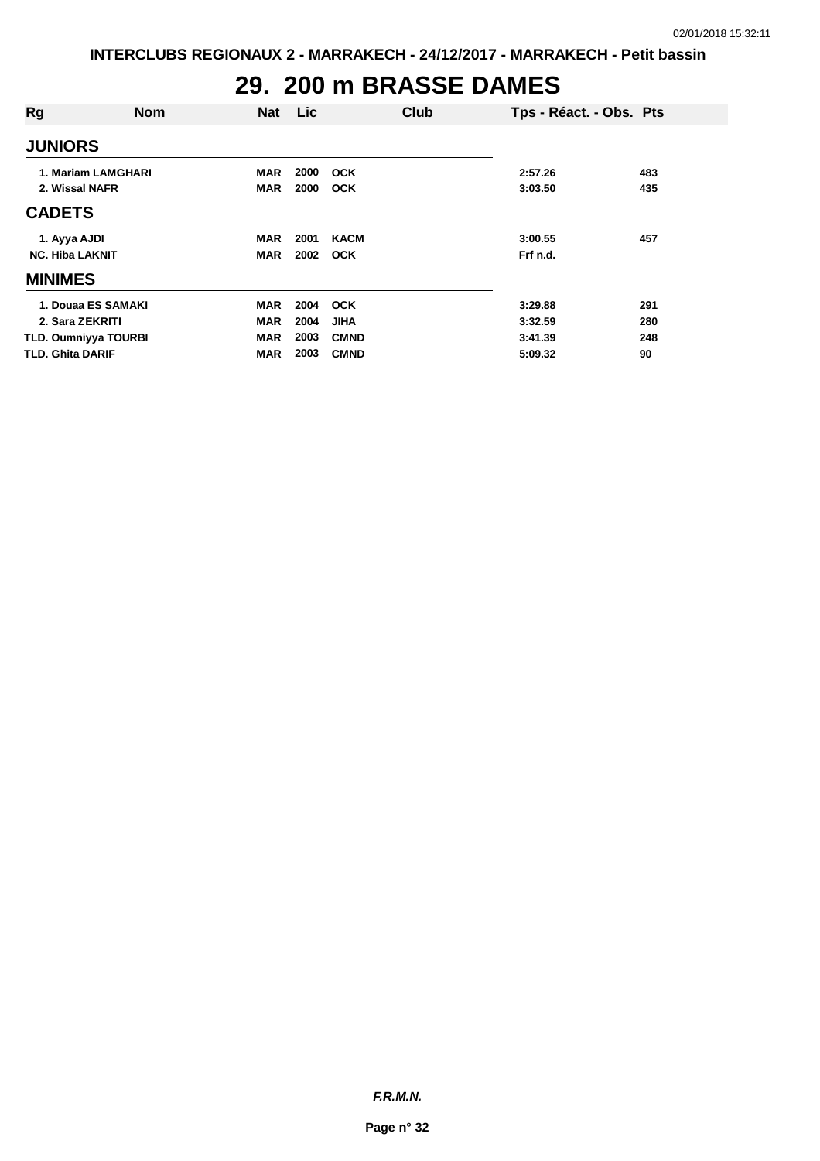# **29. 200 m BRASSE DAMES**

| Rg                      | <b>Nom</b>                  | <b>Nat</b> | <b>Lic</b>   | Club        | Tps - Réact. - Obs. Pts |     |
|-------------------------|-----------------------------|------------|--------------|-------------|-------------------------|-----|
| <b>JUNIORS</b>          |                             |            |              |             |                         |     |
| 2. Wissal NAFR          | 1. Mariam LAMGHARI          | MAR        | 2000<br>2000 | <b>OCK</b>  | 2:57.26                 | 483 |
| <b>CADETS</b>           |                             | <b>MAR</b> |              | <b>OCK</b>  | 3:03.50                 | 435 |
| 1. Ayya AJDI            |                             | MAR        | 2001         | <b>KACM</b> | 3:00.55                 | 457 |
| <b>NC. Hiba LAKNIT</b>  |                             | <b>MAR</b> | 2002         | <b>OCK</b>  | Frf n.d.                |     |
| <b>MINIMES</b>          |                             |            |              |             |                         |     |
|                         | 1. Douaa ES SAMAKI          | <b>MAR</b> | 2004         | <b>OCK</b>  | 3:29.88                 | 291 |
|                         | 2. Sara ZEKRITI             | <b>MAR</b> | 2004         | <b>JIHA</b> | 3:32.59                 | 280 |
|                         | <b>TLD. Oumniyya TOURBI</b> | <b>MAR</b> | 2003         | <b>CMND</b> | 3:41.39                 | 248 |
| <b>TLD. Ghita DARIF</b> |                             | MAR        | 2003         | <b>CMND</b> | 5:09.32                 | 90  |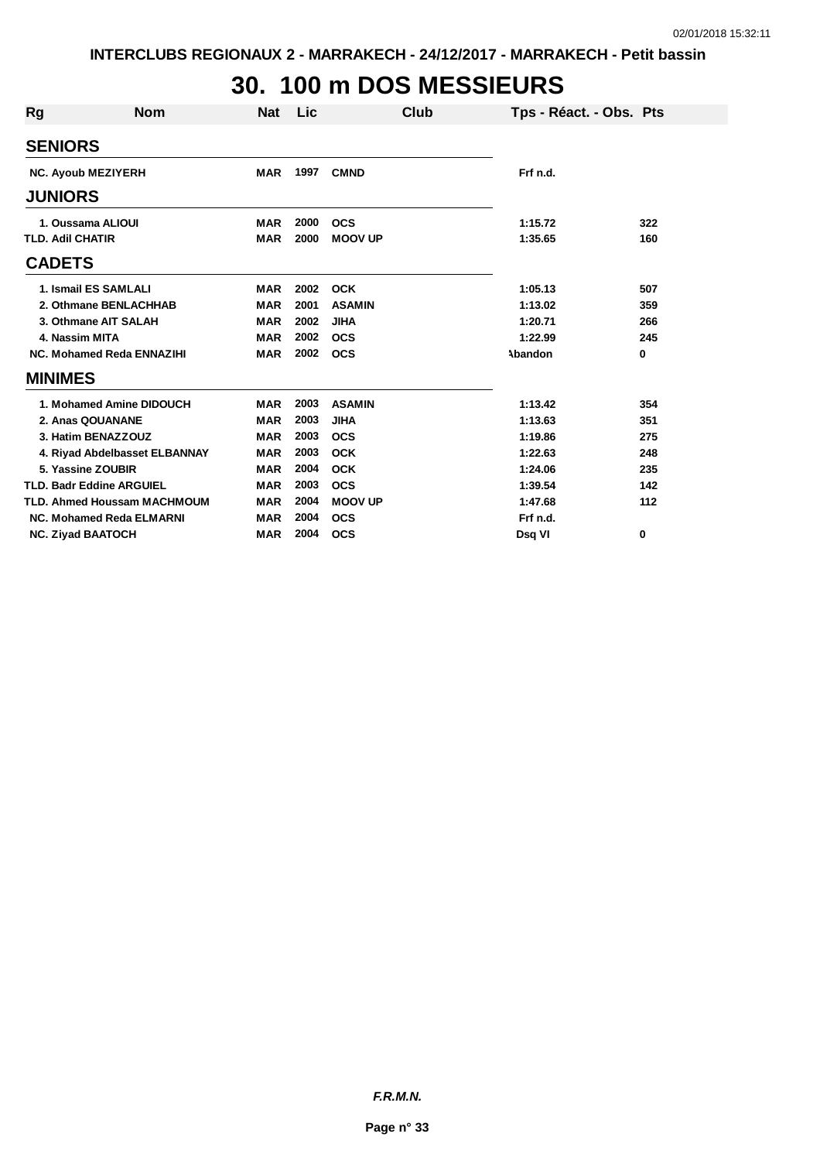# **30. 100 m DOS MESSIEURS**

| <b>Rg</b> | <b>Nom</b>                         | Nat        | <b>Lic</b> |                | <b>Club</b> | Tps - Réact. - Obs. Pts |     |
|-----------|------------------------------------|------------|------------|----------------|-------------|-------------------------|-----|
|           | <b>SENIORS</b>                     |            |            |                |             |                         |     |
|           | <b>NC. Ayoub MEZIYERH</b>          | <b>MAR</b> | 1997       | <b>CMND</b>    |             | Frf n.d.                |     |
|           | <b>JUNIORS</b>                     |            |            |                |             |                         |     |
|           | 1. Oussama ALIOUI                  | <b>MAR</b> | 2000       | <b>OCS</b>     |             | 1:15.72                 | 322 |
|           | <b>TLD. Adil CHATIR</b>            | <b>MAR</b> | 2000       | <b>MOOV UP</b> |             | 1:35.65                 | 160 |
|           | <b>CADETS</b>                      |            |            |                |             |                         |     |
|           | 1. Ismail ES SAMLALI               | <b>MAR</b> | 2002       | <b>OCK</b>     |             | 1:05.13                 | 507 |
|           | 2. Othmane BENLACHHAB              | <b>MAR</b> | 2001       | <b>ASAMIN</b>  |             | 1:13.02                 | 359 |
|           | 3. Othmane AIT SALAH               | <b>MAR</b> | 2002       | <b>JIHA</b>    |             | 1:20.71                 | 266 |
|           | 4. Nassim MITA                     | <b>MAR</b> | 2002       | <b>OCS</b>     |             | 1:22.99                 | 245 |
|           | NC. Mohamed Reda ENNAZIHI          | <b>MAR</b> | 2002       | <b>OCS</b>     |             | Abandon                 | 0   |
|           | <b>MINIMES</b>                     |            |            |                |             |                         |     |
|           | 1. Mohamed Amine DIDOUCH           | <b>MAR</b> | 2003       | <b>ASAMIN</b>  |             | 1:13.42                 | 354 |
|           | 2. Anas QOUANANE                   | <b>MAR</b> | 2003       | <b>JIHA</b>    |             | 1:13.63                 | 351 |
|           | 3. Hatim BENAZZOUZ                 | <b>MAR</b> | 2003       | <b>OCS</b>     |             | 1:19.86                 | 275 |
|           | 4. Riyad Abdelbasset ELBANNAY      | <b>MAR</b> | 2003       | <b>OCK</b>     |             | 1:22.63                 | 248 |
|           | 5. Yassine ZOUBIR                  | <b>MAR</b> | 2004       | <b>OCK</b>     |             | 1:24.06                 | 235 |
|           | <b>TLD. Badr Eddine ARGUIEL</b>    | <b>MAR</b> | 2003       | <b>OCS</b>     |             | 1:39.54                 | 142 |
|           | <b>TLD. Ahmed Houssam MACHMOUM</b> | <b>MAR</b> | 2004       | <b>MOOV UP</b> |             | 1:47.68                 | 112 |
|           | NC. Mohamed Reda ELMARNI           | <b>MAR</b> | 2004       | <b>OCS</b>     |             | Frf n.d.                |     |
|           | <b>NC. Ziyad BAATOCH</b>           | <b>MAR</b> | 2004       | <b>OCS</b>     |             | Dsq VI                  | 0   |

*F.R.M.N.*

**Page n° 33**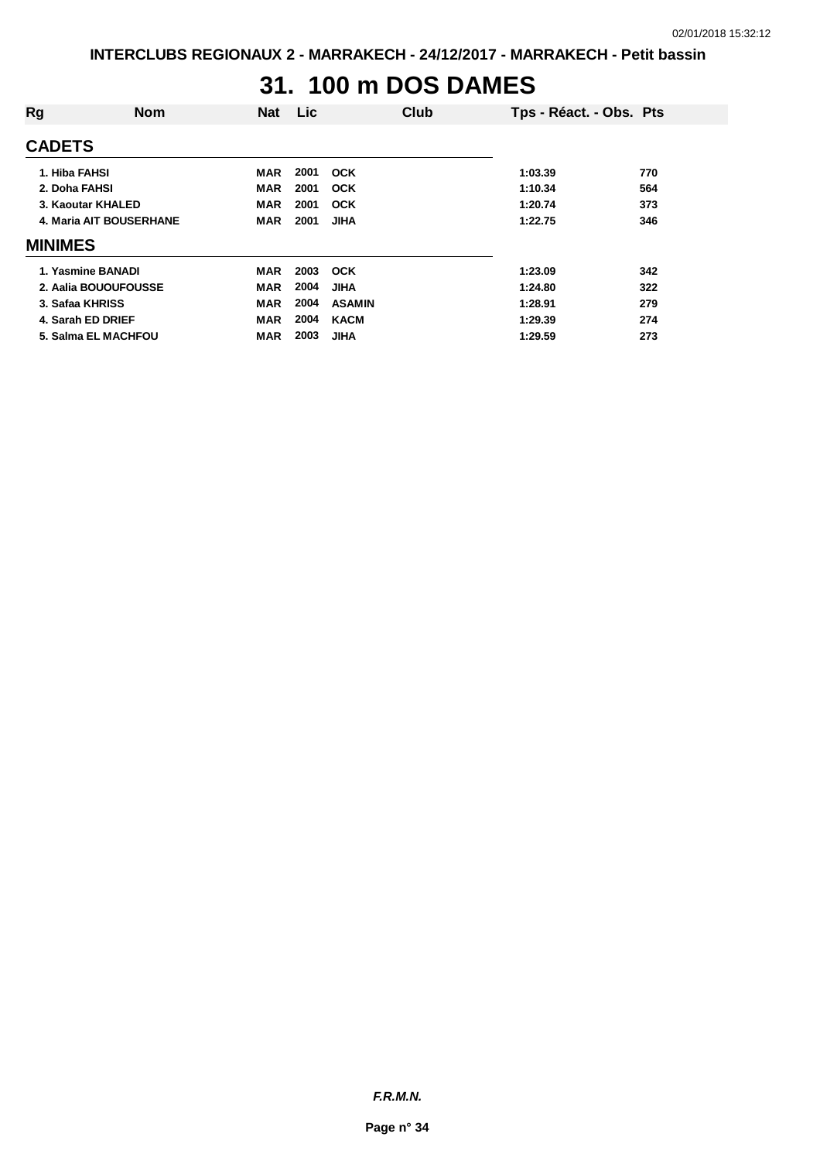### **31. 100 m DOS DAMES**

| Rg                      | <b>Nom</b>           | <b>Nat</b> | Lic. | Club          | Tps - Réact. - Obs. Pts |     |
|-------------------------|----------------------|------------|------|---------------|-------------------------|-----|
| <b>CADETS</b>           |                      |            |      |               |                         |     |
| 1. Hiba FAHSI           |                      | MAR        | 2001 | <b>OCK</b>    | 1:03.39                 | 770 |
| 2. Doha FAHSI           |                      | <b>MAR</b> | 2001 | <b>OCK</b>    | 1:10.34                 | 564 |
|                         | 3. Kaoutar KHALED    | <b>MAR</b> | 2001 | <b>OCK</b>    | 1:20.74                 | 373 |
| 4. Maria AIT BOUSERHANE |                      | <b>MAR</b> | 2001 | <b>JIHA</b>   | 1:22.75                 | 346 |
| <b>MINIMES</b>          |                      |            |      |               |                         |     |
|                         | 1. Yasmine BANADI    | MAR        | 2003 | <b>OCK</b>    | 1:23.09                 | 342 |
|                         | 2. Aalia BOUOUFOUSSE | <b>MAR</b> | 2004 | <b>JIHA</b>   | 1:24.80                 | 322 |
| 3. Safaa KHRISS         |                      | <b>MAR</b> | 2004 | <b>ASAMIN</b> | 1:28.91                 | 279 |
|                         | 4. Sarah ED DRIEF    | MAR        | 2004 | <b>KACM</b>   | 1:29.39                 | 274 |
|                         | 5. Salma EL MACHFOU  | <b>MAR</b> | 2003 | <b>JIHA</b>   | 1:29.59                 | 273 |
|                         |                      |            |      |               |                         |     |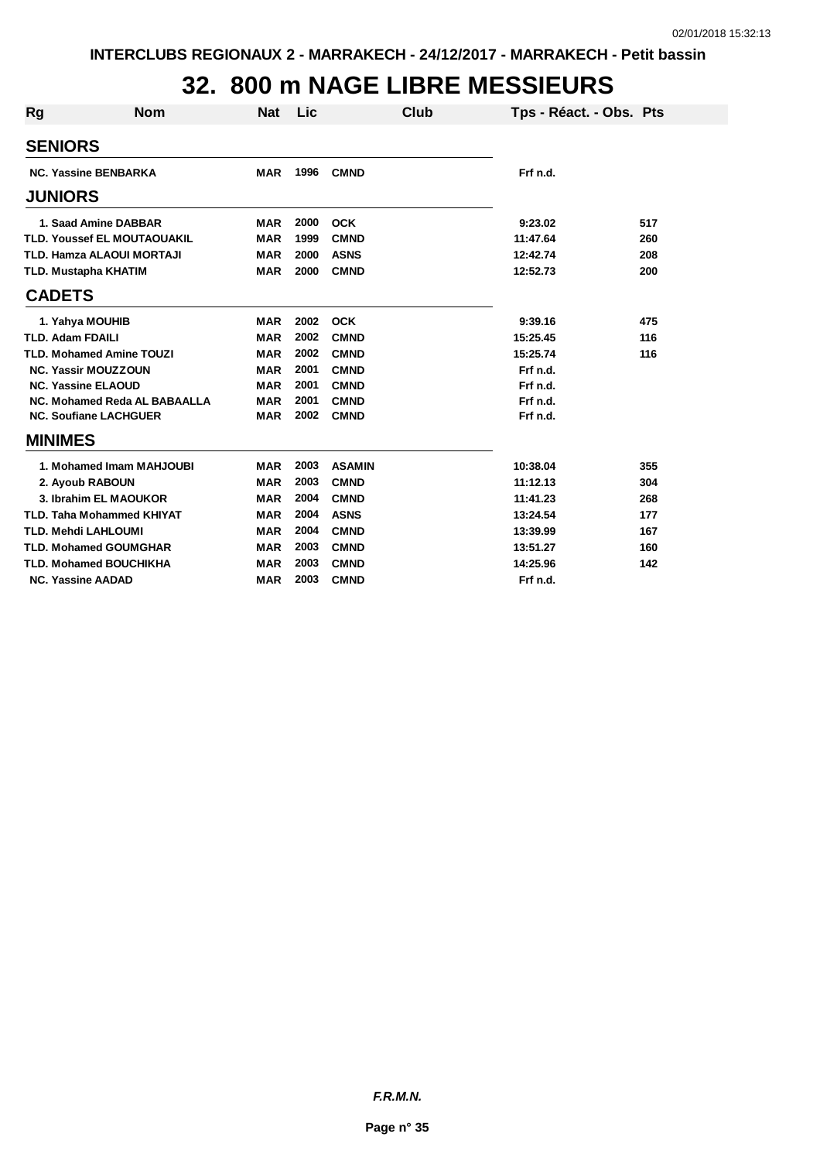# **32. 800 m NAGE LIBRE MESSIEURS**

| Rg                      | <b>Nom</b>                         | <b>Nat</b> | Lic  | <b>Club</b>   | Tps - Réact. - Obs. Pts |     |
|-------------------------|------------------------------------|------------|------|---------------|-------------------------|-----|
| <b>SENIORS</b>          |                                    |            |      |               |                         |     |
|                         | <b>NC. Yassine BENBARKA</b>        | <b>MAR</b> | 1996 | <b>CMND</b>   | Frf n.d.                |     |
| <b>JUNIORS</b>          |                                    |            |      |               |                         |     |
|                         | 1. Saad Amine DABBAR               | <b>MAR</b> | 2000 | <b>OCK</b>    | 9:23.02                 | 517 |
|                         | <b>TLD. Youssef EL MOUTAOUAKIL</b> | <b>MAR</b> | 1999 | <b>CMND</b>   | 11:47.64                | 260 |
|                         | <b>TLD. Hamza ALAOUI MORTAJI</b>   | <b>MAR</b> | 2000 | <b>ASNS</b>   | 12:42.74                | 208 |
|                         | TLD. Mustapha KHATIM               | <b>MAR</b> | 2000 | <b>CMND</b>   | 12:52.73                | 200 |
| <b>CADETS</b>           |                                    |            |      |               |                         |     |
|                         | 1. Yahya MOUHIB                    | <b>MAR</b> | 2002 | <b>OCK</b>    | 9:39.16                 | 475 |
| <b>TLD. Adam FDAILI</b> |                                    | <b>MAR</b> | 2002 | <b>CMND</b>   | 15:25.45                | 116 |
|                         | <b>TLD. Mohamed Amine TOUZI</b>    | <b>MAR</b> | 2002 | <b>CMND</b>   | 15:25.74                | 116 |
|                         | <b>NC. Yassir MOUZZOUN</b>         | <b>MAR</b> | 2001 | <b>CMND</b>   | Frf n.d.                |     |
|                         | <b>NC. Yassine ELAOUD</b>          | <b>MAR</b> | 2001 | <b>CMND</b>   | Frf n.d.                |     |
|                         | NC. Mohamed Reda AL BABAALLA       | <b>MAR</b> | 2001 | <b>CMND</b>   | Frf n.d.                |     |
|                         | <b>NC. Soufiane LACHGUER</b>       | <b>MAR</b> | 2002 | <b>CMND</b>   | Frf n.d.                |     |
| <b>MINIMES</b>          |                                    |            |      |               |                         |     |
|                         | 1. Mohamed Imam MAHJOUBI           | <b>MAR</b> | 2003 | <b>ASAMIN</b> | 10:38.04                | 355 |
|                         | 2. Ayoub RABOUN                    | <b>MAR</b> | 2003 | <b>CMND</b>   | 11:12.13                | 304 |
|                         | 3. Ibrahim EL MAOUKOR              | <b>MAR</b> | 2004 | <b>CMND</b>   | 11:41.23                | 268 |
|                         | <b>TLD. Taha Mohammed KHIYAT</b>   | <b>MAR</b> | 2004 | <b>ASNS</b>   | 13:24.54                | 177 |
|                         | <b>TLD. Mehdi LAHLOUMI</b>         | <b>MAR</b> | 2004 | <b>CMND</b>   | 13:39.99                | 167 |
|                         | <b>TLD. Mohamed GOUMGHAR</b>       | <b>MAR</b> | 2003 | <b>CMND</b>   | 13:51.27                | 160 |
|                         | <b>TLD. Mohamed BOUCHIKHA</b>      | <b>MAR</b> | 2003 | <b>CMND</b>   | 14:25.96                | 142 |
|                         | <b>NC. Yassine AADAD</b>           | <b>MAR</b> | 2003 | <b>CMND</b>   | Frf n.d.                |     |